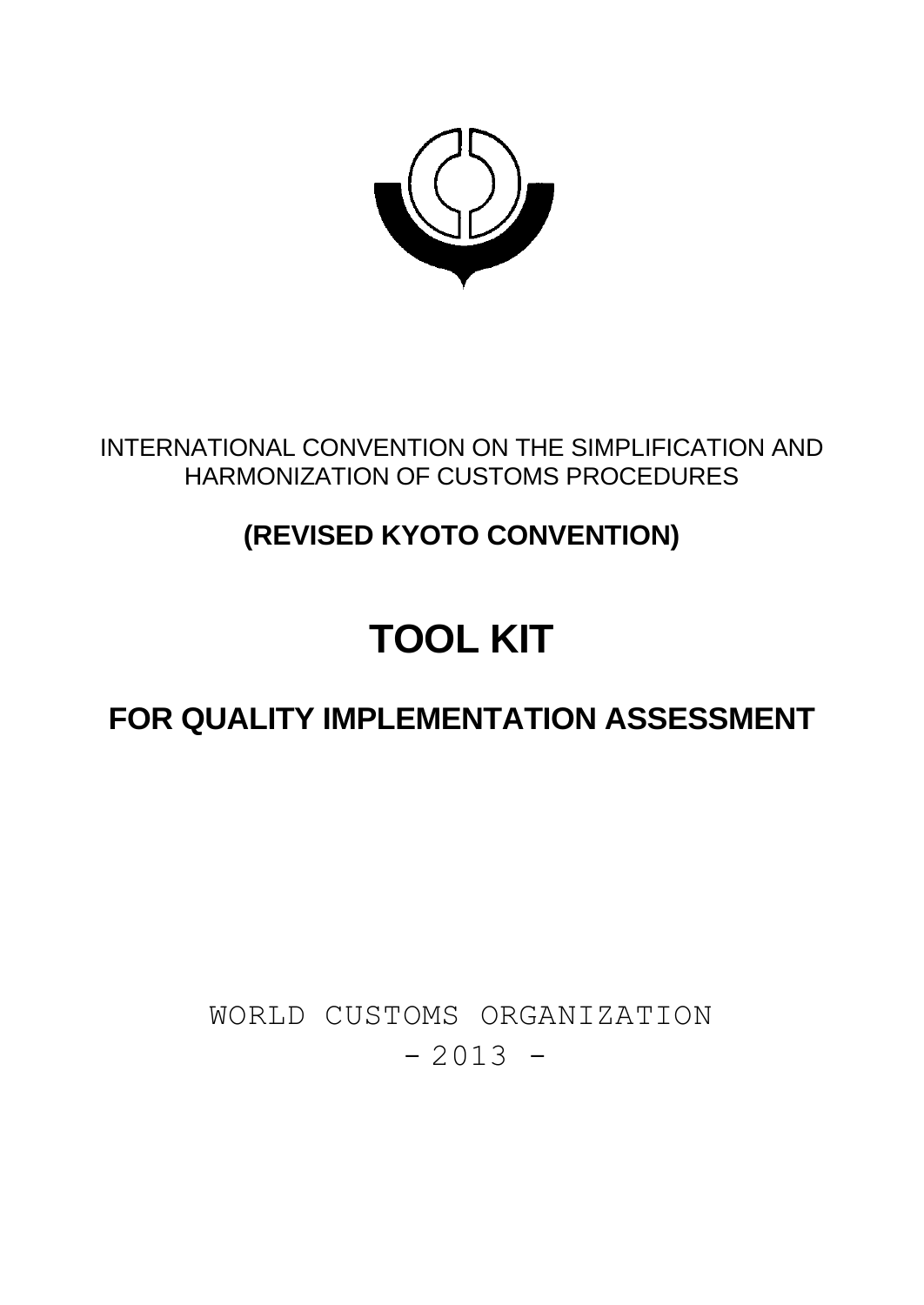

### INTERNATIONAL CONVENTION ON THE SIMPLIFICATION AND HARMONIZATION OF CUSTOMS PROCEDURES

## **(REVISED KYOTO CONVENTION)**

# **TOOL KIT**

## **FOR QUALITY IMPLEMENTATION ASSESSMENT**

## WORLD CUSTOMS ORGANIZATION  $-2013 -$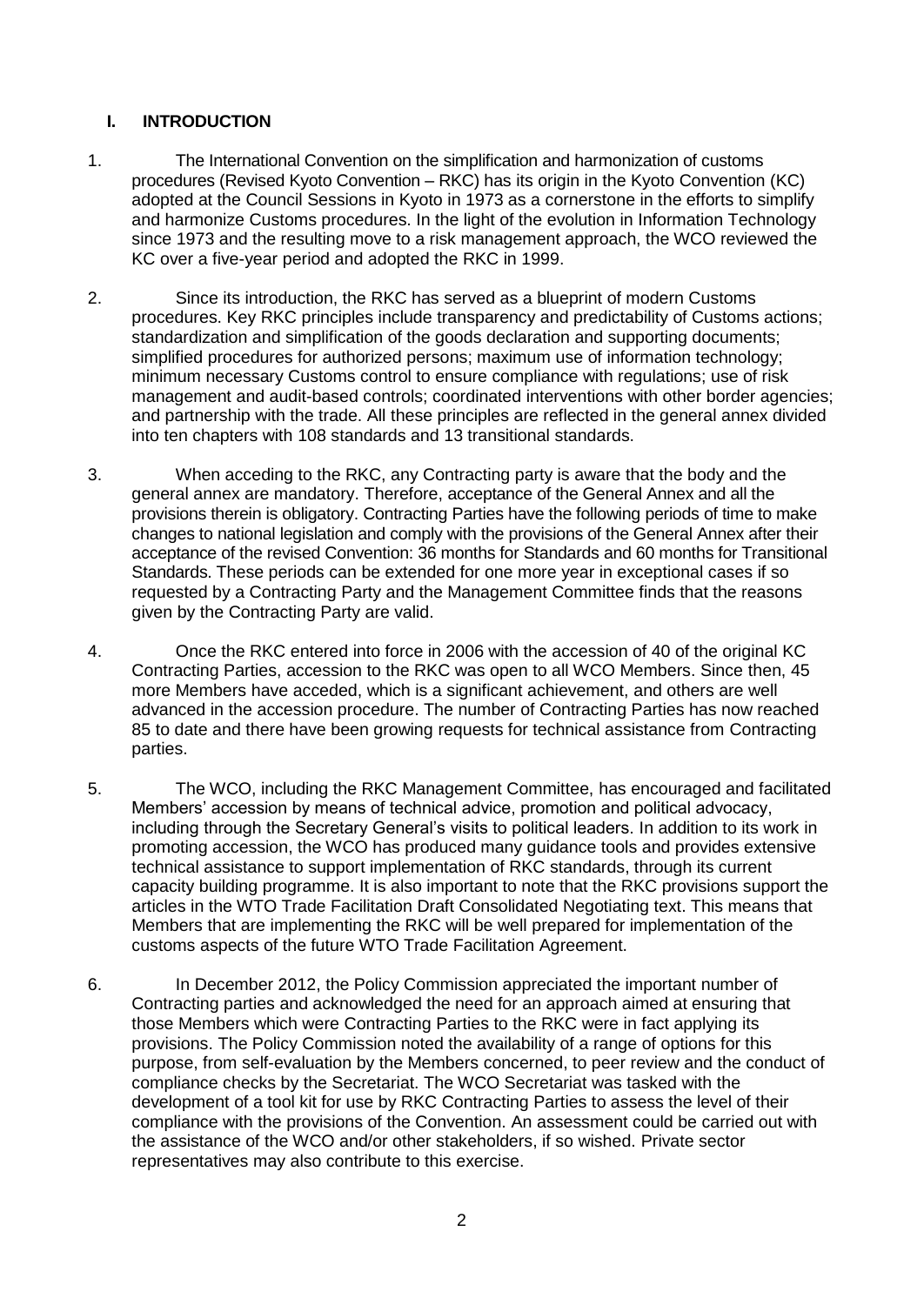#### **I. INTRODUCTION**

- 1. The International Convention on the simplification and harmonization of customs procedures (Revised Kyoto Convention – RKC) has its origin in the Kyoto Convention (KC) adopted at the Council Sessions in Kyoto in 1973 as a cornerstone in the efforts to simplify and harmonize Customs procedures. In the light of the evolution in Information Technology since 1973 and the resulting move to a risk management approach, the WCO reviewed the KC over a five-year period and adopted the RKC in 1999.
- 2. Since its introduction, the RKC has served as a blueprint of modern Customs procedures. Key RKC principles include transparency and predictability of Customs actions; standardization and simplification of the goods declaration and supporting documents; simplified procedures for authorized persons; maximum use of information technology; minimum necessary Customs control to ensure compliance with regulations; use of risk management and audit-based controls; coordinated interventions with other border agencies; and partnership with the trade. All these principles are reflected in the general annex divided into ten chapters with 108 standards and 13 transitional standards.
- 3. When acceding to the RKC, any Contracting party is aware that the body and the general annex are mandatory. Therefore, acceptance of the General Annex and all the provisions therein is obligatory. Contracting Parties have the following periods of time to make changes to national legislation and comply with the provisions of the General Annex after their acceptance of the revised Convention: 36 months for Standards and 60 months for Transitional Standards. These periods can be extended for one more year in exceptional cases if so requested by a Contracting Party and the Management Committee finds that the reasons given by the Contracting Party are valid.
- 4. Once the RKC entered into force in 2006 with the accession of 40 of the original KC Contracting Parties, accession to the RKC was open to all WCO Members. Since then, 45 more Members have acceded, which is a significant achievement, and others are well advanced in the accession procedure. The number of Contracting Parties has now reached 85 to date and there have been growing requests for technical assistance from Contracting parties.
- 5. The WCO, including the RKC Management Committee, has encouraged and facilitated Members' accession by means of technical advice, promotion and political advocacy, including through the Secretary General's visits to political leaders. In addition to its work in promoting accession, the WCO has produced many guidance tools and provides extensive technical assistance to support implementation of RKC standards, through its current capacity building programme. It is also important to note that the RKC provisions support the articles in the WTO Trade Facilitation Draft Consolidated Negotiating text. This means that Members that are implementing the RKC will be well prepared for implementation of the customs aspects of the future WTO Trade Facilitation Agreement.
- 6. In December 2012, the Policy Commission appreciated the important number of Contracting parties and acknowledged the need for an approach aimed at ensuring that those Members which were Contracting Parties to the RKC were in fact applying its provisions. The Policy Commission noted the availability of a range of options for this purpose, from self-evaluation by the Members concerned, to peer review and the conduct of compliance checks by the Secretariat. The WCO Secretariat was tasked with the development of a tool kit for use by RKC Contracting Parties to assess the level of their compliance with the provisions of the Convention. An assessment could be carried out with the assistance of the WCO and/or other stakeholders, if so wished. Private sector representatives may also contribute to this exercise.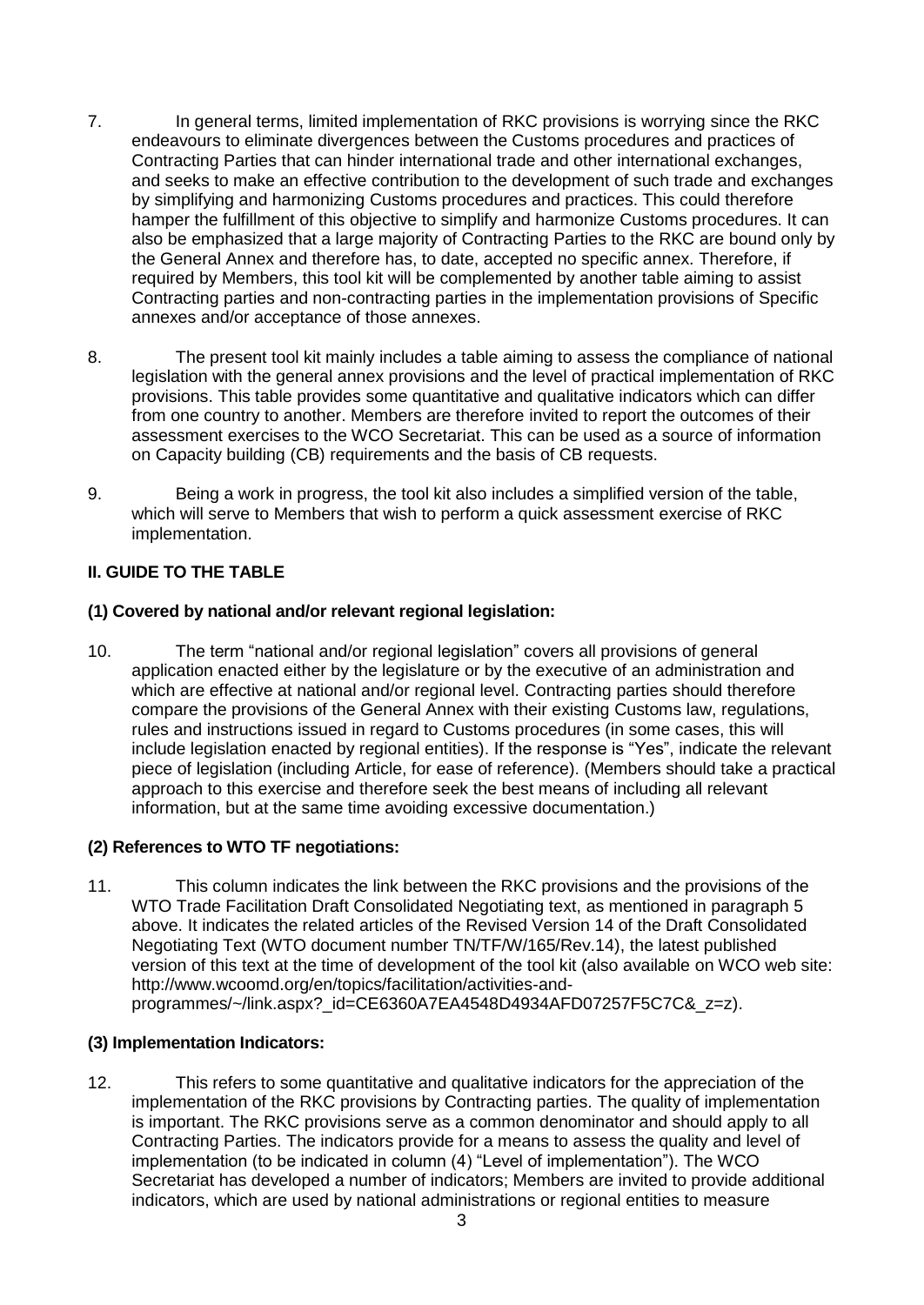- 7. In general terms, limited implementation of RKC provisions is worrying since the RKC endeavours to eliminate divergences between the Customs procedures and practices of Contracting Parties that can hinder international trade and other international exchanges, and seeks to make an effective contribution to the development of such trade and exchanges by simplifying and harmonizing Customs procedures and practices. This could therefore hamper the fulfillment of this objective to simplify and harmonize Customs procedures. It can also be emphasized that a large majority of Contracting Parties to the RKC are bound only by the General Annex and therefore has, to date, accepted no specific annex. Therefore, if required by Members, this tool kit will be complemented by another table aiming to assist Contracting parties and non-contracting parties in the implementation provisions of Specific annexes and/or acceptance of those annexes.
- 8. The present tool kit mainly includes a table aiming to assess the compliance of national legislation with the general annex provisions and the level of practical implementation of RKC provisions. This table provides some quantitative and qualitative indicators which can differ from one country to another. Members are therefore invited to report the outcomes of their assessment exercises to the WCO Secretariat. This can be used as a source of information on Capacity building (CB) requirements and the basis of CB requests.
- 9. Being a work in progress, the tool kit also includes a simplified version of the table, which will serve to Members that wish to perform a quick assessment exercise of RKC implementation.

#### **II. GUIDE TO THE TABLE**

#### **(1) Covered by national and/or relevant regional legislation:**

10. The term "national and/or regional legislation" covers all provisions of general application enacted either by the legislature or by the executive of an administration and which are effective at national and/or regional level. Contracting parties should therefore compare the provisions of the General Annex with their existing Customs law, regulations, rules and instructions issued in regard to Customs procedures (in some cases, this will include legislation enacted by regional entities). If the response is "Yes", indicate the relevant piece of legislation (including Article, for ease of reference). (Members should take a practical approach to this exercise and therefore seek the best means of including all relevant information, but at the same time avoiding excessive documentation.)

#### **(2) References to WTO TF negotiations:**

11. This column indicates the link between the RKC provisions and the provisions of the WTO Trade Facilitation Draft Consolidated Negotiating text, as mentioned in paragraph 5 above. It indicates the related articles of the Revised Version 14 of the Draft Consolidated Negotiating Text (WTO document number TN/TF/W/165/Rev.14), the latest published version of this text at the time of development of the tool kit (also available on WCO web site: [http://www.wcoomd.org/en/topics/facilitation/activities-and](http://www.wcoomd.org/en/topics/facilitation/activities-and-programmes/~/link.aspx?_id=CE6360A7EA4548D4934AFD07257F5C7C&_z=z)[programmes/~/link.aspx?\\_id=CE6360A7EA4548D4934AFD07257F5C7C&\\_z=z\)](http://www.wcoomd.org/en/topics/facilitation/activities-and-programmes/~/link.aspx?_id=CE6360A7EA4548D4934AFD07257F5C7C&_z=z).

#### **(3) Implementation Indicators:**

12. This refers to some quantitative and qualitative indicators for the appreciation of the implementation of the RKC provisions by Contracting parties. The quality of implementation is important. The RKC provisions serve as a common denominator and should apply to all Contracting Parties. The indicators provide for a means to assess the quality and level of implementation (to be indicated in column (4) "Level of implementation"). The WCO Secretariat has developed a number of indicators; Members are invited to provide additional indicators, which are used by national administrations or regional entities to measure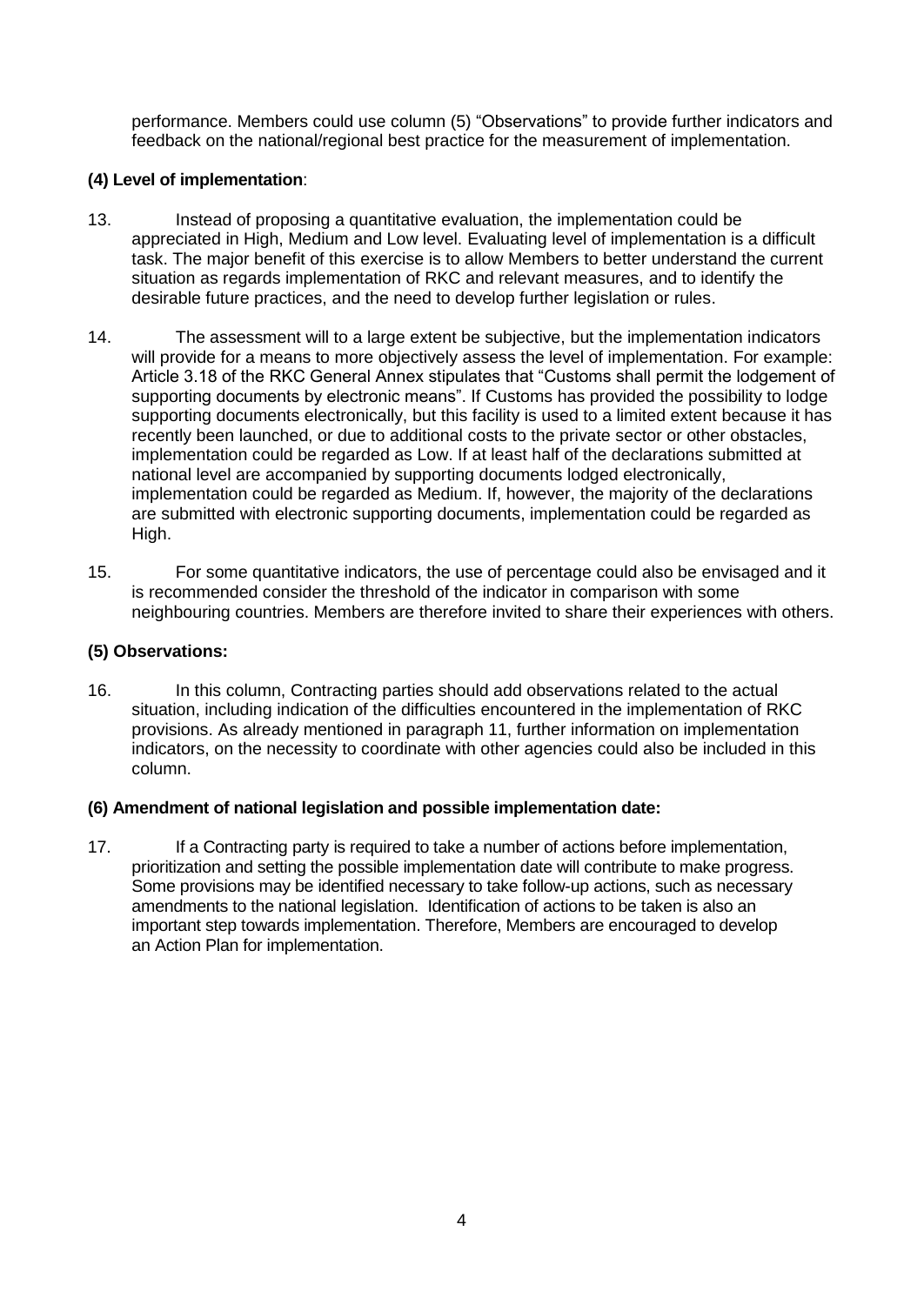performance. Members could use column (5) "Observations" to provide further indicators and feedback on the national/regional best practice for the measurement of implementation.

#### **(4) Level of implementation**:

- 13. Instead of proposing a quantitative evaluation, the implementation could be appreciated in High, Medium and Low level. Evaluating level of implementation is a difficult task. The major benefit of this exercise is to allow Members to better understand the current situation as regards implementation of RKC and relevant measures, and to identify the desirable future practices, and the need to develop further legislation or rules.
- 14. The assessment will to a large extent be subjective, but the implementation indicators will provide for a means to more objectively assess the level of implementation. For example: Article 3.18 of the RKC General Annex stipulates that "Customs shall permit the lodgement of supporting documents by electronic means". If Customs has provided the possibility to lodge supporting documents electronically, but this facility is used to a limited extent because it has recently been launched, or due to additional costs to the private sector or other obstacles, implementation could be regarded as Low. If at least half of the declarations submitted at national level are accompanied by supporting documents lodged electronically, implementation could be regarded as Medium. If, however, the majority of the declarations are submitted with electronic supporting documents, implementation could be regarded as High.
- 15. For some quantitative indicators, the use of percentage could also be envisaged and it is recommended consider the threshold of the indicator in comparison with some neighbouring countries. Members are therefore invited to share their experiences with others.

#### **(5) Observations:**

16. In this column, Contracting parties should add observations related to the actual situation, including indication of the difficulties encountered in the implementation of RKC provisions. As already mentioned in paragraph 11, further information on implementation indicators, on the necessity to coordinate with other agencies could also be included in this column.

#### **(6) Amendment of national legislation and possible implementation date:**

17. If a Contracting party is required to take a number of actions before implementation, prioritization and setting the possible implementation date will contribute to make progress. Some provisions may be identified necessary to take follow-up actions, such as necessary amendments to the national legislation. Identification of actions to be taken is also an important step towards implementation. Therefore, Members are encouraged to develop an Action Plan for implementation.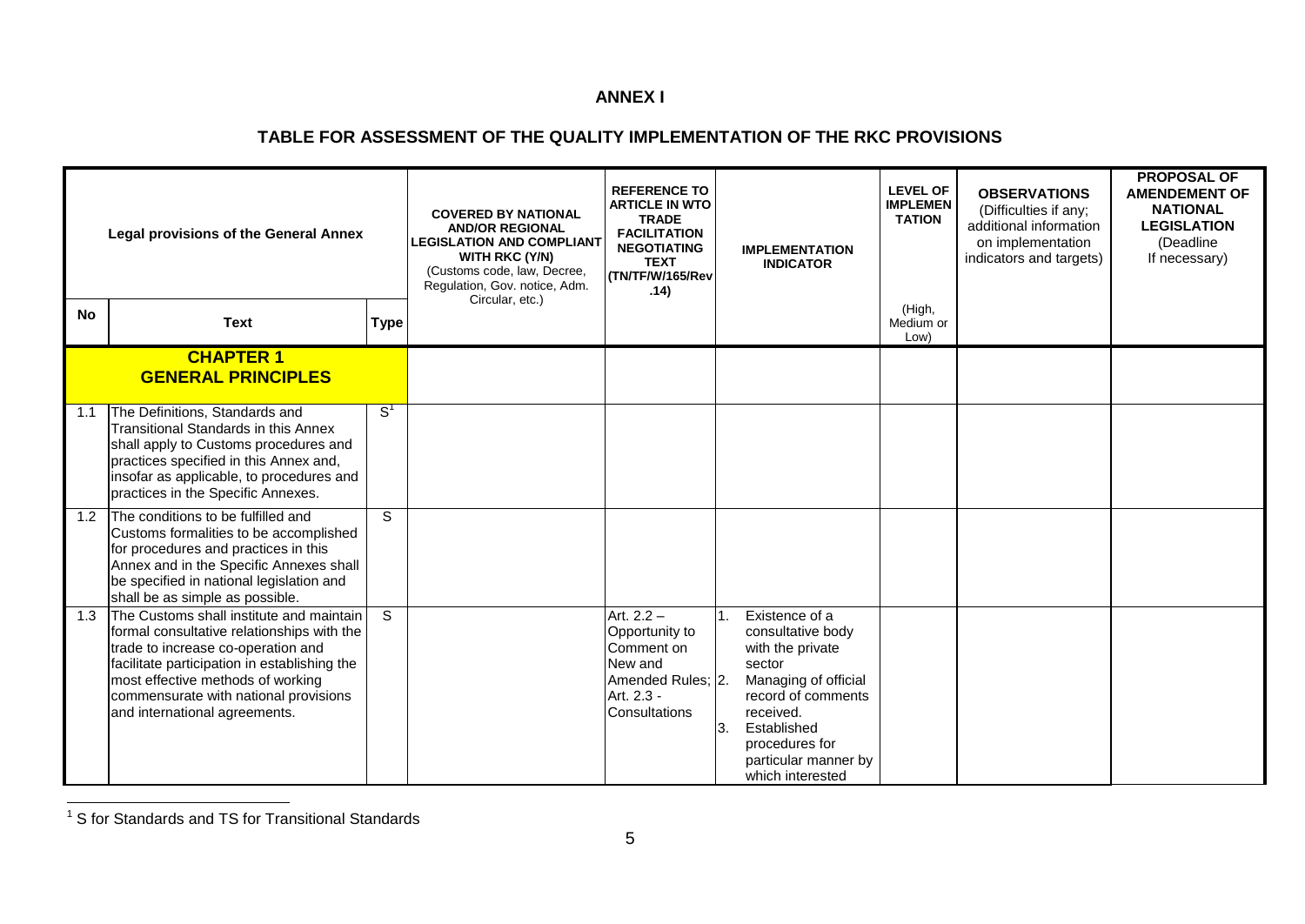#### **ANNEX I**

#### **TABLE FOR ASSESSMENT OF THE QUALITY IMPLEMENTATION OF THE RKC PROVISIONS**

| <b>Legal provisions of the General Annex</b> |                                                                                                                                                                                                                                                                                             | <b>COVERED BY NATIONAL</b><br><b>AND/OR REGIONAL</b><br><b>LEGISLATION AND COMPLIANT</b><br>WITH RKC (Y/N)<br>(Customs code, law, Decree,<br>Regulation, Gov. notice, Adm. | <b>REFERENCE TO</b><br><b>ARTICLE IN WTO</b><br><b>TRADE</b><br><b>FACILITATION</b><br><b>NEGOTIATING</b><br><b>TEXT</b><br>(TN/TF/W/165/Rev<br>.14) | <b>IMPLEMENTATION</b><br><b>INDICATOR</b>                                                                   |           | <b>LEVEL OF</b><br><b>IMPLEMEN</b><br><b>TATION</b>                                                                                                                                                       | <b>OBSERVATIONS</b><br>(Difficulties if any;<br>additional information<br>on implementation<br>indicators and targets) | <b>PROPOSAL OF</b><br><b>AMENDEMENT OF</b><br><b>NATIONAL</b><br><b>LEGISLATION</b><br>(Deadline<br>If necessary) |  |
|----------------------------------------------|---------------------------------------------------------------------------------------------------------------------------------------------------------------------------------------------------------------------------------------------------------------------------------------------|----------------------------------------------------------------------------------------------------------------------------------------------------------------------------|------------------------------------------------------------------------------------------------------------------------------------------------------|-------------------------------------------------------------------------------------------------------------|-----------|-----------------------------------------------------------------------------------------------------------------------------------------------------------------------------------------------------------|------------------------------------------------------------------------------------------------------------------------|-------------------------------------------------------------------------------------------------------------------|--|
| <b>No</b>                                    | <b>Text</b>                                                                                                                                                                                                                                                                                 | <b>Type</b>                                                                                                                                                                | Circular, etc.)                                                                                                                                      |                                                                                                             |           |                                                                                                                                                                                                           | (High,<br>Medium or<br>Low)                                                                                            |                                                                                                                   |  |
|                                              | <b>CHAPTER 1</b><br><b>GENERAL PRINCIPLES</b>                                                                                                                                                                                                                                               |                                                                                                                                                                            |                                                                                                                                                      |                                                                                                             |           |                                                                                                                                                                                                           |                                                                                                                        |                                                                                                                   |  |
| 1.1                                          | The Definitions, Standards and<br>Transitional Standards in this Annex<br>shall apply to Customs procedures and<br>practices specified in this Annex and,<br>insofar as applicable, to procedures and<br>practices in the Specific Annexes.                                                 | $\textsf{S}^{\textsf{1}}$                                                                                                                                                  |                                                                                                                                                      |                                                                                                             |           |                                                                                                                                                                                                           |                                                                                                                        |                                                                                                                   |  |
| 1.2                                          | The conditions to be fulfilled and<br>Customs formalities to be accomplished<br>for procedures and practices in this<br>Annex and in the Specific Annexes shall<br>be specified in national legislation and<br>shall be as simple as possible.                                              | S.                                                                                                                                                                         |                                                                                                                                                      |                                                                                                             |           |                                                                                                                                                                                                           |                                                                                                                        |                                                                                                                   |  |
| 1.3                                          | The Customs shall institute and maintain<br>formal consultative relationships with the<br>trade to increase co-operation and<br>facilitate participation in establishing the<br>most effective methods of working<br>commensurate with national provisions<br>and international agreements. | S.                                                                                                                                                                         |                                                                                                                                                      | Art. $2.2 -$<br>Opportunity to<br>Comment on<br>New and<br>Amended Rules; 2.<br>Art. 2.3 -<br>Consultations | 1.<br>ΙЗ. | Existence of a<br>consultative body<br>with the private<br>sector<br>Managing of official<br>record of comments<br>received.<br>Established<br>procedures for<br>particular manner by<br>which interested |                                                                                                                        |                                                                                                                   |  |

 1 S for Standards and TS for Transitional Standards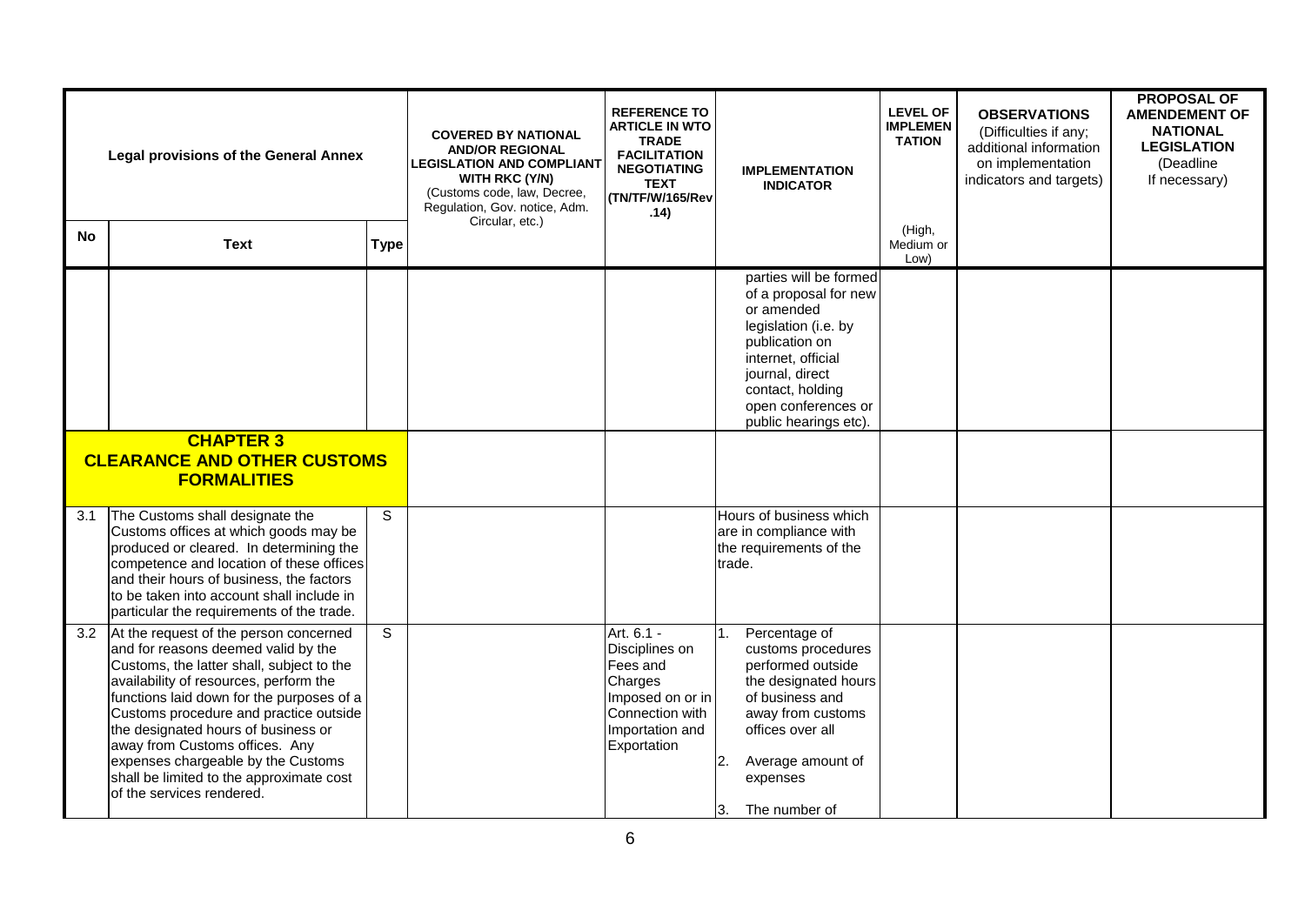|           | <b>Legal provisions of the General Annex</b>                                                                                                                                                                                                                                                                                                                                                                                                        |             | <b>COVERED BY NATIONAL</b><br><b>AND/OR REGIONAL</b><br><b>LEGISLATION AND COMPLIANT</b><br><b>WITH RKC (Y/N)</b><br>(Customs code, law, Decree,<br>Regulation, Gov. notice, Adm.<br>Circular, etc.) | <b>REFERENCE TO</b><br><b>ARTICLE IN WTO</b><br><b>TRADE</b><br><b>FACILITATION</b><br><b>NEGOTIATING</b><br><b>TEXT</b><br>(TN/TF/W/165/Rev<br>.14) | <b>IMPLEMENTATION</b><br><b>INDICATOR</b>                                                                                                                                                                            | <b>LEVEL OF</b><br><b>IMPLEMEN</b><br><b>TATION</b> | <b>OBSERVATIONS</b><br>(Difficulties if any;<br>additional information<br>on implementation<br>indicators and targets) | <b>PROPOSAL OF</b><br><b>AMENDEMENT OF</b><br><b>NATIONAL</b><br><b>LEGISLATION</b><br>(Deadline<br>If necessary) |
|-----------|-----------------------------------------------------------------------------------------------------------------------------------------------------------------------------------------------------------------------------------------------------------------------------------------------------------------------------------------------------------------------------------------------------------------------------------------------------|-------------|------------------------------------------------------------------------------------------------------------------------------------------------------------------------------------------------------|------------------------------------------------------------------------------------------------------------------------------------------------------|----------------------------------------------------------------------------------------------------------------------------------------------------------------------------------------------------------------------|-----------------------------------------------------|------------------------------------------------------------------------------------------------------------------------|-------------------------------------------------------------------------------------------------------------------|
| <b>No</b> | <b>Text</b>                                                                                                                                                                                                                                                                                                                                                                                                                                         | <b>Type</b> |                                                                                                                                                                                                      |                                                                                                                                                      |                                                                                                                                                                                                                      | (High,<br>Medium or<br>Low)                         |                                                                                                                        |                                                                                                                   |
|           | <b>CHAPTER 3</b>                                                                                                                                                                                                                                                                                                                                                                                                                                    |             |                                                                                                                                                                                                      |                                                                                                                                                      | parties will be formed<br>of a proposal for new<br>or amended<br>legislation (i.e. by<br>publication on<br>internet, official<br>journal, direct<br>contact, holding<br>open conferences or<br>public hearings etc). |                                                     |                                                                                                                        |                                                                                                                   |
|           | <b>CLEARANCE AND OTHER CUSTOMS</b><br><b>FORMALITIES</b>                                                                                                                                                                                                                                                                                                                                                                                            |             |                                                                                                                                                                                                      |                                                                                                                                                      |                                                                                                                                                                                                                      |                                                     |                                                                                                                        |                                                                                                                   |
| 3.1       | The Customs shall designate the<br>Customs offices at which goods may be<br>produced or cleared. In determining the<br>competence and location of these offices<br>and their hours of business, the factors<br>to be taken into account shall include in<br>particular the requirements of the trade.                                                                                                                                               | S           |                                                                                                                                                                                                      |                                                                                                                                                      | Hours of business which<br>are in compliance with<br>the requirements of the<br>trade.                                                                                                                               |                                                     |                                                                                                                        |                                                                                                                   |
| 3.2       | At the request of the person concerned<br>and for reasons deemed valid by the<br>Customs, the latter shall, subject to the<br>availability of resources, perform the<br>functions laid down for the purposes of a<br>Customs procedure and practice outside<br>the designated hours of business or<br>away from Customs offices. Any<br>expenses chargeable by the Customs<br>shall be limited to the approximate cost<br>of the services rendered. | S           |                                                                                                                                                                                                      | Art. 6.1 -<br>Disciplines on<br>Fees and<br>Charges<br>Imposed on or in<br>Connection with<br>Importation and<br>Exportation                         | Percentage of<br>1.<br>customs procedures<br>performed outside<br>the designated hours<br>of business and<br>away from customs<br>offices over all<br>2.<br>Average amount of<br>expenses<br>The number of<br>ΙЗ.    |                                                     |                                                                                                                        |                                                                                                                   |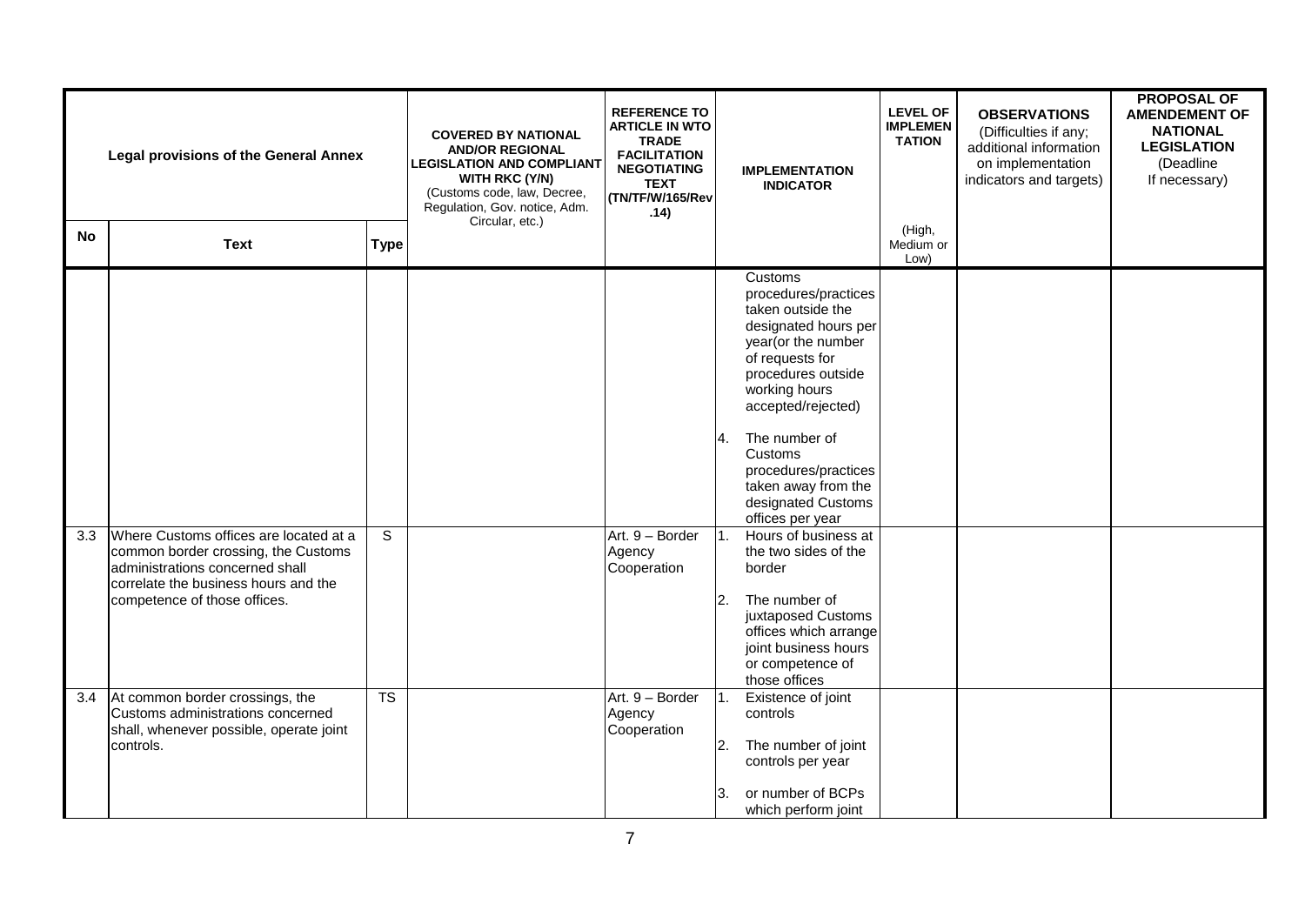| <b>Legal provisions of the General Annex</b> |                                                                                                                                                                                          | <b>COVERED BY NATIONAL</b><br><b>AND/OR REGIONAL</b><br><b>LEGISLATION AND COMPLIANT</b><br><b>WITH RKC (Y/N)</b><br>(Customs code, law, Decree,<br>Regulation, Gov. notice, Adm.<br>Circular, etc.) | <b>REFERENCE TO</b><br><b>ARTICLE IN WTO</b><br><b>TRADE</b><br><b>FACILITATION</b><br><b>NEGOTIATING</b><br><b>TEXT</b><br>(TN/TF/W/165/Rev<br>.14) |                                          | <b>IMPLEMENTATION</b><br><b>INDICATOR</b> | <b>LEVEL OF</b><br><b>IMPLEMEN</b><br><b>TATION</b>                                                                                                                                                                                                                                                                                                                                                                               | <b>OBSERVATIONS</b><br>(Difficulties if any;<br>additional information<br>on implementation<br>indicators and targets) | <b>PROPOSAL OF</b><br><b>AMENDEMENT OF</b><br><b>NATIONAL</b><br><b>LEGISLATION</b><br>(Deadline<br>If necessary) |  |
|----------------------------------------------|------------------------------------------------------------------------------------------------------------------------------------------------------------------------------------------|------------------------------------------------------------------------------------------------------------------------------------------------------------------------------------------------------|------------------------------------------------------------------------------------------------------------------------------------------------------|------------------------------------------|-------------------------------------------|-----------------------------------------------------------------------------------------------------------------------------------------------------------------------------------------------------------------------------------------------------------------------------------------------------------------------------------------------------------------------------------------------------------------------------------|------------------------------------------------------------------------------------------------------------------------|-------------------------------------------------------------------------------------------------------------------|--|
| <b>No</b>                                    | <b>Text</b>                                                                                                                                                                              | <b>Type</b>                                                                                                                                                                                          |                                                                                                                                                      |                                          |                                           |                                                                                                                                                                                                                                                                                                                                                                                                                                   | (High,<br>Medium or<br>Low)                                                                                            |                                                                                                                   |  |
| 3.3                                          | Where Customs offices are located at a<br>common border crossing, the Customs<br>administrations concerned shall<br>correlate the business hours and the<br>competence of those offices. | S                                                                                                                                                                                                    |                                                                                                                                                      | Art. 9 - Border<br>Agency<br>Cooperation | 4.<br>1.<br>2.                            | Customs<br>procedures/practices<br>taken outside the<br>designated hours per<br>year(or the number<br>of requests for<br>procedures outside<br>working hours<br>accepted/rejected)<br>The number of<br>Customs<br>procedures/practices<br>taken away from the<br>designated Customs<br>offices per year<br>Hours of business at<br>the two sides of the<br>border<br>The number of<br>juxtaposed Customs<br>offices which arrange |                                                                                                                        |                                                                                                                   |  |
|                                              |                                                                                                                                                                                          |                                                                                                                                                                                                      |                                                                                                                                                      |                                          |                                           | joint business hours<br>or competence of<br>those offices                                                                                                                                                                                                                                                                                                                                                                         |                                                                                                                        |                                                                                                                   |  |
| 3.4                                          | At common border crossings, the<br>Customs administrations concerned<br>shall, whenever possible, operate joint<br>controls.                                                             | $\overline{\text{TS}}$                                                                                                                                                                               |                                                                                                                                                      | Art. 9 - Border<br>Agency<br>Cooperation | 1.<br>2.<br>3.                            | Existence of joint<br>controls<br>The number of joint<br>controls per year<br>or number of BCPs<br>which perform joint                                                                                                                                                                                                                                                                                                            |                                                                                                                        |                                                                                                                   |  |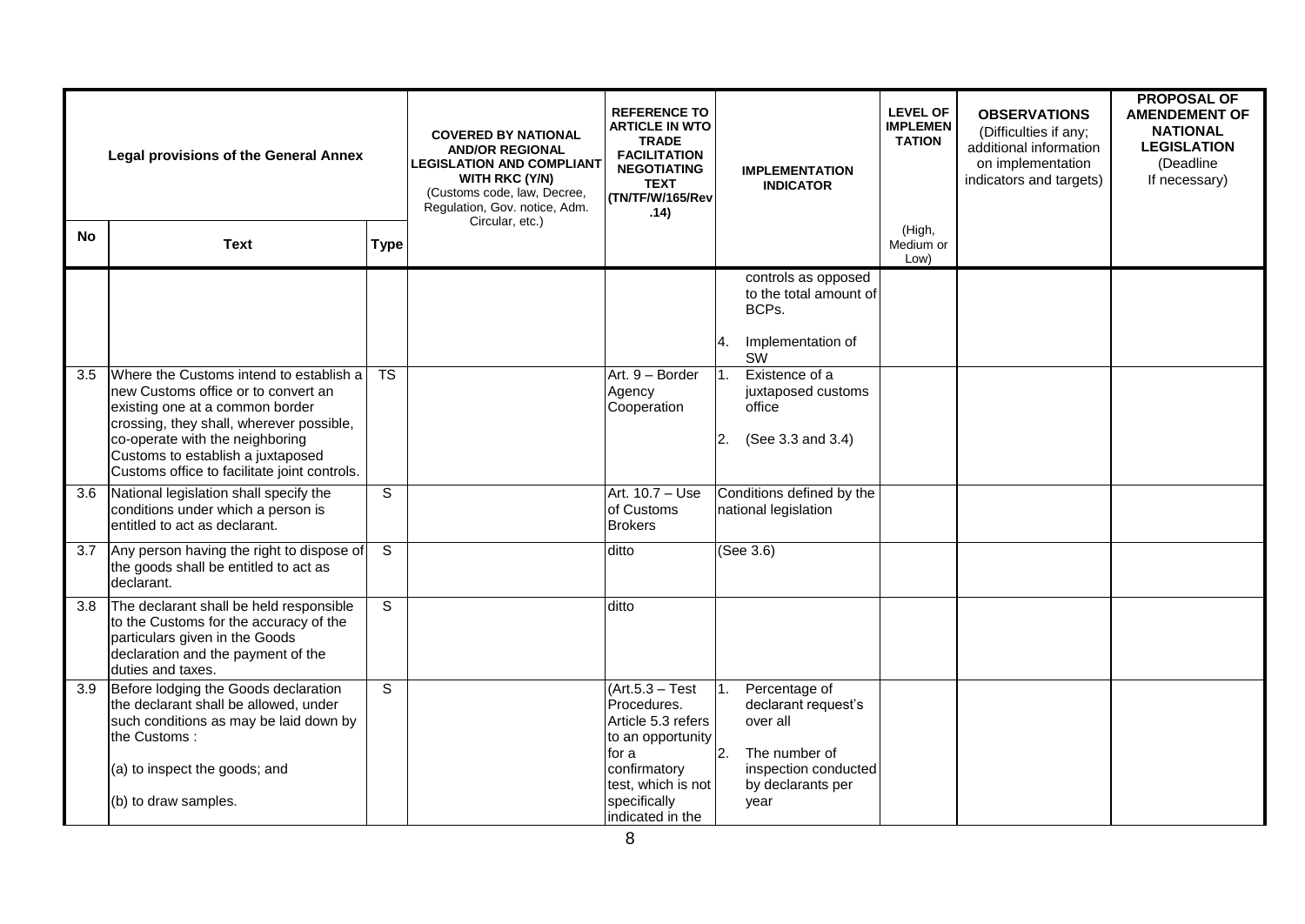| <b>Legal provisions of the General Annex</b> |                                                                                                                                                                                                                                                                                       | <b>COVERED BY NATIONAL</b><br><b>AND/OR REGIONAL</b><br><b>LEGISLATION AND COMPLIANT</b><br><b>WITH RKC (Y/N)</b><br>(Customs code, law, Decree,<br>Regulation, Gov. notice, Adm.<br>Circular, etc.) | <b>REFERENCE TO</b><br><b>ARTICLE IN WTO</b><br><b>TRADE</b><br><b>FACILITATION</b><br><b>NEGOTIATING</b><br><b>TEXT</b><br>(TN/TF/W/165/Rev<br>.14) | <b>IMPLEMENTATION</b><br><b>INDICATOR</b>                                             | <b>LEVEL OF</b><br><b>IMPLEMEN</b><br><b>TATION</b>                                     | <b>OBSERVATIONS</b><br>(Difficulties if any;<br>additional information<br>on implementation<br>indicators and targets) | <b>PROPOSAL OF</b><br><b>AMENDEMENT OF</b><br><b>NATIONAL</b><br><b>LEGISLATION</b><br>(Deadline<br>If necessary) |  |
|----------------------------------------------|---------------------------------------------------------------------------------------------------------------------------------------------------------------------------------------------------------------------------------------------------------------------------------------|------------------------------------------------------------------------------------------------------------------------------------------------------------------------------------------------------|------------------------------------------------------------------------------------------------------------------------------------------------------|---------------------------------------------------------------------------------------|-----------------------------------------------------------------------------------------|------------------------------------------------------------------------------------------------------------------------|-------------------------------------------------------------------------------------------------------------------|--|
| <b>No</b>                                    | <b>Text</b>                                                                                                                                                                                                                                                                           | <b>Type</b>                                                                                                                                                                                          |                                                                                                                                                      |                                                                                       |                                                                                         | (High,<br>Medium or<br>Low)                                                                                            |                                                                                                                   |  |
|                                              |                                                                                                                                                                                                                                                                                       |                                                                                                                                                                                                      |                                                                                                                                                      |                                                                                       | controls as opposed<br>to the total amount of<br>BCPs.<br>Implementation of<br>4.<br>SW |                                                                                                                        |                                                                                                                   |  |
| 3.5                                          | Where the Customs intend to establish a<br>new Customs office or to convert an<br>existing one at a common border<br>crossing, they shall, wherever possible,<br>co-operate with the neighboring<br>Customs to establish a juxtaposed<br>Customs office to facilitate joint controls. | <b>TS</b>                                                                                                                                                                                            |                                                                                                                                                      | Art. 9 - Border<br>Agency<br>Cooperation                                              | Existence of a<br>1.<br>juxtaposed customs<br>office<br>(See 3.3 and 3.4)<br>2.         |                                                                                                                        |                                                                                                                   |  |
| 3.6                                          | National legislation shall specify the<br>conditions under which a person is<br>entitled to act as declarant.                                                                                                                                                                         | S                                                                                                                                                                                                    |                                                                                                                                                      | Art. 10.7 - Use<br>of Customs<br><b>Brokers</b>                                       | Conditions defined by the<br>national legislation                                       |                                                                                                                        |                                                                                                                   |  |
| 3.7                                          | Any person having the right to dispose of<br>the goods shall be entitled to act as<br>declarant.                                                                                                                                                                                      | $\overline{s}$                                                                                                                                                                                       |                                                                                                                                                      | ditto                                                                                 | (See 3.6)                                                                               |                                                                                                                        |                                                                                                                   |  |
| 3.8                                          | The declarant shall be held responsible<br>to the Customs for the accuracy of the<br>particulars given in the Goods<br>declaration and the payment of the<br>duties and taxes.                                                                                                        | S                                                                                                                                                                                                    |                                                                                                                                                      | ditto                                                                                 |                                                                                         |                                                                                                                        |                                                                                                                   |  |
| 3.9                                          | Before lodging the Goods declaration<br>the declarant shall be allowed, under<br>such conditions as may be laid down by<br>the Customs:                                                                                                                                               | $\overline{s}$                                                                                                                                                                                       |                                                                                                                                                      | $(Art.5.3 - Test)$<br>Procedures.<br>Article 5.3 refers<br>to an opportunity<br>for a | Percentage of<br>1.<br>declarant request's<br>over all<br> 2.<br>The number of          |                                                                                                                        |                                                                                                                   |  |
|                                              | (a) to inspect the goods; and<br>(b) to draw samples.                                                                                                                                                                                                                                 |                                                                                                                                                                                                      |                                                                                                                                                      | confirmatory<br>test, which is not<br>specifically<br>indicated in the                | inspection conducted<br>by declarants per<br>year                                       |                                                                                                                        |                                                                                                                   |  |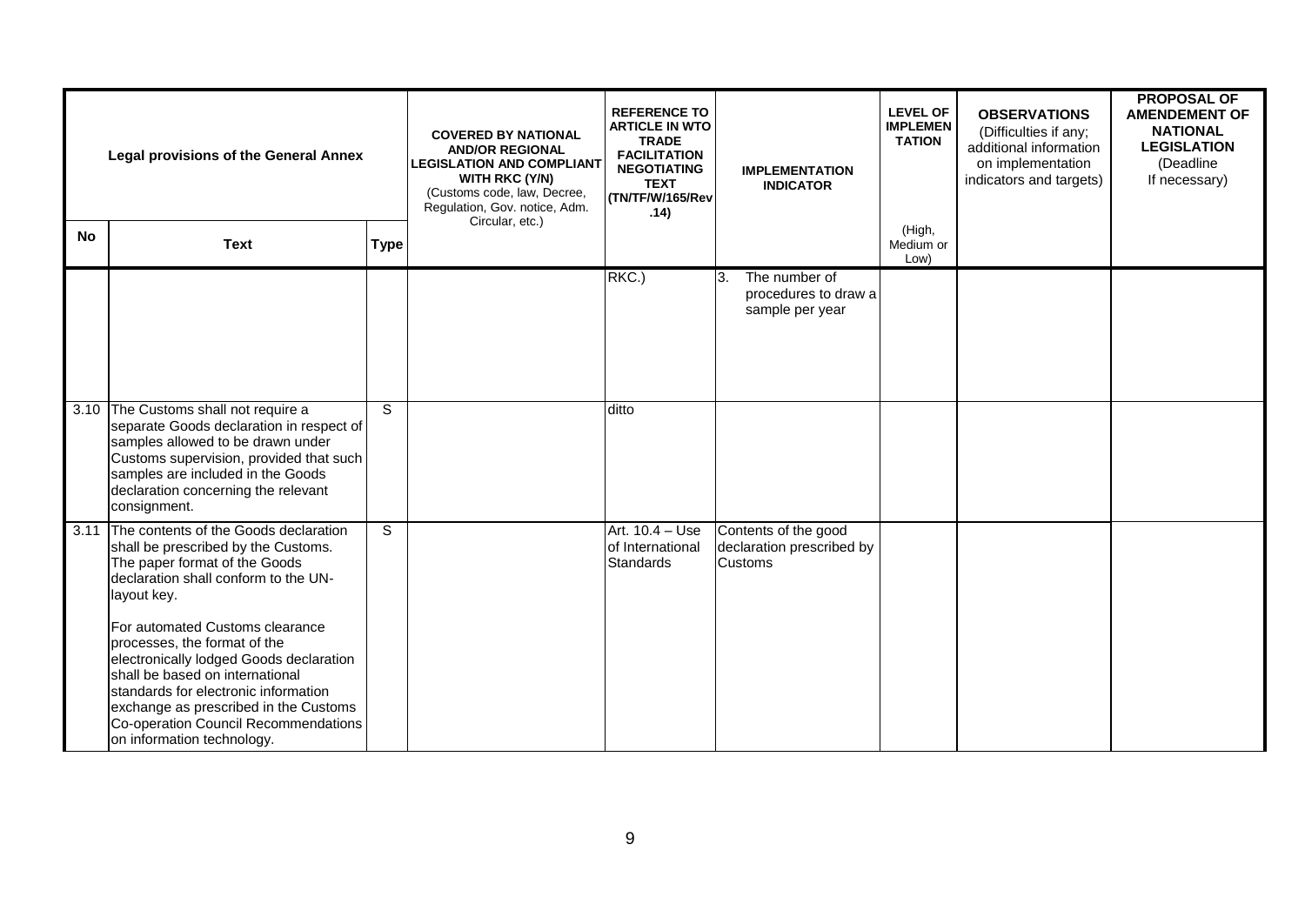| <b>Legal provisions of the General Annex</b> |                                                                                                                                                                                                                                                                                                      |                | <b>COVERED BY NATIONAL</b><br><b>AND/OR REGIONAL</b><br><b>LEGISLATION AND COMPLIANT</b><br><b>WITH RKC (Y/N)</b><br>(Customs code, law, Decree,<br>Regulation, Gov. notice, Adm.<br>Circular, etc.) | <b>REFERENCE TO</b><br><b>ARTICLE IN WTO</b><br><b>TRADE</b><br><b>FACILITATION</b><br><b>NEGOTIATING</b><br><b>TEXT</b><br>(TN/TF/W/165/Rev<br>.14) |                                        | <b>IMPLEMENTATION</b><br><b>INDICATOR</b>                | <b>LEVEL OF</b><br><b>IMPLEMEN</b><br><b>TATION</b> | <b>OBSERVATIONS</b><br>(Difficulties if any;<br>additional information<br>on implementation<br>indicators and targets) | <b>PROPOSAL OF</b><br><b>AMENDEMENT OF</b><br><b>NATIONAL</b><br><b>LEGISLATION</b><br>(Deadline<br>If necessary) |
|----------------------------------------------|------------------------------------------------------------------------------------------------------------------------------------------------------------------------------------------------------------------------------------------------------------------------------------------------------|----------------|------------------------------------------------------------------------------------------------------------------------------------------------------------------------------------------------------|------------------------------------------------------------------------------------------------------------------------------------------------------|----------------------------------------|----------------------------------------------------------|-----------------------------------------------------|------------------------------------------------------------------------------------------------------------------------|-------------------------------------------------------------------------------------------------------------------|
| <b>No</b>                                    | <b>Text</b>                                                                                                                                                                                                                                                                                          | <b>Type</b>    |                                                                                                                                                                                                      |                                                                                                                                                      |                                        |                                                          | (High,<br>Medium or<br>Low)                         |                                                                                                                        |                                                                                                                   |
|                                              |                                                                                                                                                                                                                                                                                                      |                |                                                                                                                                                                                                      | RKC.)                                                                                                                                                | lЗ.                                    | The number of<br>procedures to draw a<br>sample per year |                                                     |                                                                                                                        |                                                                                                                   |
|                                              | 3.10 The Customs shall not require a<br>separate Goods declaration in respect of<br>samples allowed to be drawn under<br>Customs supervision, provided that such<br>samples are included in the Goods<br>declaration concerning the relevant<br>consignment.                                         | $\overline{s}$ |                                                                                                                                                                                                      | ditto                                                                                                                                                |                                        |                                                          |                                                     |                                                                                                                        |                                                                                                                   |
| 3.11                                         | The contents of the Goods declaration<br>shall be prescribed by the Customs.<br>The paper format of the Goods<br>declaration shall conform to the UN-<br>layout key.                                                                                                                                 | S              |                                                                                                                                                                                                      | Art. 10.4 - Use<br>of International<br>Standards                                                                                                     | Contents of the good<br><b>Customs</b> | declaration prescribed by                                |                                                     |                                                                                                                        |                                                                                                                   |
|                                              | For automated Customs clearance<br>processes, the format of the<br>electronically lodged Goods declaration<br>shall be based on international<br>standards for electronic information<br>exchange as prescribed in the Customs<br>Co-operation Council Recommendations<br>on information technology. |                |                                                                                                                                                                                                      |                                                                                                                                                      |                                        |                                                          |                                                     |                                                                                                                        |                                                                                                                   |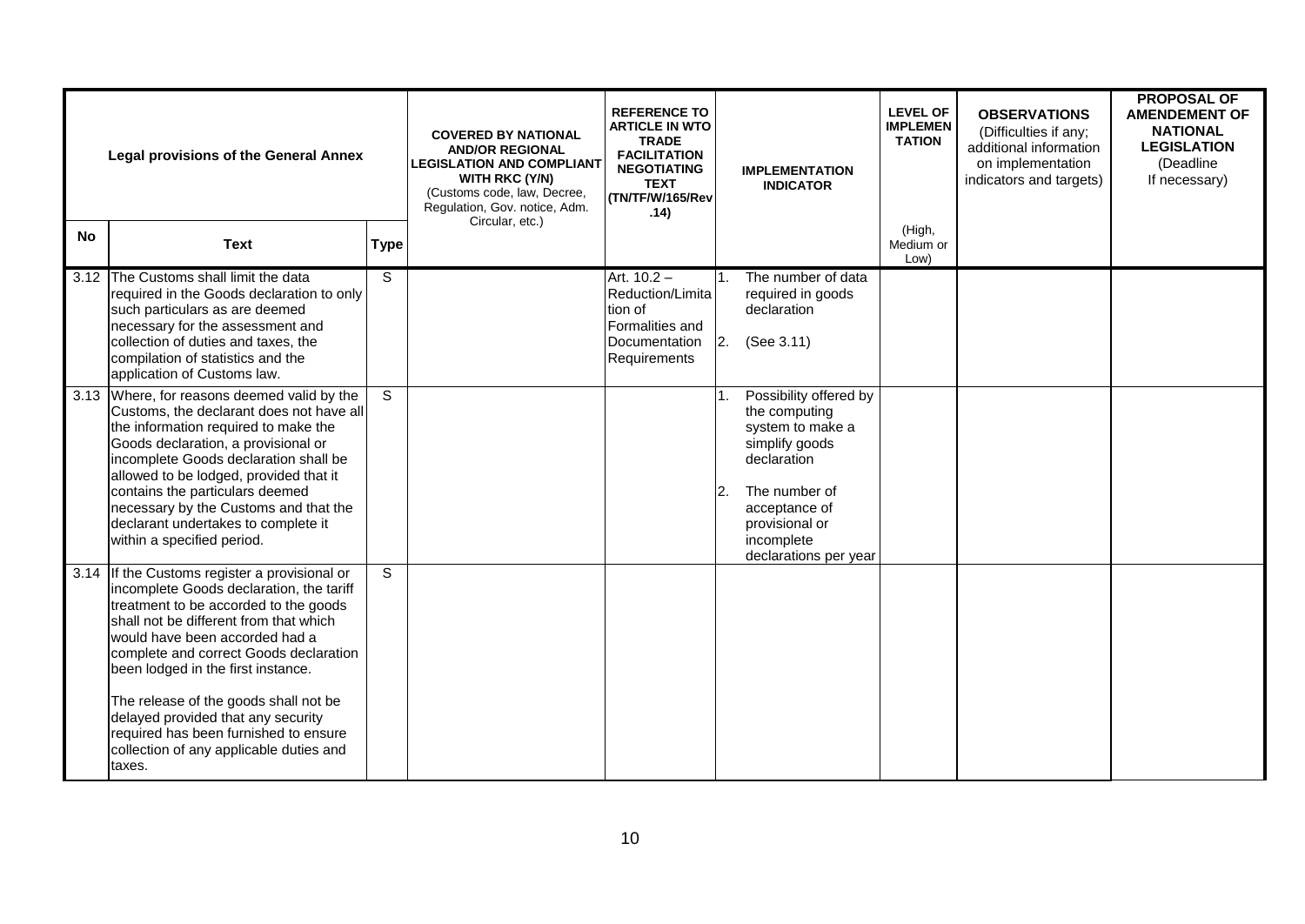| <b>Legal provisions of the General Annex</b> |                                                                                                                                                                                                                                                                                                                                                                                                                                                                             |                | <b>COVERED BY NATIONAL</b><br><b>AND/OR REGIONAL</b><br><b>LEGISLATION AND COMPLIANT</b><br><b>WITH RKC (Y/N)</b><br>(Customs code, law, Decree,<br>Regulation, Gov. notice, Adm. | <b>REFERENCE TO</b><br><b>ARTICLE IN WTO</b><br><b>TRADE</b><br><b>FACILITATION</b><br><b>NEGOTIATING</b><br><b>TEXT</b><br>(TN/TF/W/165/Rev<br>.14) |    | <b>IMPLEMENTATION</b><br><b>INDICATOR</b>                                                                                                                                               | <b>LEVEL OF</b><br><b>IMPLEMEN</b><br><b>TATION</b> | <b>OBSERVATIONS</b><br>(Difficulties if any;<br>additional information<br>on implementation<br>indicators and targets) | <b>PROPOSAL OF</b><br><b>AMENDEMENT OF</b><br><b>NATIONAL</b><br><b>LEGISLATION</b><br>(Deadline<br>If necessary) |
|----------------------------------------------|-----------------------------------------------------------------------------------------------------------------------------------------------------------------------------------------------------------------------------------------------------------------------------------------------------------------------------------------------------------------------------------------------------------------------------------------------------------------------------|----------------|-----------------------------------------------------------------------------------------------------------------------------------------------------------------------------------|------------------------------------------------------------------------------------------------------------------------------------------------------|----|-----------------------------------------------------------------------------------------------------------------------------------------------------------------------------------------|-----------------------------------------------------|------------------------------------------------------------------------------------------------------------------------|-------------------------------------------------------------------------------------------------------------------|
| No                                           | <b>Text</b>                                                                                                                                                                                                                                                                                                                                                                                                                                                                 | <b>Type</b>    | Circular, etc.)                                                                                                                                                                   |                                                                                                                                                      |    |                                                                                                                                                                                         | (High,<br>Medium or<br>Low)                         |                                                                                                                        |                                                                                                                   |
|                                              | 3.12 The Customs shall limit the data<br>required in the Goods declaration to only<br>such particulars as are deemed<br>necessary for the assessment and<br>collection of duties and taxes, the<br>compilation of statistics and the<br>application of Customs law.                                                                                                                                                                                                         | $\overline{s}$ |                                                                                                                                                                                   | Art. $10.2 -$<br>Reduction/Limita<br>tion of<br>Formalities and<br>Documentation<br>Requirements                                                     | 2. | The number of data<br>required in goods<br>declaration<br>(See 3.11)                                                                                                                    |                                                     |                                                                                                                        |                                                                                                                   |
|                                              | 3.13 Where, for reasons deemed valid by the<br>Customs, the declarant does not have all<br>the information required to make the<br>Goods declaration, a provisional or<br>incomplete Goods declaration shall be<br>allowed to be lodged, provided that it<br>contains the particulars deemed<br>necessary by the Customs and that the<br>declarant undertakes to complete it<br>within a specified period.                                                                  | S              |                                                                                                                                                                                   |                                                                                                                                                      | 2. | Possibility offered by<br>the computing<br>system to make a<br>simplify goods<br>declaration<br>The number of<br>acceptance of<br>provisional or<br>incomplete<br>declarations per year |                                                     |                                                                                                                        |                                                                                                                   |
|                                              | 3.14 If the Customs register a provisional or<br>incomplete Goods declaration, the tariff<br>treatment to be accorded to the goods<br>shall not be different from that which<br>would have been accorded had a<br>complete and correct Goods declaration<br>been lodged in the first instance.<br>The release of the goods shall not be<br>delayed provided that any security<br>required has been furnished to ensure<br>collection of any applicable duties and<br>taxes. | $\overline{s}$ |                                                                                                                                                                                   |                                                                                                                                                      |    |                                                                                                                                                                                         |                                                     |                                                                                                                        |                                                                                                                   |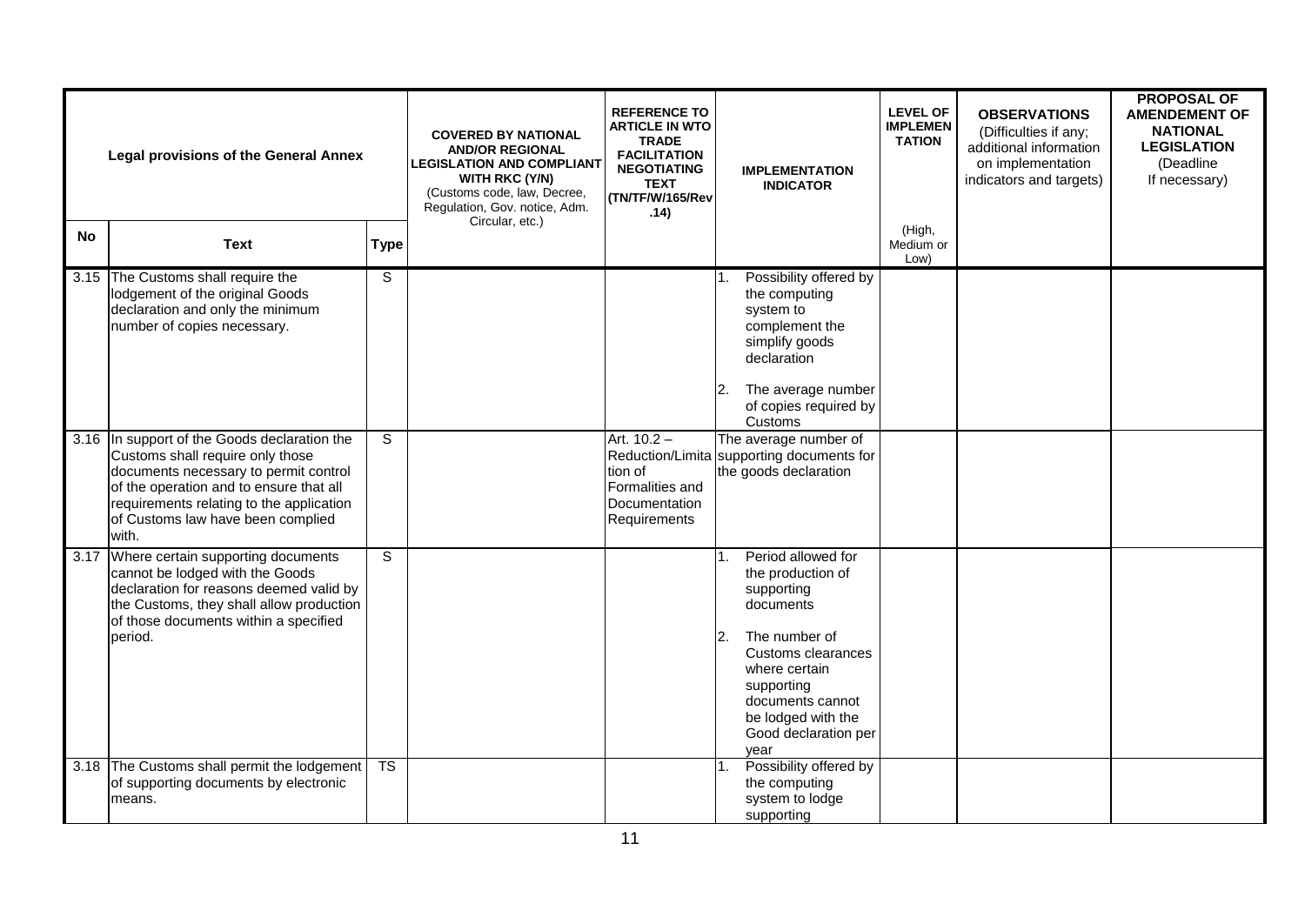| <b>Legal provisions of the General Annex</b> |                                                                                                                                                                                                                                                                |                        | <b>COVERED BY NATIONAL</b><br><b>AND/OR REGIONAL</b><br><b>LEGISLATION AND COMPLIANT</b><br>WITH RKC (Y/N)<br>(Customs code, law, Decree,<br>Regulation, Gov. notice, Adm.<br>Circular, etc.) | <b>REFERENCE TO</b><br><b>ARTICLE IN WTO</b><br><b>TRADE</b><br><b>FACILITATION</b><br><b>NEGOTIATING</b><br><b>TEXT</b><br>(TN/TF/W/165/Rev<br>.14) | <b>IMPLEMENTATION</b><br><b>INDICATOR</b>                                                                                                                                                                                | <b>LEVEL OF</b><br><b>IMPLEMEN</b><br><b>TATION</b> | <b>OBSERVATIONS</b><br>(Difficulties if any;<br>additional information<br>on implementation<br>indicators and targets) | <b>PROPOSAL OF</b><br><b>AMENDEMENT OF</b><br><b>NATIONAL</b><br><b>LEGISLATION</b><br>(Deadline<br>If necessary) |
|----------------------------------------------|----------------------------------------------------------------------------------------------------------------------------------------------------------------------------------------------------------------------------------------------------------------|------------------------|-----------------------------------------------------------------------------------------------------------------------------------------------------------------------------------------------|------------------------------------------------------------------------------------------------------------------------------------------------------|--------------------------------------------------------------------------------------------------------------------------------------------------------------------------------------------------------------------------|-----------------------------------------------------|------------------------------------------------------------------------------------------------------------------------|-------------------------------------------------------------------------------------------------------------------|
| No                                           | <b>Text</b>                                                                                                                                                                                                                                                    | <b>Type</b>            |                                                                                                                                                                                               |                                                                                                                                                      |                                                                                                                                                                                                                          | (High,<br>Medium or<br>Low)                         |                                                                                                                        |                                                                                                                   |
|                                              | 3.15 The Customs shall require the<br>lodgement of the original Goods<br>declaration and only the minimum<br>number of copies necessary.                                                                                                                       | S                      |                                                                                                                                                                                               |                                                                                                                                                      | Possibility offered by<br>the computing<br>system to<br>complement the<br>simplify goods<br>declaration<br>The average number<br>12.<br>of copies required by<br>Customs                                                 |                                                     |                                                                                                                        |                                                                                                                   |
|                                              | 3.16 In support of the Goods declaration the<br>Customs shall require only those<br>documents necessary to permit control<br>of the operation and to ensure that all<br>requirements relating to the application<br>of Customs law have been complied<br>with. | S                      |                                                                                                                                                                                               | Art. 10.2 -<br>tion of<br>Formalities and<br>Documentation<br>Requirements                                                                           | The average number of<br>Reduction/Limita supporting documents for<br>the goods declaration                                                                                                                              |                                                     |                                                                                                                        |                                                                                                                   |
|                                              | 3.17 Where certain supporting documents<br>cannot be lodged with the Goods<br>declaration for reasons deemed valid by<br>the Customs, they shall allow production<br>of those documents within a specified<br>period.                                          | S                      |                                                                                                                                                                                               |                                                                                                                                                      | Period allowed for<br>the production of<br>supporting<br>documents<br>2.<br>The number of<br>Customs clearances<br>where certain<br>supporting<br>documents cannot<br>be lodged with the<br>Good declaration per<br>vear |                                                     |                                                                                                                        |                                                                                                                   |
|                                              | 3.18 The Customs shall permit the lodgement<br>of supporting documents by electronic<br>means.                                                                                                                                                                 | $\overline{\text{TS}}$ |                                                                                                                                                                                               |                                                                                                                                                      | Possibility offered by<br>the computing<br>system to lodge<br>supporting                                                                                                                                                 |                                                     |                                                                                                                        |                                                                                                                   |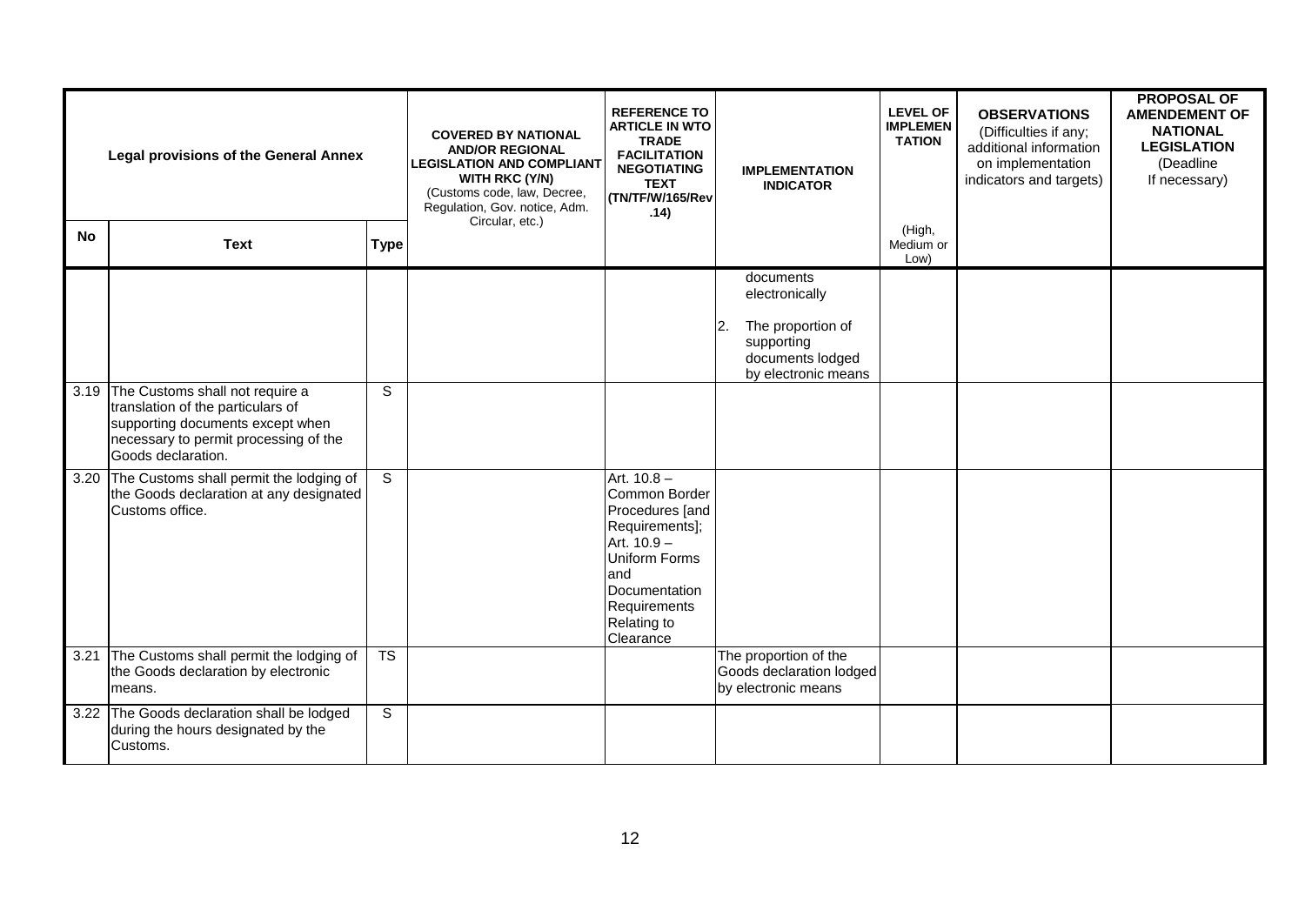| <b>Legal provisions of the General Annex</b> |                                                                                                                                                                              | <b>REFERENCE TO</b><br><b>ARTICLE IN WTO</b><br><b>COVERED BY NATIONAL</b><br><b>TRADE</b><br><b>AND/OR REGIONAL</b><br><b>FACILITATION</b><br><b>LEGISLATION AND COMPLIANT</b><br><b>NEGOTIATING</b><br><b>WITH RKC (Y/N)</b><br><b>TEXT</b><br>(Customs code, law, Decree,<br>(TN/TF/W/165/Rev<br>Regulation, Gov. notice, Adm.<br>.14)<br>Circular, etc.) |  |                                                                                                                                                                         | <b>IMPLEMENTATION</b><br><b>INDICATOR</b> | <b>LEVEL OF</b><br><b>IMPLEMEN</b><br><b>TATION</b>                                                       | <b>OBSERVATIONS</b><br>(Difficulties if any;<br>additional information<br>on implementation<br>indicators and targets) | <b>PROPOSAL OF</b><br><b>AMENDEMENT OF</b><br><b>NATIONAL</b><br><b>LEGISLATION</b><br>(Deadline<br>If necessary) |  |
|----------------------------------------------|------------------------------------------------------------------------------------------------------------------------------------------------------------------------------|--------------------------------------------------------------------------------------------------------------------------------------------------------------------------------------------------------------------------------------------------------------------------------------------------------------------------------------------------------------|--|-------------------------------------------------------------------------------------------------------------------------------------------------------------------------|-------------------------------------------|-----------------------------------------------------------------------------------------------------------|------------------------------------------------------------------------------------------------------------------------|-------------------------------------------------------------------------------------------------------------------|--|
| <b>No</b>                                    | <b>Text</b>                                                                                                                                                                  | <b>Type</b>                                                                                                                                                                                                                                                                                                                                                  |  |                                                                                                                                                                         |                                           |                                                                                                           | (High,<br>Medium or<br>Low)                                                                                            |                                                                                                                   |  |
|                                              |                                                                                                                                                                              |                                                                                                                                                                                                                                                                                                                                                              |  |                                                                                                                                                                         | 2.                                        | documents<br>electronically<br>The proportion of<br>supporting<br>documents lodged<br>by electronic means |                                                                                                                        |                                                                                                                   |  |
|                                              | 3.19 The Customs shall not require a<br>translation of the particulars of<br>supporting documents except when<br>necessary to permit processing of the<br>Goods declaration. | S                                                                                                                                                                                                                                                                                                                                                            |  |                                                                                                                                                                         |                                           |                                                                                                           |                                                                                                                        |                                                                                                                   |  |
| 3.20                                         | The Customs shall permit the lodging of<br>the Goods declaration at any designated<br>Customs office.                                                                        | S                                                                                                                                                                                                                                                                                                                                                            |  | Art. $10.8 -$<br>Common Border<br>Procedures [and<br>Requirements];<br>Art. 10.9 -<br>Uniform Forms<br>and<br>Documentation<br>Requirements<br>Relating to<br>Clearance |                                           |                                                                                                           |                                                                                                                        |                                                                                                                   |  |
| 3.21                                         | The Customs shall permit the lodging of<br>the Goods declaration by electronic<br>means.                                                                                     | <b>TS</b>                                                                                                                                                                                                                                                                                                                                                    |  |                                                                                                                                                                         |                                           | The proportion of the<br>Goods declaration lodged<br>by electronic means                                  |                                                                                                                        |                                                                                                                   |  |
|                                              | 3.22 The Goods declaration shall be lodged<br>during the hours designated by the<br>Customs.                                                                                 | S                                                                                                                                                                                                                                                                                                                                                            |  |                                                                                                                                                                         |                                           |                                                                                                           |                                                                                                                        |                                                                                                                   |  |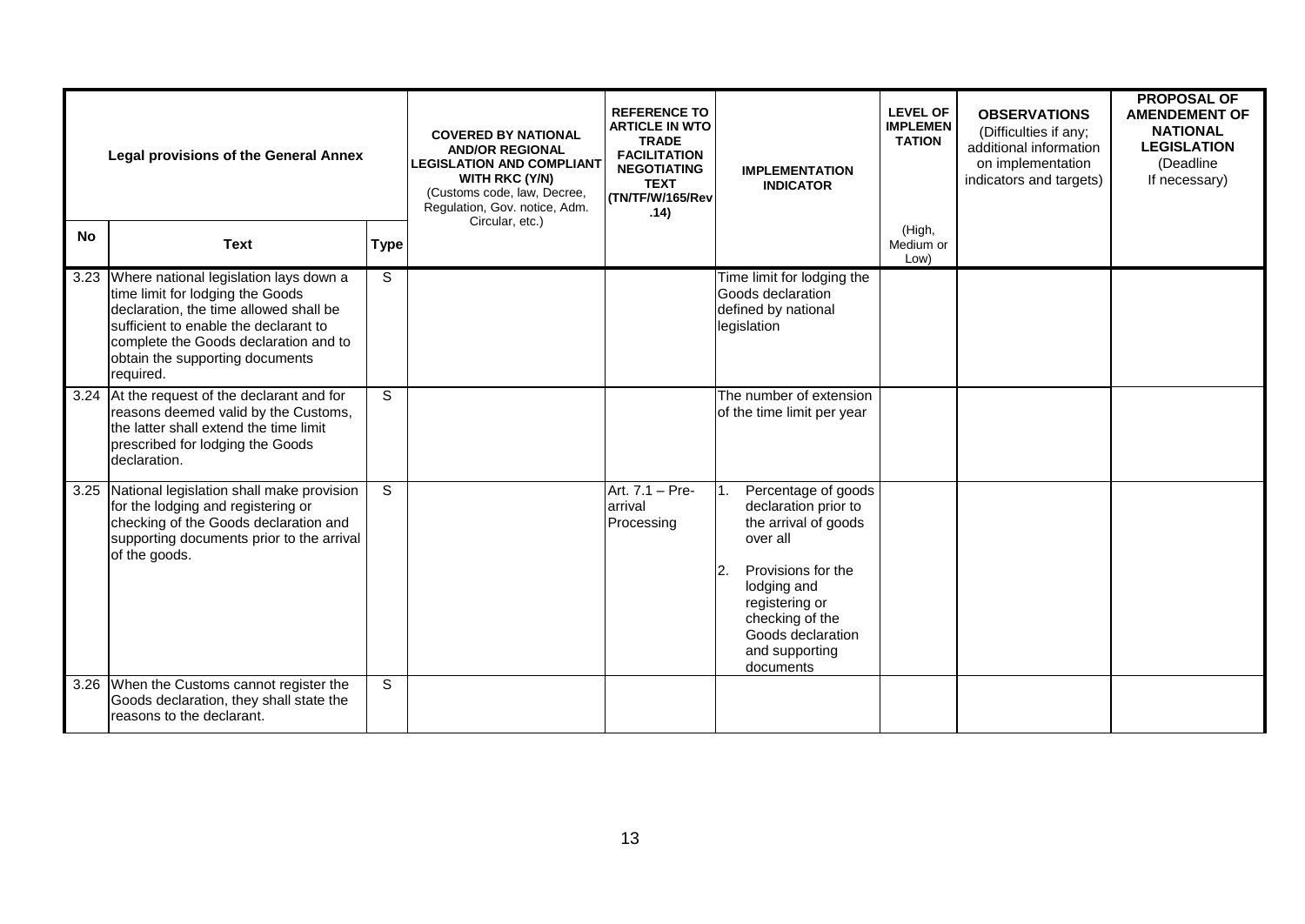| <b>Legal provisions of the General Annex</b> |                                                                                                                                                                                                                                                             | <b>REFERENCE TO</b><br><b>ARTICLE IN WTO</b><br><b>COVERED BY NATIONAL</b><br><b>TRADE</b><br><b>AND/OR REGIONAL</b><br><b>FACILITATION</b><br><b>LEGISLATION AND COMPLIANT</b><br><b>NEGOTIATING</b><br><b>WITH RKC (Y/N)</b><br><b>TEXT</b><br>(Customs code, law, Decree,<br>(TN/TF/W/165/Rev<br>Regulation, Gov. notice, Adm.<br>.14)<br>Circular, etc.) |  | <b>IMPLEMENTATION</b><br><b>INDICATOR</b> | <b>LEVEL OF</b><br><b>IMPLEMEN</b><br><b>TATION</b>                                                                                                                                                                  | <b>OBSERVATIONS</b><br>(Difficulties if any;<br>additional information<br>on implementation<br>indicators and targets) | <b>PROPOSAL OF</b><br><b>AMENDEMENT OF</b><br><b>NATIONAL</b><br><b>LEGISLATION</b><br>(Deadline)<br>If necessary) |  |
|----------------------------------------------|-------------------------------------------------------------------------------------------------------------------------------------------------------------------------------------------------------------------------------------------------------------|--------------------------------------------------------------------------------------------------------------------------------------------------------------------------------------------------------------------------------------------------------------------------------------------------------------------------------------------------------------|--|-------------------------------------------|----------------------------------------------------------------------------------------------------------------------------------------------------------------------------------------------------------------------|------------------------------------------------------------------------------------------------------------------------|--------------------------------------------------------------------------------------------------------------------|--|
| <b>No</b>                                    | <b>Text</b>                                                                                                                                                                                                                                                 | <b>Type</b>                                                                                                                                                                                                                                                                                                                                                  |  |                                           |                                                                                                                                                                                                                      | (High,<br>Medium or<br>Low)                                                                                            |                                                                                                                    |  |
|                                              | 3.23 Where national legislation lays down a<br>time limit for lodging the Goods<br>declaration, the time allowed shall be<br>sufficient to enable the declarant to<br>complete the Goods declaration and to<br>obtain the supporting documents<br>required. | S                                                                                                                                                                                                                                                                                                                                                            |  |                                           | Time limit for lodging the<br>Goods declaration<br>defined by national<br>legislation                                                                                                                                |                                                                                                                        |                                                                                                                    |  |
|                                              | 3.24 At the request of the declarant and for<br>reasons deemed valid by the Customs,<br>the latter shall extend the time limit<br>prescribed for lodging the Goods<br>declaration.                                                                          | S                                                                                                                                                                                                                                                                                                                                                            |  |                                           | The number of extension<br>of the time limit per year                                                                                                                                                                |                                                                                                                        |                                                                                                                    |  |
|                                              | 3.25 National legislation shall make provision<br>for the lodging and registering or<br>checking of the Goods declaration and<br>supporting documents prior to the arrival<br>of the goods.                                                                 | $\mathsf{s}$                                                                                                                                                                                                                                                                                                                                                 |  | Art. 7.1 - Pre-<br>arrival<br>Processing  | Percentage of goods<br>declaration prior to<br>the arrival of goods<br>over all<br>l2.<br>Provisions for the<br>lodging and<br>registering or<br>checking of the<br>Goods declaration<br>and supporting<br>documents |                                                                                                                        |                                                                                                                    |  |
|                                              | 3.26 When the Customs cannot register the<br>Goods declaration, they shall state the<br>reasons to the declarant.                                                                                                                                           | $\overline{s}$                                                                                                                                                                                                                                                                                                                                               |  |                                           |                                                                                                                                                                                                                      |                                                                                                                        |                                                                                                                    |  |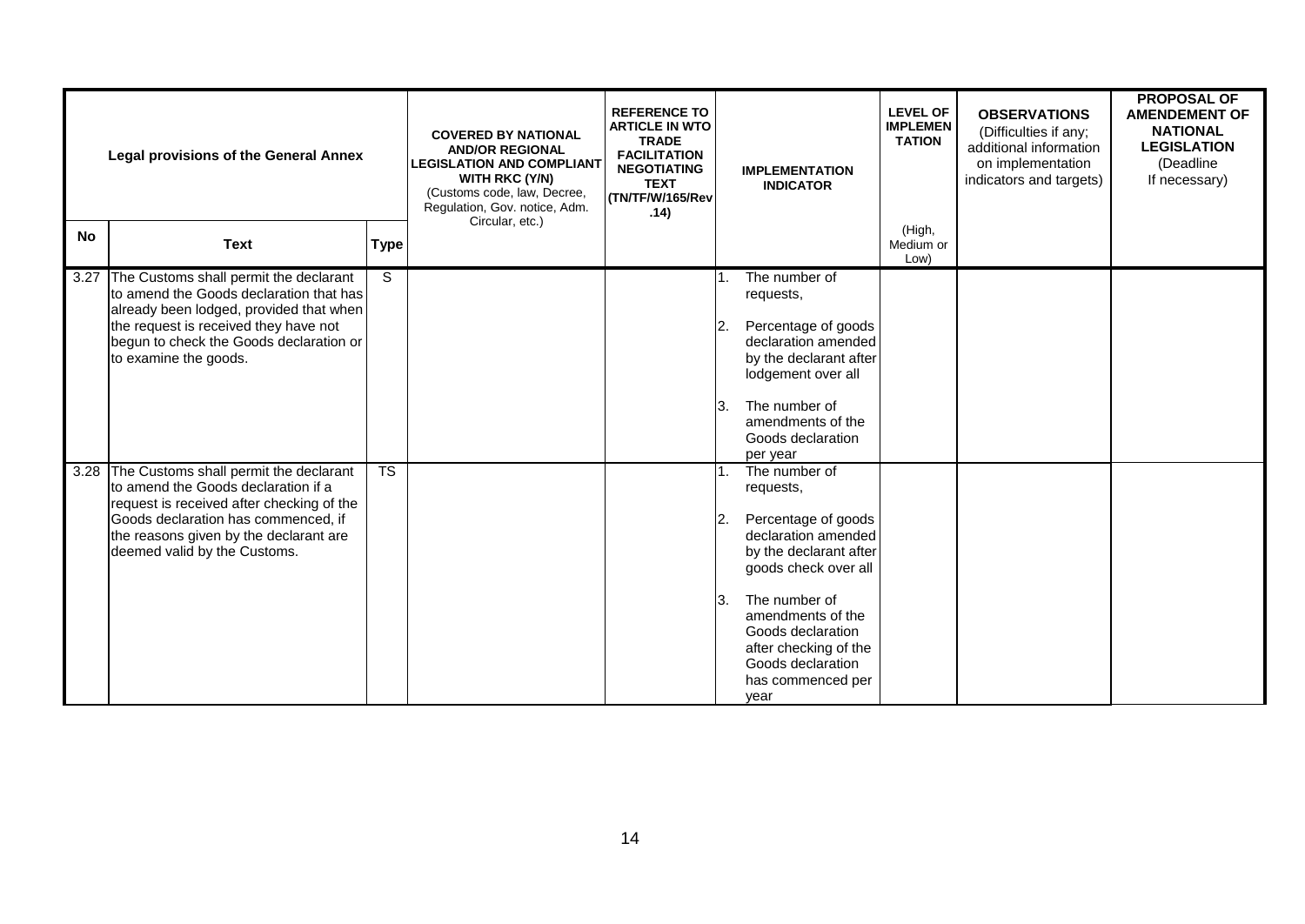| <b>Legal provisions of the General Annex</b> |                                                                                                                                                                                                                                                  | <b>COVERED BY NATIONAL</b><br><b>AND/OR REGIONAL</b><br><b>LEGISLATION AND COMPLIANT</b><br>WITH RKC (Y/N)<br>(Customs code, law, Decree,<br>Regulation, Gov. notice, Adm. | <b>REFERENCE TO</b><br><b>ARTICLE IN WTO</b><br><b>TRADE</b><br><b>FACILITATION</b><br><b>NEGOTIATING</b><br><b>TEXT</b><br>(TN/TF/W/165/Rev<br>.14) |  | <b>IMPLEMENTATION</b><br><b>INDICATOR</b> | <b>LEVEL OF</b><br><b>IMPLEMEN</b><br><b>TATION</b>                                                                                                                                                                                                              | <b>OBSERVATIONS</b><br>(Difficulties if any;<br>additional information<br>on implementation<br>indicators and targets) | <b>PROPOSAL OF</b><br><b>AMENDEMENT OF</b><br><b>NATIONAL</b><br><b>LEGISLATION</b><br>(Deadline<br>If necessary) |  |
|----------------------------------------------|--------------------------------------------------------------------------------------------------------------------------------------------------------------------------------------------------------------------------------------------------|----------------------------------------------------------------------------------------------------------------------------------------------------------------------------|------------------------------------------------------------------------------------------------------------------------------------------------------|--|-------------------------------------------|------------------------------------------------------------------------------------------------------------------------------------------------------------------------------------------------------------------------------------------------------------------|------------------------------------------------------------------------------------------------------------------------|-------------------------------------------------------------------------------------------------------------------|--|
| <b>No</b>                                    | <b>Text</b>                                                                                                                                                                                                                                      | <b>Type</b>                                                                                                                                                                | Circular, etc.)                                                                                                                                      |  |                                           |                                                                                                                                                                                                                                                                  | (High,<br>Medium or<br>Low)                                                                                            |                                                                                                                   |  |
| 3.27                                         | The Customs shall permit the declarant<br>Ito amend the Goods declaration that has<br>already been lodged, provided that when<br>the request is received they have not<br>begun to check the Goods declaration or<br>to examine the goods.       | S                                                                                                                                                                          |                                                                                                                                                      |  | ΙЗ.                                       | The number of<br>requests,<br>Percentage of goods<br>declaration amended<br>by the declarant after<br>lodgement over all<br>The number of<br>amendments of the<br>Goods declaration<br>per year                                                                  |                                                                                                                        |                                                                                                                   |  |
|                                              | 3.28 The Customs shall permit the declarant<br>to amend the Goods declaration if a<br>request is received after checking of the<br>Goods declaration has commenced, if<br>the reasons given by the declarant are<br>deemed valid by the Customs. | $\overline{\text{TS}}$                                                                                                                                                     |                                                                                                                                                      |  | 1 <sup>1</sup><br>2.<br>ΙЗ.               | The number of<br>requests,<br>Percentage of goods<br>declaration amended<br>by the declarant after<br>goods check over all<br>The number of<br>amendments of the<br>Goods declaration<br>after checking of the<br>Goods declaration<br>has commenced per<br>year |                                                                                                                        |                                                                                                                   |  |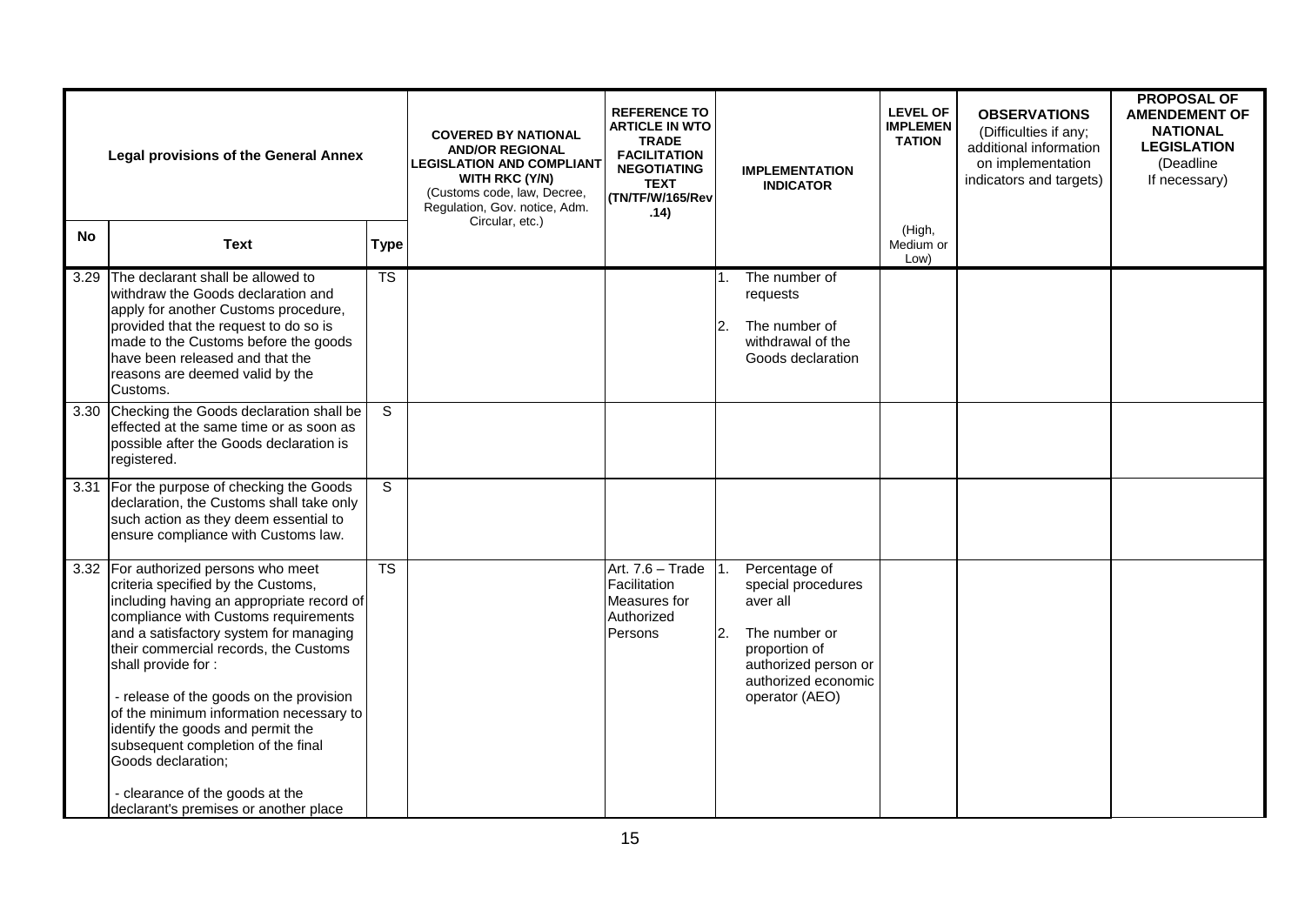| <b>Legal provisions of the General Annex</b> |                                                                                                                                                                                                                                                                                                                                                                                                                                                                                                                                             | <b>COVERED BY NATIONAL</b><br><b>AND/OR REGIONAL</b><br><b>LEGISLATION AND COMPLIANT</b><br>WITH RKC (Y/N)<br>(Customs code, law, Decree,<br>Regulation, Gov. notice, Adm.<br>Circular, etc.) | <b>REFERENCE TO</b><br><b>ARTICLE IN WTO</b><br><b>TRADE</b><br><b>FACILITATION</b><br><b>NEGOTIATING</b><br><b>TEXT</b><br>(TN/TF/W/165/Rev<br>.14) |                                                                           | <b>IMPLEMENTATION</b><br><b>INDICATOR</b> | <b>LEVEL OF</b><br><b>IMPLEMEN</b><br><b>TATION</b>                                                                                                | <b>OBSERVATIONS</b><br>(Difficulties if any;<br>additional information<br>on implementation<br>indicators and targets) | <b>PROPOSAL OF</b><br><b>AMENDEMENT OF</b><br><b>NATIONAL</b><br><b>LEGISLATION</b><br>(Deadline<br>If necessary) |  |
|----------------------------------------------|---------------------------------------------------------------------------------------------------------------------------------------------------------------------------------------------------------------------------------------------------------------------------------------------------------------------------------------------------------------------------------------------------------------------------------------------------------------------------------------------------------------------------------------------|-----------------------------------------------------------------------------------------------------------------------------------------------------------------------------------------------|------------------------------------------------------------------------------------------------------------------------------------------------------|---------------------------------------------------------------------------|-------------------------------------------|----------------------------------------------------------------------------------------------------------------------------------------------------|------------------------------------------------------------------------------------------------------------------------|-------------------------------------------------------------------------------------------------------------------|--|
| No                                           | <b>Text</b>                                                                                                                                                                                                                                                                                                                                                                                                                                                                                                                                 | <b>Type</b>                                                                                                                                                                                   |                                                                                                                                                      |                                                                           |                                           |                                                                                                                                                    | (High,<br>Medium or<br>Low)                                                                                            |                                                                                                                   |  |
|                                              | 3.29 The declarant shall be allowed to<br>withdraw the Goods declaration and<br>apply for another Customs procedure,<br>provided that the request to do so is<br>made to the Customs before the goods<br>have been released and that the<br>reasons are deemed valid by the<br>Customs.                                                                                                                                                                                                                                                     | $\overline{\text{TS}}$                                                                                                                                                                        |                                                                                                                                                      |                                                                           | 12.                                       | The number of<br>requests<br>The number of<br>withdrawal of the<br>Goods declaration                                                               |                                                                                                                        |                                                                                                                   |  |
|                                              | 3.30 Checking the Goods declaration shall be<br>effected at the same time or as soon as<br>possible after the Goods declaration is<br>registered.                                                                                                                                                                                                                                                                                                                                                                                           | S                                                                                                                                                                                             |                                                                                                                                                      |                                                                           |                                           |                                                                                                                                                    |                                                                                                                        |                                                                                                                   |  |
| 3.31                                         | For the purpose of checking the Goods<br>declaration, the Customs shall take only<br>such action as they deem essential to<br>ensure compliance with Customs law.                                                                                                                                                                                                                                                                                                                                                                           | S                                                                                                                                                                                             |                                                                                                                                                      |                                                                           |                                           |                                                                                                                                                    |                                                                                                                        |                                                                                                                   |  |
|                                              | 3.32 For authorized persons who meet<br>criteria specified by the Customs,<br>including having an appropriate record of<br>compliance with Customs requirements<br>and a satisfactory system for managing<br>their commercial records, the Customs<br>shall provide for:<br>- release of the goods on the provision<br>of the minimum information necessary to<br>identify the goods and permit the<br>subsequent completion of the final<br>Goods declaration;<br>- clearance of the goods at the<br>declarant's premises or another place | <b>TS</b>                                                                                                                                                                                     |                                                                                                                                                      | Art. 7.6 - Trade<br>Facilitation<br>Measures for<br>Authorized<br>Persons | 2.                                        | Percentage of<br>special procedures<br>aver all<br>The number or<br>proportion of<br>authorized person or<br>authorized economic<br>operator (AEO) |                                                                                                                        |                                                                                                                   |  |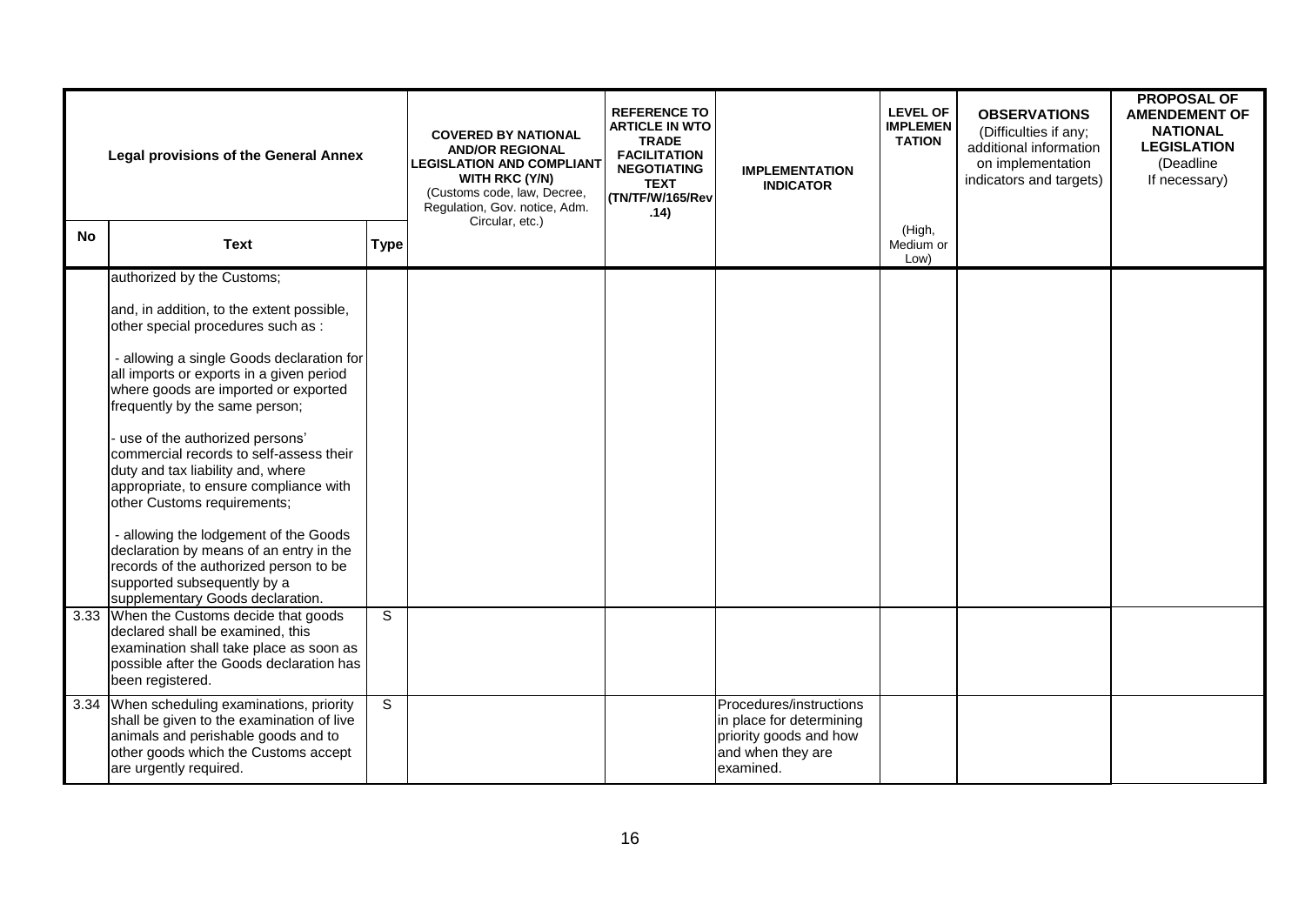| <b>Legal provisions of the General Annex</b> |                                                                                                                                                                                                                                                                                                                                                                                                                                                                                                                                                                                                                                          | <b>COVERED BY NATIONAL</b><br><b>AND/OR REGIONAL</b><br><b>LEGISLATION AND COMPLIANT</b><br><b>WITH RKC (Y/N)</b><br>(Customs code, law, Decree,<br>Regulation, Gov. notice, Adm. | <b>REFERENCE TO</b><br><b>ARTICLE IN WTO</b><br><b>TRADE</b><br><b>FACILITATION</b><br><b>NEGOTIATING</b><br><b>TEXT</b><br>(TN/TF/W/165/Rev<br>.14) | <b>IMPLEMENTATION</b><br><b>INDICATOR</b> | <b>LEVEL OF</b><br><b>IMPLEMEN</b><br><b>TATION</b>                                                             | <b>OBSERVATIONS</b><br>(Difficulties if any;<br>additional information<br>on implementation<br>indicators and targets) | <b>PROPOSAL OF</b><br><b>AMENDEMENT OF</b><br><b>NATIONAL</b><br><b>LEGISLATION</b><br>(Deadline<br>If necessary) |  |
|----------------------------------------------|------------------------------------------------------------------------------------------------------------------------------------------------------------------------------------------------------------------------------------------------------------------------------------------------------------------------------------------------------------------------------------------------------------------------------------------------------------------------------------------------------------------------------------------------------------------------------------------------------------------------------------------|-----------------------------------------------------------------------------------------------------------------------------------------------------------------------------------|------------------------------------------------------------------------------------------------------------------------------------------------------|-------------------------------------------|-----------------------------------------------------------------------------------------------------------------|------------------------------------------------------------------------------------------------------------------------|-------------------------------------------------------------------------------------------------------------------|--|
| <b>No</b>                                    | <b>Text</b>                                                                                                                                                                                                                                                                                                                                                                                                                                                                                                                                                                                                                              | <b>Type</b>                                                                                                                                                                       | Circular, etc.)                                                                                                                                      |                                           |                                                                                                                 | (High,<br>Medium or<br>Low)                                                                                            |                                                                                                                   |  |
|                                              | authorized by the Customs;<br>and, in addition, to the extent possible,<br>other special procedures such as :<br>- allowing a single Goods declaration for<br>all imports or exports in a given period<br>where goods are imported or exported<br>frequently by the same person;<br>use of the authorized persons'<br>commercial records to self-assess their<br>duty and tax liability and, where<br>appropriate, to ensure compliance with<br>other Customs requirements;<br>- allowing the lodgement of the Goods<br>declaration by means of an entry in the<br>records of the authorized person to be<br>supported subsequently by a |                                                                                                                                                                                   |                                                                                                                                                      |                                           |                                                                                                                 |                                                                                                                        |                                                                                                                   |  |
|                                              | supplementary Goods declaration.<br>3.33 When the Customs decide that goods<br>declared shall be examined, this<br>examination shall take place as soon as<br>possible after the Goods declaration has<br>been registered.                                                                                                                                                                                                                                                                                                                                                                                                               | S                                                                                                                                                                                 |                                                                                                                                                      |                                           |                                                                                                                 |                                                                                                                        |                                                                                                                   |  |
|                                              | 3.34 When scheduling examinations, priority<br>shall be given to the examination of live<br>animals and perishable goods and to<br>other goods which the Customs accept<br>are urgently required.                                                                                                                                                                                                                                                                                                                                                                                                                                        | S                                                                                                                                                                                 |                                                                                                                                                      |                                           | Procedures/instructions<br>in place for determining<br>priority goods and how<br>and when they are<br>examined. |                                                                                                                        |                                                                                                                   |  |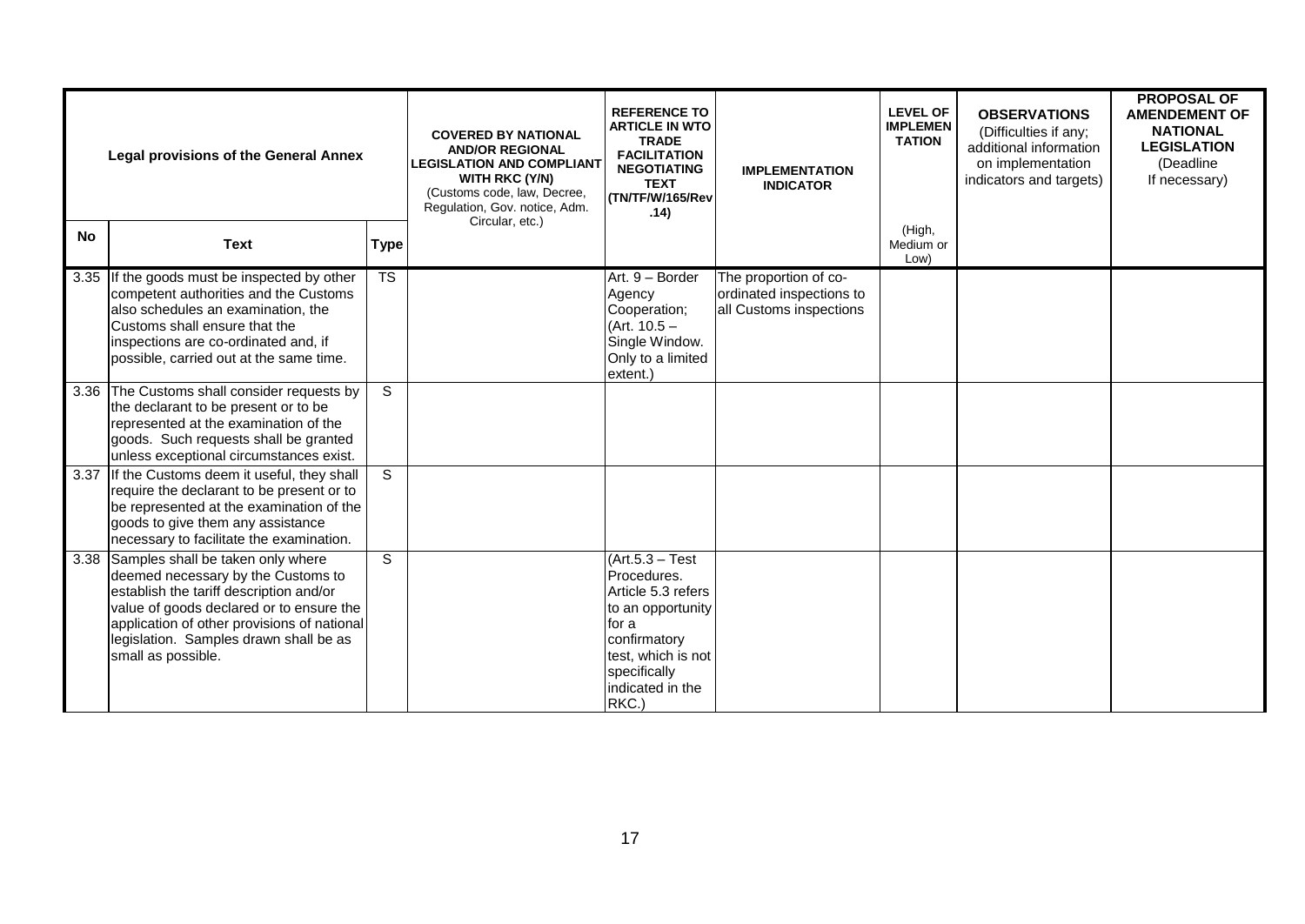| <b>Legal provisions of the General Annex</b> |                                                                                                                                                                                                                                                                               |                        | <b>COVERED BY NATIONAL</b><br><b>AND/OR REGIONAL</b><br><b>LEGISLATION AND COMPLIANT</b><br>WITH RKC (Y/N)<br>(Customs code, law, Decree,<br>Regulation, Gov. notice, Adm.<br>Circular, etc.) | <b>REFERENCE TO</b><br><b>ARTICLE IN WTO</b><br><b>TRADE</b><br><b>FACILITATION</b><br><b>NEGOTIATING</b><br><b>TEXT</b><br>(TN/TF/W/165/Rev<br>.14)                     | <b>IMPLEMENTATION</b><br><b>INDICATOR</b>                                    | <b>LEVEL OF</b><br><b>IMPLEMEN</b><br><b>TATION</b> | <b>OBSERVATIONS</b><br>(Difficulties if any;<br>additional information<br>on implementation<br>indicators and targets) | <b>PROPOSAL OF</b><br><b>AMENDEMENT OF</b><br><b>NATIONAL</b><br><b>LEGISLATION</b><br>(Deadline)<br>If necessary) |
|----------------------------------------------|-------------------------------------------------------------------------------------------------------------------------------------------------------------------------------------------------------------------------------------------------------------------------------|------------------------|-----------------------------------------------------------------------------------------------------------------------------------------------------------------------------------------------|--------------------------------------------------------------------------------------------------------------------------------------------------------------------------|------------------------------------------------------------------------------|-----------------------------------------------------|------------------------------------------------------------------------------------------------------------------------|--------------------------------------------------------------------------------------------------------------------|
| <b>No</b>                                    | <b>Text</b>                                                                                                                                                                                                                                                                   | <b>Type</b>            |                                                                                                                                                                                               |                                                                                                                                                                          |                                                                              | (High,<br>Medium or<br>Low)                         |                                                                                                                        |                                                                                                                    |
|                                              | 3.35 If the goods must be inspected by other<br>competent authorities and the Customs<br>also schedules an examination, the<br>Customs shall ensure that the<br>inspections are co-ordinated and, if<br>possible, carried out at the same time.                               | $\overline{\text{TS}}$ |                                                                                                                                                                                               | Art. 9 - Border<br>Agency<br>Cooperation;<br>(Art. $10.5 -$<br>Single Window.<br>Only to a limited<br>extent.)                                                           | The proportion of co-<br>ordinated inspections to<br>all Customs inspections |                                                     |                                                                                                                        |                                                                                                                    |
|                                              | 3.36 The Customs shall consider requests by<br>the declarant to be present or to be<br>represented at the examination of the<br>goods. Such requests shall be granted<br>unless exceptional circumstances exist.                                                              | S.                     |                                                                                                                                                                                               |                                                                                                                                                                          |                                                                              |                                                     |                                                                                                                        |                                                                                                                    |
| 3.37                                         | If the Customs deem it useful, they shall<br>require the declarant to be present or to<br>be represented at the examination of the<br>goods to give them any assistance<br>necessary to facilitate the examination.                                                           | S.                     |                                                                                                                                                                                               |                                                                                                                                                                          |                                                                              |                                                     |                                                                                                                        |                                                                                                                    |
| 3.38                                         | Samples shall be taken only where<br>deemed necessary by the Customs to<br>establish the tariff description and/or<br>value of goods declared or to ensure the<br>application of other provisions of national<br>legislation. Samples drawn shall be as<br>small as possible. | S                      |                                                                                                                                                                                               | $(Art.5.3 - Test)$<br>Procedures.<br>Article 5.3 refers<br>to an opportunity<br>for a<br>confirmatory<br>test, which is not<br>specifically<br>indicated in the<br>RKC.) |                                                                              |                                                     |                                                                                                                        |                                                                                                                    |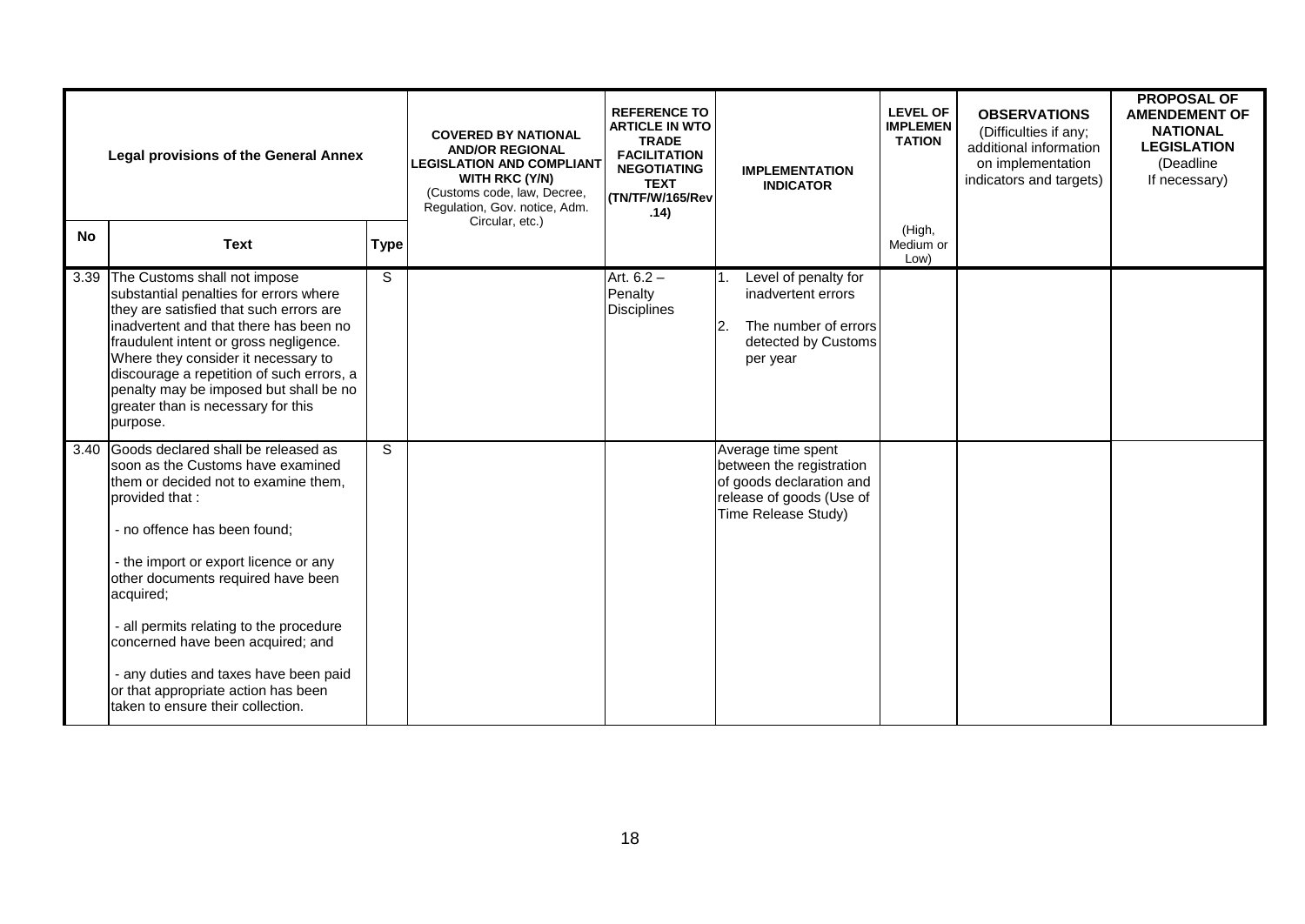|           | <b>Legal provisions of the General Annex</b>                                                                                                                                                                                                                                                                                                                                                                                                                              |             | <b>COVERED BY NATIONAL</b><br><b>AND/OR REGIONAL</b><br><b>LEGISLATION AND COMPLIANT</b><br>WITH RKC (Y/N)<br>(Customs code, law, Decree,<br>Regulation, Gov. notice, Adm.<br>Circular, etc.) | <b>REFERENCE TO</b><br><b>ARTICLE IN WTO</b><br><b>TRADE</b><br><b>FACILITATION</b><br><b>NEGOTIATING</b><br><b>TEXT</b><br>(TN/TF/W/165/Rev<br>.14) | <b>IMPLEMENTATION</b><br><b>INDICATOR</b>                                                                                     | <b>LEVEL OF</b><br><b>IMPLEMEN</b><br><b>TATION</b> | <b>OBSERVATIONS</b><br>(Difficulties if any;<br>additional information<br>on implementation<br>indicators and targets) | <b>PROPOSAL OF</b><br><b>AMENDEMENT OF</b><br><b>NATIONAL</b><br><b>LEGISLATION</b><br>(Deadline)<br>If necessary) |
|-----------|---------------------------------------------------------------------------------------------------------------------------------------------------------------------------------------------------------------------------------------------------------------------------------------------------------------------------------------------------------------------------------------------------------------------------------------------------------------------------|-------------|-----------------------------------------------------------------------------------------------------------------------------------------------------------------------------------------------|------------------------------------------------------------------------------------------------------------------------------------------------------|-------------------------------------------------------------------------------------------------------------------------------|-----------------------------------------------------|------------------------------------------------------------------------------------------------------------------------|--------------------------------------------------------------------------------------------------------------------|
| <b>No</b> | <b>Text</b>                                                                                                                                                                                                                                                                                                                                                                                                                                                               | <b>Type</b> |                                                                                                                                                                                               |                                                                                                                                                      |                                                                                                                               | (High,<br>Medium or<br>Low)                         |                                                                                                                        |                                                                                                                    |
|           | 3.39 The Customs shall not impose<br>substantial penalties for errors where<br>they are satisfied that such errors are<br>inadvertent and that there has been no<br>fraudulent intent or gross negligence.<br>Where they consider it necessary to<br>discourage a repetition of such errors, a<br>penalty may be imposed but shall be no<br>greater than is necessary for this<br>purpose.                                                                                | S           |                                                                                                                                                                                               | Art. $6.2 -$<br>Penalty<br><b>Disciplines</b>                                                                                                        | Level of penalty for<br>inadvertent errors<br>The number of errors<br>2.<br>detected by Customs<br>per year                   |                                                     |                                                                                                                        |                                                                                                                    |
|           | 3.40 Goods declared shall be released as<br>soon as the Customs have examined<br>them or decided not to examine them,<br>brovided that:<br>- no offence has been found;<br>- the import or export licence or any<br>other documents required have been<br>acquired;<br>- all permits relating to the procedure<br>concerned have been acquired; and<br>- any duties and taxes have been paid<br>or that appropriate action has been<br>Itaken to ensure their collection. | S           |                                                                                                                                                                                               |                                                                                                                                                      | Average time spent<br>between the registration<br>of goods declaration and<br>release of goods (Use of<br>Time Release Study) |                                                     |                                                                                                                        |                                                                                                                    |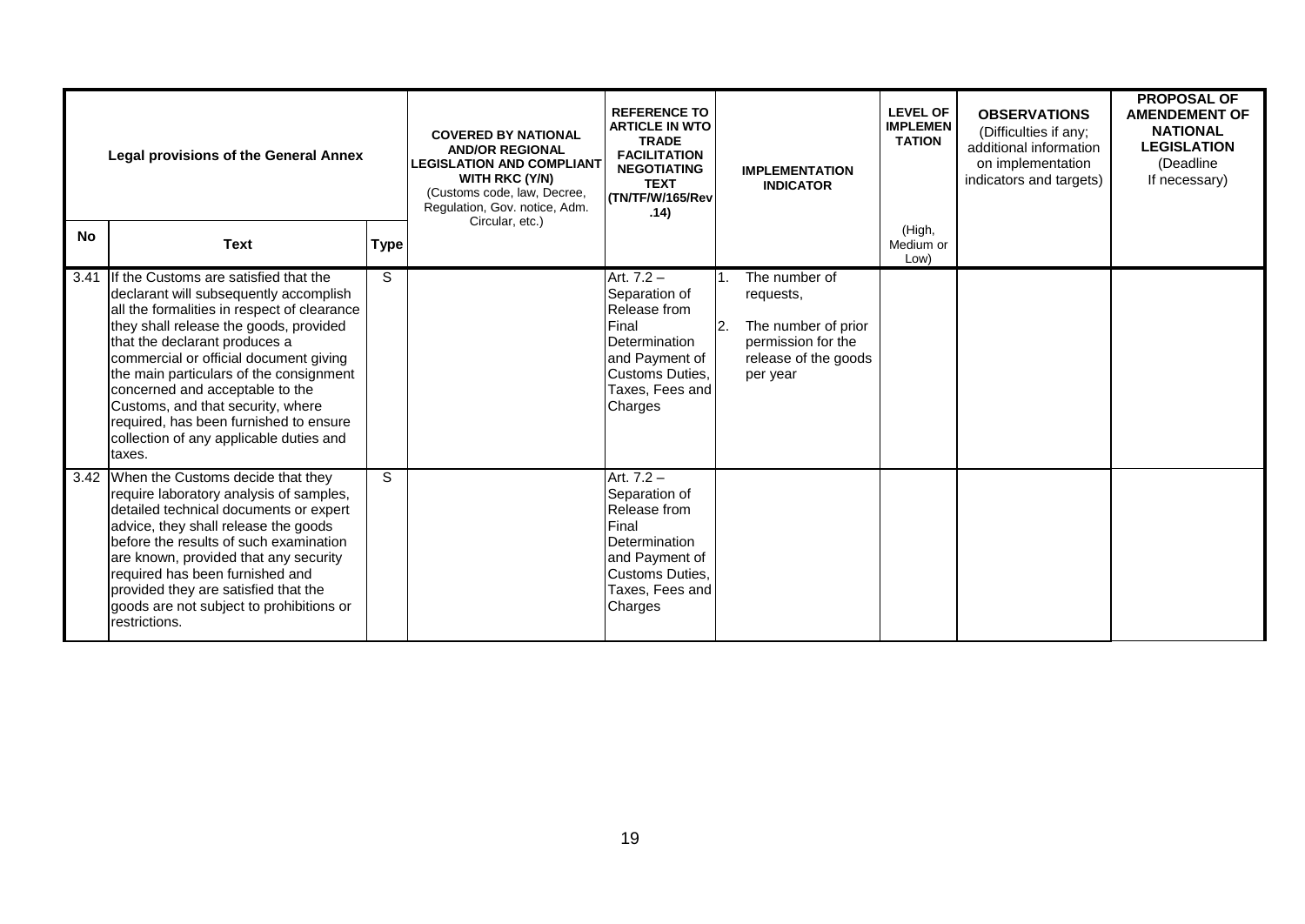|           | <b>Legal provisions of the General Annex</b>                                                                                                                                                                                                                                                                                                                                                                                                                          |             | <b>COVERED BY NATIONAL</b><br><b>AND/OR REGIONAL</b><br><b>LEGISLATION AND COMPLIANT</b><br>WITH RKC (Y/N)<br>(Customs code, law, Decree,<br>Regulation, Gov. notice, Adm. | <b>REFERENCE TO</b><br><b>ARTICLE IN WTO</b><br><b>TRADE</b><br><b>FACILITATION</b><br><b>NEGOTIATING</b><br><b>TEXT</b><br>(TN/TF/W/165/Rev<br>.14) |     | <b>IMPLEMENTATION</b><br><b>INDICATOR</b>                                                                   | <b>LEVEL OF</b><br><b>IMPLEMEN</b><br><b>TATION</b> | <b>OBSERVATIONS</b><br>(Difficulties if any;<br>additional information<br>on implementation<br>indicators and targets) | <b>PROPOSAL OF</b><br><b>AMENDEMENT OF</b><br><b>NATIONAL</b><br><b>LEGISLATION</b><br>(Deadline<br>If necessary) |
|-----------|-----------------------------------------------------------------------------------------------------------------------------------------------------------------------------------------------------------------------------------------------------------------------------------------------------------------------------------------------------------------------------------------------------------------------------------------------------------------------|-------------|----------------------------------------------------------------------------------------------------------------------------------------------------------------------------|------------------------------------------------------------------------------------------------------------------------------------------------------|-----|-------------------------------------------------------------------------------------------------------------|-----------------------------------------------------|------------------------------------------------------------------------------------------------------------------------|-------------------------------------------------------------------------------------------------------------------|
| <b>No</b> | <b>Text</b>                                                                                                                                                                                                                                                                                                                                                                                                                                                           | <b>Type</b> | Circular, etc.)                                                                                                                                                            |                                                                                                                                                      |     |                                                                                                             | (High,<br>Medium or<br>Low)                         |                                                                                                                        |                                                                                                                   |
| 3.41      | If the Customs are satisfied that the<br>declarant will subsequently accomplish<br>all the formalities in respect of clearance<br>they shall release the goods, provided<br>that the declarant produces a<br>commercial or official document giving<br>the main particulars of the consignment<br>concerned and acceptable to the<br>Customs, and that security, where<br>required, has been furnished to ensure<br>collection of any applicable duties and<br>taxes. | S           |                                                                                                                                                                            | Art. 7.2 -<br>Separation of<br>Release from<br>Final<br>Determination<br>and Payment of<br>Customs Duties,<br>Taxes, Fees and<br>Charges             | 12. | The number of<br>requests,<br>The number of prior<br>permission for the<br>release of the goods<br>per year |                                                     |                                                                                                                        |                                                                                                                   |
|           | 3.42 When the Customs decide that they<br>require laboratory analysis of samples,<br>detailed technical documents or expert<br>advice, they shall release the goods<br>before the results of such examination<br>are known, provided that any security<br>required has been furnished and<br>provided they are satisfied that the<br>goods are not subject to prohibitions or<br>restrictions.                                                                        | S           |                                                                                                                                                                            | Art. 7.2 -<br>Separation of<br>Release from<br>Final<br>Determination<br>and Payment of<br>Customs Duties,<br>Taxes, Fees and<br>Charges             |     |                                                                                                             |                                                     |                                                                                                                        |                                                                                                                   |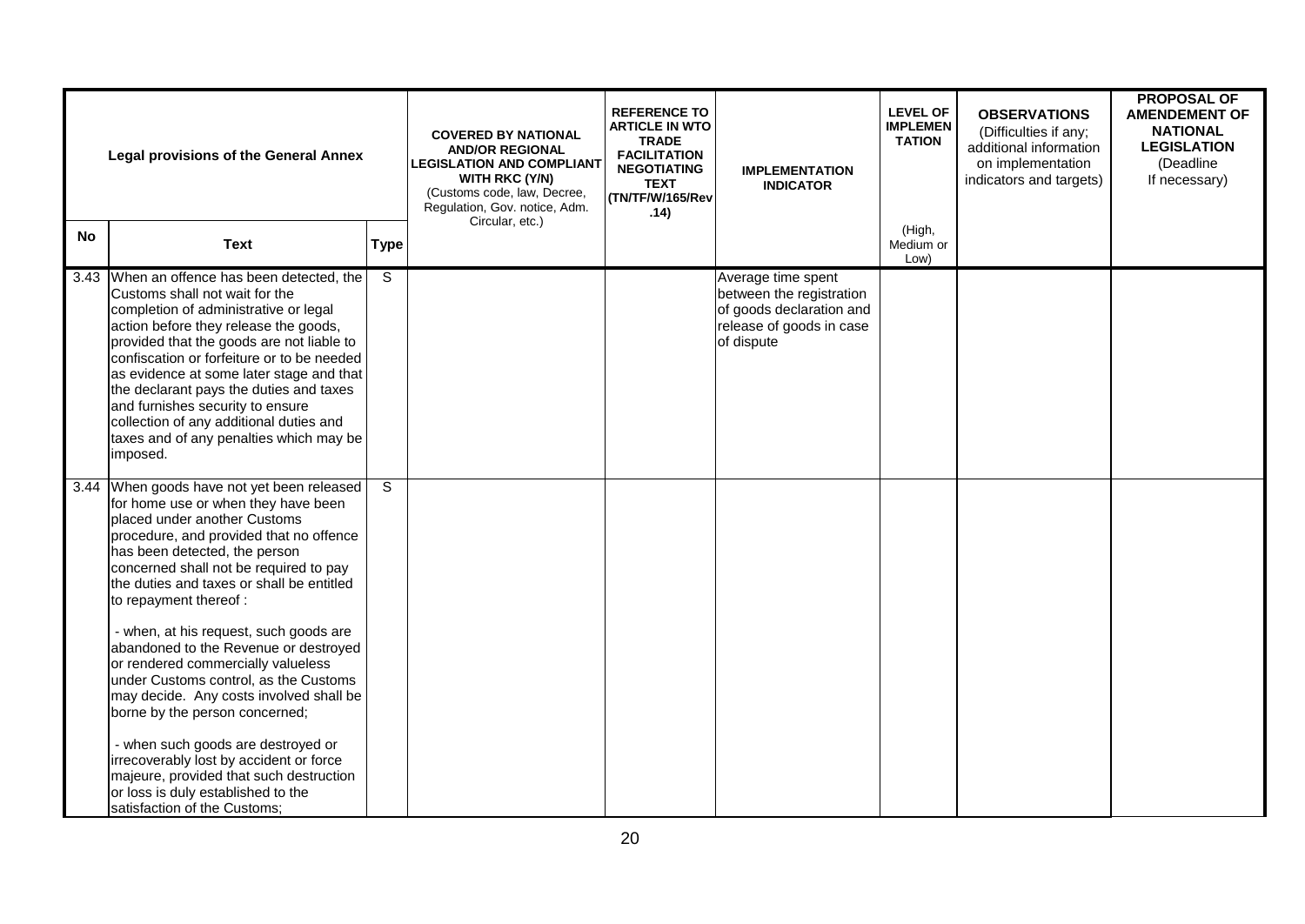| <b>Legal provisions of the General Annex</b> |                                                                                                                                                                                                                                                                                                                                                                                                                                                                                                                                                                                                                                                                                                                                 |                         | <b>COVERED BY NATIONAL</b><br><b>AND/OR REGIONAL</b><br><b>LEGISLATION AND COMPLIANT</b><br>WITH RKC (Y/N)<br>(Customs code, law, Decree,<br>Regulation, Gov. notice, Adm.<br>Circular, etc.) | <b>REFERENCE TO</b><br><b>ARTICLE IN WTO</b><br><b>TRADE</b><br><b>FACILITATION</b><br><b>NEGOTIATING</b><br><b>TEXT</b><br>(TN/TF/W/165/Rev<br>.14) | <b>IMPLEMENTATION</b><br><b>INDICATOR</b>                                                                            | <b>LEVEL OF</b><br><b>IMPLEMEN</b><br><b>TATION</b> | <b>OBSERVATIONS</b><br>(Difficulties if any;<br>additional information<br>on implementation<br>indicators and targets) | <b>PROPOSAL OF</b><br><b>AMENDEMENT OF</b><br><b>NATIONAL</b><br><b>LEGISLATION</b><br>(Deadline<br>If necessary) |
|----------------------------------------------|---------------------------------------------------------------------------------------------------------------------------------------------------------------------------------------------------------------------------------------------------------------------------------------------------------------------------------------------------------------------------------------------------------------------------------------------------------------------------------------------------------------------------------------------------------------------------------------------------------------------------------------------------------------------------------------------------------------------------------|-------------------------|-----------------------------------------------------------------------------------------------------------------------------------------------------------------------------------------------|------------------------------------------------------------------------------------------------------------------------------------------------------|----------------------------------------------------------------------------------------------------------------------|-----------------------------------------------------|------------------------------------------------------------------------------------------------------------------------|-------------------------------------------------------------------------------------------------------------------|
| No                                           | <b>Text</b>                                                                                                                                                                                                                                                                                                                                                                                                                                                                                                                                                                                                                                                                                                                     | <b>Type</b>             |                                                                                                                                                                                               |                                                                                                                                                      |                                                                                                                      | (High,<br>Medium or<br>Low)                         |                                                                                                                        |                                                                                                                   |
|                                              | 3.43 When an offence has been detected, the<br>Customs shall not wait for the<br>completion of administrative or legal<br>action before they release the goods,<br>provided that the goods are not liable to<br>confiscation or forfeiture or to be needed<br>as evidence at some later stage and that<br>the declarant pays the duties and taxes<br>and furnishes security to ensure<br>collection of any additional duties and<br>taxes and of any penalties which may be<br>imposed.                                                                                                                                                                                                                                         | $\overline{\mathsf{s}}$ |                                                                                                                                                                                               |                                                                                                                                                      | Average time spent<br>between the registration<br>of goods declaration and<br>release of goods in case<br>of dispute |                                                     |                                                                                                                        |                                                                                                                   |
|                                              | 3.44 When goods have not yet been released<br>for home use or when they have been<br>placed under another Customs<br>procedure, and provided that no offence<br>has been detected, the person<br>concerned shall not be required to pay<br>the duties and taxes or shall be entitled<br>to repayment thereof :<br>- when, at his request, such goods are<br>abandoned to the Revenue or destroyed<br>or rendered commercially valueless<br>under Customs control, as the Customs<br>may decide. Any costs involved shall be<br>borne by the person concerned;<br>- when such goods are destroyed or<br>irrecoverably lost by accident or force<br>majeure, provided that such destruction<br>or loss is duly established to the | $\overline{s}$          |                                                                                                                                                                                               |                                                                                                                                                      |                                                                                                                      |                                                     |                                                                                                                        |                                                                                                                   |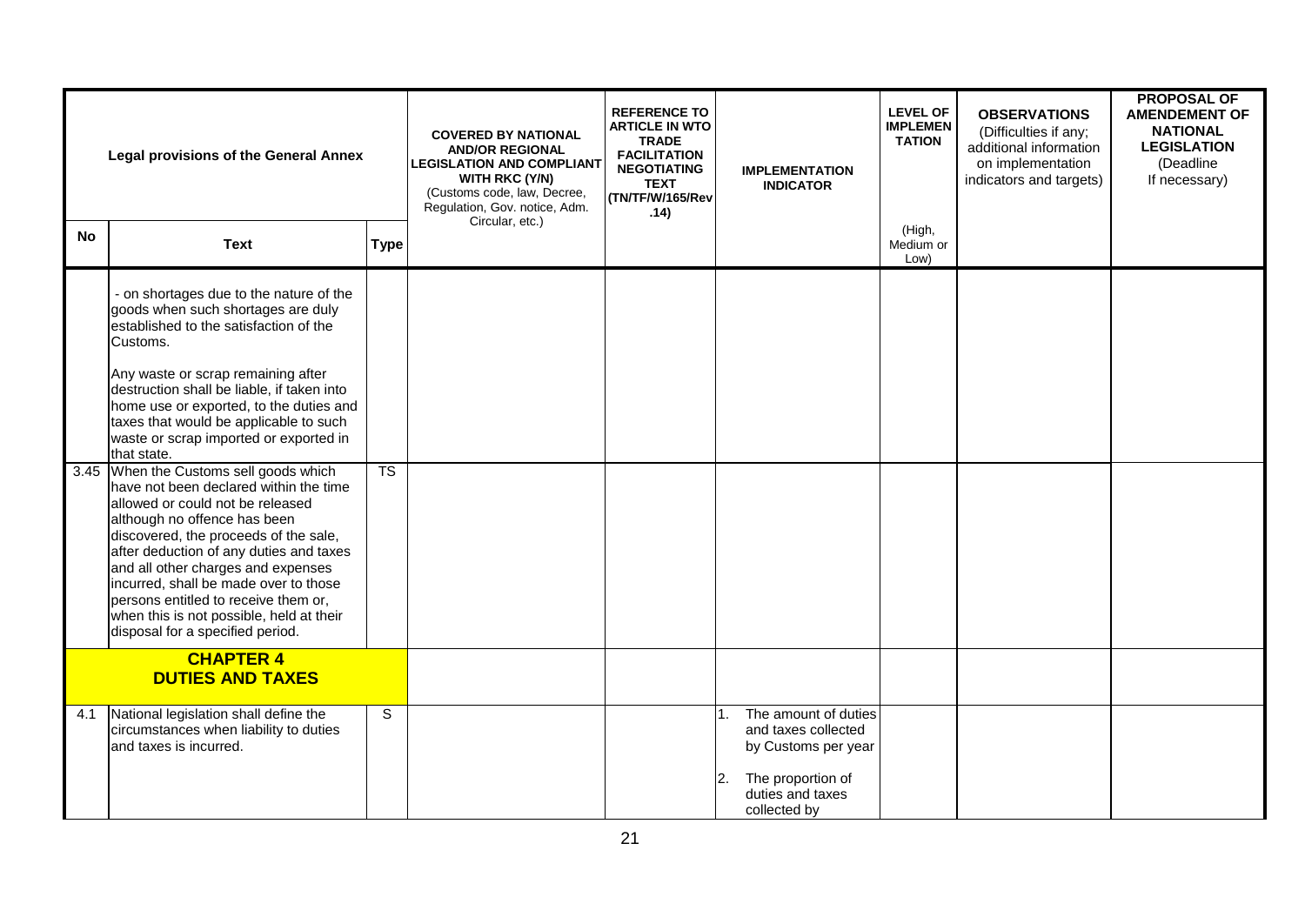| <b>Legal provisions of the General Annex</b> |                                                                                                                                                                                                                                                                                                                                                                                                                                                                                                                                                                                                                                                                                                                                                                                                                          |                        | <b>COVERED BY NATIONAL</b><br><b>AND/OR REGIONAL</b><br><b>LEGISLATION AND COMPLIANT</b><br><b>WITH RKC (Y/N)</b><br>(Customs code, law, Decree,<br>Regulation, Gov. notice, Adm.<br>Circular, etc.) | <b>REFERENCE TO</b><br><b>ARTICLE IN WTO</b><br><b>TRADE</b><br><b>FACILITATION</b><br><b>NEGOTIATING</b><br><b>TEXT</b><br>(TN/TF/W/165/Rev<br>.14) | <b>IMPLEMENTATION</b><br><b>INDICATOR</b>                                                                                         | <b>LEVEL OF</b><br><b>IMPLEMEN</b><br><b>TATION</b> | <b>OBSERVATIONS</b><br>(Difficulties if any;<br>additional information<br>on implementation<br>indicators and targets) | <b>PROPOSAL OF</b><br><b>AMENDEMENT OF</b><br><b>NATIONAL</b><br><b>LEGISLATION</b><br>(Deadline<br>If necessary) |
|----------------------------------------------|--------------------------------------------------------------------------------------------------------------------------------------------------------------------------------------------------------------------------------------------------------------------------------------------------------------------------------------------------------------------------------------------------------------------------------------------------------------------------------------------------------------------------------------------------------------------------------------------------------------------------------------------------------------------------------------------------------------------------------------------------------------------------------------------------------------------------|------------------------|------------------------------------------------------------------------------------------------------------------------------------------------------------------------------------------------------|------------------------------------------------------------------------------------------------------------------------------------------------------|-----------------------------------------------------------------------------------------------------------------------------------|-----------------------------------------------------|------------------------------------------------------------------------------------------------------------------------|-------------------------------------------------------------------------------------------------------------------|
| <b>No</b>                                    | <b>Text</b>                                                                                                                                                                                                                                                                                                                                                                                                                                                                                                                                                                                                                                                                                                                                                                                                              | <b>Type</b>            |                                                                                                                                                                                                      |                                                                                                                                                      |                                                                                                                                   | (High,<br>Medium or<br>Low)                         |                                                                                                                        |                                                                                                                   |
|                                              | - on shortages due to the nature of the<br>goods when such shortages are duly<br>established to the satisfaction of the<br>Customs.<br>Any waste or scrap remaining after<br>destruction shall be liable, if taken into<br>home use or exported, to the duties and<br>taxes that would be applicable to such<br>waste or scrap imported or exported in<br>that state.<br>3.45 When the Customs sell goods which<br>have not been declared within the time<br>allowed or could not be released<br>although no offence has been<br>discovered, the proceeds of the sale,<br>after deduction of any duties and taxes<br>and all other charges and expenses<br>incurred, shall be made over to those<br>persons entitled to receive them or,<br>when this is not possible, held at their<br>disposal for a specified period. | $\overline{\text{TS}}$ |                                                                                                                                                                                                      |                                                                                                                                                      |                                                                                                                                   |                                                     |                                                                                                                        |                                                                                                                   |
| <b>CHAPTER 4</b><br><b>DUTIES AND TAXES</b>  |                                                                                                                                                                                                                                                                                                                                                                                                                                                                                                                                                                                                                                                                                                                                                                                                                          |                        |                                                                                                                                                                                                      |                                                                                                                                                      |                                                                                                                                   |                                                     |                                                                                                                        |                                                                                                                   |
| 4.1                                          | National legislation shall define the<br>circumstances when liability to duties<br>and taxes is incurred.                                                                                                                                                                                                                                                                                                                                                                                                                                                                                                                                                                                                                                                                                                                | $\mathsf S$            |                                                                                                                                                                                                      |                                                                                                                                                      | The amount of duties<br>and taxes collected<br>by Customs per year<br>The proportion of<br>2.<br>duties and taxes<br>collected by |                                                     |                                                                                                                        |                                                                                                                   |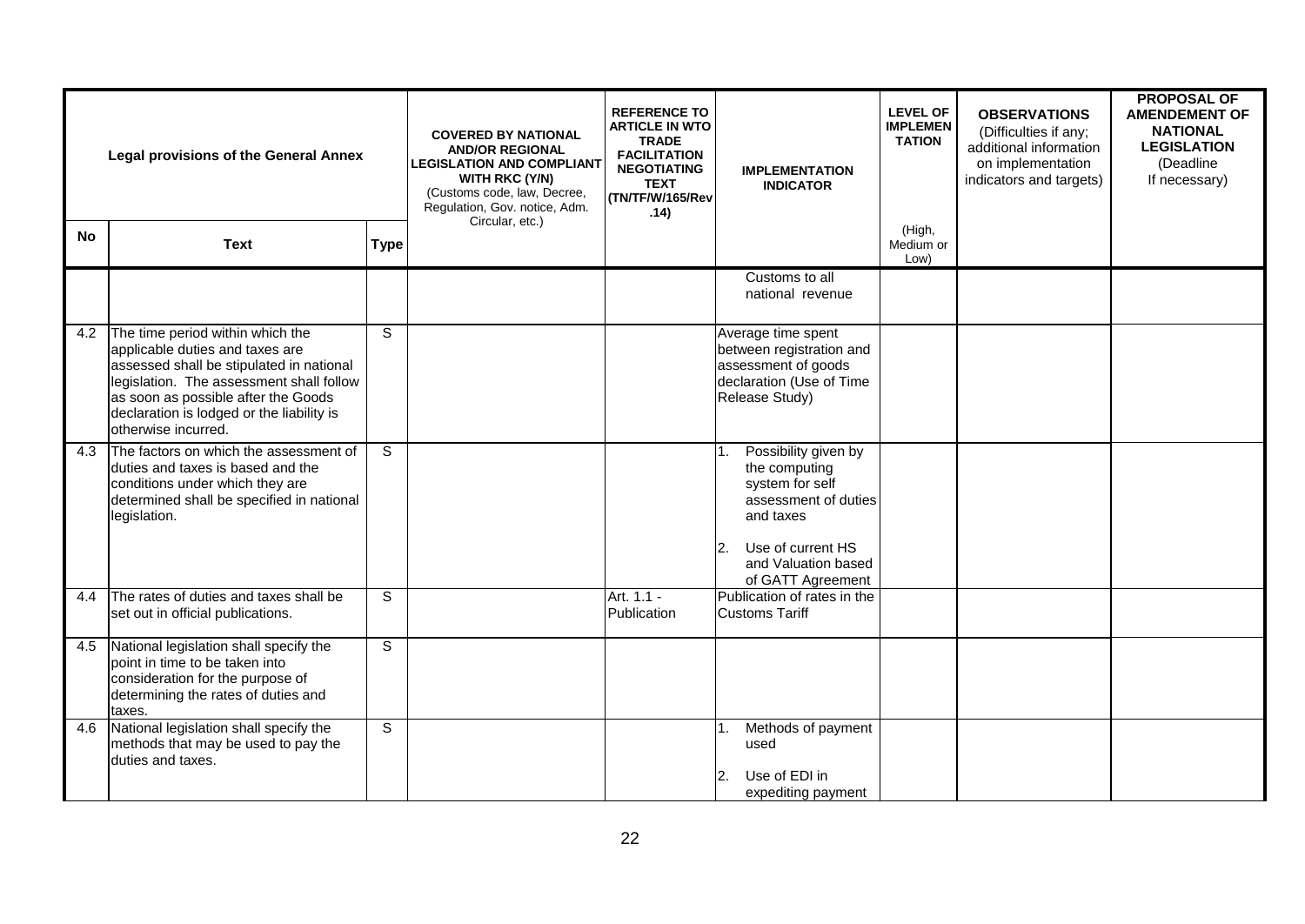| <b>Legal provisions of the General Annex</b> |                                                                                                                                                                                                                                                                        |                | <b>COVERED BY NATIONAL</b><br><b>AND/OR REGIONAL</b><br><b>LEGISLATION AND COMPLIANT</b><br><b>WITH RKC (Y/N)</b><br>(Customs code, law, Decree,<br>Regulation, Gov. notice, Adm.<br>Circular, etc.) | <b>REFERENCE TO</b><br><b>ARTICLE IN WTO</b><br><b>TRADE</b><br><b>FACILITATION</b><br><b>NEGOTIATING</b><br><b>TEXT</b><br>(TN/TF/W/165/Rev<br>.14) | <b>IMPLEMENTATION</b><br><b>INDICATOR</b>                                                                                                                                  | <b>LEVEL OF</b><br><b>IMPLEMEN</b><br><b>TATION</b> | <b>OBSERVATIONS</b><br>(Difficulties if any;<br>additional information<br>on implementation<br>indicators and targets) | <b>PROPOSAL OF</b><br><b>AMENDEMENT OF</b><br><b>NATIONAL</b><br><b>LEGISLATION</b><br>(Deadline)<br>If necessary) |
|----------------------------------------------|------------------------------------------------------------------------------------------------------------------------------------------------------------------------------------------------------------------------------------------------------------------------|----------------|------------------------------------------------------------------------------------------------------------------------------------------------------------------------------------------------------|------------------------------------------------------------------------------------------------------------------------------------------------------|----------------------------------------------------------------------------------------------------------------------------------------------------------------------------|-----------------------------------------------------|------------------------------------------------------------------------------------------------------------------------|--------------------------------------------------------------------------------------------------------------------|
| No                                           | <b>Text</b>                                                                                                                                                                                                                                                            | <b>Type</b>    |                                                                                                                                                                                                      |                                                                                                                                                      |                                                                                                                                                                            | (High,<br>Medium or<br>Low)                         |                                                                                                                        |                                                                                                                    |
|                                              |                                                                                                                                                                                                                                                                        |                |                                                                                                                                                                                                      |                                                                                                                                                      | Customs to all<br>national revenue                                                                                                                                         |                                                     |                                                                                                                        |                                                                                                                    |
| 4.2                                          | The time period within which the<br>applicable duties and taxes are<br>assessed shall be stipulated in national<br>legislation. The assessment shall follow<br>as soon as possible after the Goods<br>declaration is lodged or the liability is<br>otherwise incurred. | $\mathbf S$    |                                                                                                                                                                                                      |                                                                                                                                                      | Average time spent<br>between registration and<br>assessment of goods<br>declaration (Use of Time<br>Release Study)                                                        |                                                     |                                                                                                                        |                                                                                                                    |
| 4.3                                          | The factors on which the assessment of<br>duties and taxes is based and the<br>conditions under which they are<br>determined shall be specified in national<br>legislation.                                                                                            | S              |                                                                                                                                                                                                      |                                                                                                                                                      | Possibility given by<br>1.<br>the computing<br>system for self<br>assessment of duties<br>and taxes<br>Use of current HS<br>2.<br>and Valuation based<br>of GATT Agreement |                                                     |                                                                                                                        |                                                                                                                    |
| 4.4                                          | The rates of duties and taxes shall be<br>set out in official publications.                                                                                                                                                                                            | S              |                                                                                                                                                                                                      | Art. 1.1 -<br>Publication                                                                                                                            | Publication of rates in the<br><b>Customs Tariff</b>                                                                                                                       |                                                     |                                                                                                                        |                                                                                                                    |
| 4.5                                          | National legislation shall specify the<br>point in time to be taken into<br>consideration for the purpose of<br>determining the rates of duties and<br>taxes.                                                                                                          | $\overline{s}$ |                                                                                                                                                                                                      |                                                                                                                                                      |                                                                                                                                                                            |                                                     |                                                                                                                        |                                                                                                                    |
| 4.6                                          | National legislation shall specify the<br>methods that may be used to pay the<br>duties and taxes.                                                                                                                                                                     | S              |                                                                                                                                                                                                      |                                                                                                                                                      | Methods of payment<br>used<br>Use of EDI in<br>2.<br>expediting payment                                                                                                    |                                                     |                                                                                                                        |                                                                                                                    |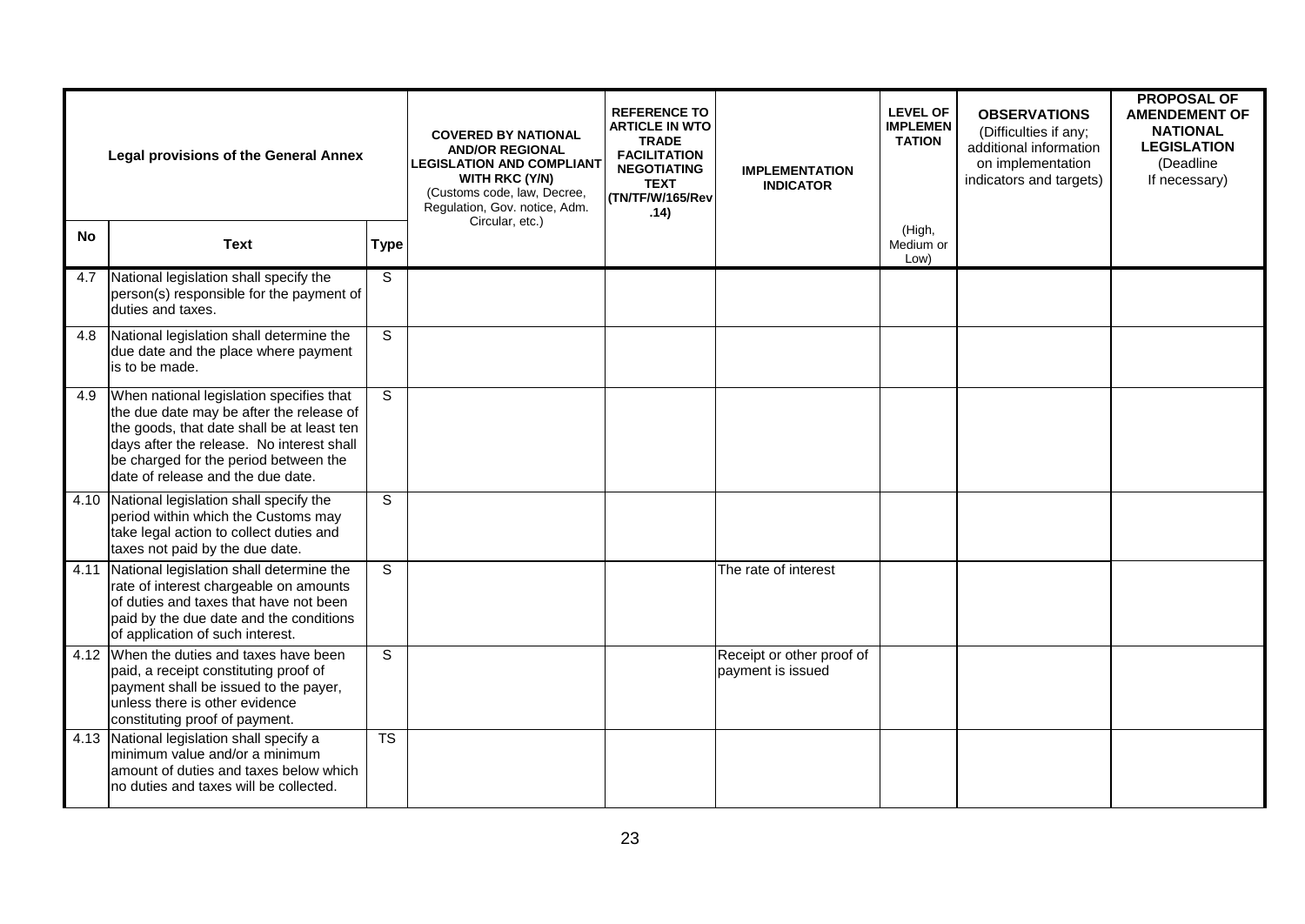|           | <b>Legal provisions of the General Annex</b>                                                                                                                                                                                                                  |                | <b>COVERED BY NATIONAL</b><br><b>AND/OR REGIONAL</b><br><b>LEGISLATION AND COMPLIANT</b><br>WITH RKC (Y/N)<br>(Customs code, law, Decree,<br>Regulation, Gov. notice, Adm.<br>Circular, etc.) | <b>REFERENCE TO</b><br><b>ARTICLE IN WTO</b><br><b>TRADE</b><br><b>FACILITATION</b><br><b>NEGOTIATING</b><br><b>TEXT</b><br>(TN/TF/W/165/Rev<br>.14) | <b>IMPLEMENTATION</b><br><b>INDICATOR</b>      | <b>LEVEL OF</b><br><b>IMPLEMEN</b><br><b>TATION</b> | <b>OBSERVATIONS</b><br>(Difficulties if any;<br>additional information<br>on implementation<br>indicators and targets) | <b>PROPOSAL OF</b><br><b>AMENDEMENT OF</b><br><b>NATIONAL</b><br><b>LEGISLATION</b><br>(Deadline<br>If necessary) |
|-----------|---------------------------------------------------------------------------------------------------------------------------------------------------------------------------------------------------------------------------------------------------------------|----------------|-----------------------------------------------------------------------------------------------------------------------------------------------------------------------------------------------|------------------------------------------------------------------------------------------------------------------------------------------------------|------------------------------------------------|-----------------------------------------------------|------------------------------------------------------------------------------------------------------------------------|-------------------------------------------------------------------------------------------------------------------|
| <b>No</b> | <b>Text</b>                                                                                                                                                                                                                                                   | <b>Type</b>    |                                                                                                                                                                                               |                                                                                                                                                      |                                                | (High,<br>Medium or<br>Low)                         |                                                                                                                        |                                                                                                                   |
| 4.7       | National legislation shall specify the<br>person(s) responsible for the payment of<br>duties and taxes.                                                                                                                                                       | S              |                                                                                                                                                                                               |                                                                                                                                                      |                                                |                                                     |                                                                                                                        |                                                                                                                   |
| 4.8       | National legislation shall determine the<br>due date and the place where payment<br>is to be made.                                                                                                                                                            | $\overline{s}$ |                                                                                                                                                                                               |                                                                                                                                                      |                                                |                                                     |                                                                                                                        |                                                                                                                   |
| 4.9       | When national legislation specifies that<br>the due date may be after the release of<br>the goods, that date shall be at least ten<br>days after the release. No interest shall<br>be charged for the period between the<br>date of release and the due date. | S              |                                                                                                                                                                                               |                                                                                                                                                      |                                                |                                                     |                                                                                                                        |                                                                                                                   |
|           | 4.10 National legislation shall specify the<br>period within which the Customs may<br>take legal action to collect duties and<br>taxes not paid by the due date.                                                                                              | S              |                                                                                                                                                                                               |                                                                                                                                                      |                                                |                                                     |                                                                                                                        |                                                                                                                   |
| 4.11      | National legislation shall determine the<br>rate of interest chargeable on amounts<br>of duties and taxes that have not been<br>paid by the due date and the conditions<br>of application of such interest.                                                   | S              |                                                                                                                                                                                               |                                                                                                                                                      | The rate of interest                           |                                                     |                                                                                                                        |                                                                                                                   |
|           | 4.12 When the duties and taxes have been<br>paid, a receipt constituting proof of<br>payment shall be issued to the payer,<br>unless there is other evidence<br>constituting proof of payment.                                                                | $\mathsf{S}$   |                                                                                                                                                                                               |                                                                                                                                                      | Receipt or other proof of<br>payment is issued |                                                     |                                                                                                                        |                                                                                                                   |
|           | 4.13 National legislation shall specify a<br>minimum value and/or a minimum<br>amount of duties and taxes below which<br>no duties and taxes will be collected.                                                                                               | <b>TS</b>      |                                                                                                                                                                                               |                                                                                                                                                      |                                                |                                                     |                                                                                                                        |                                                                                                                   |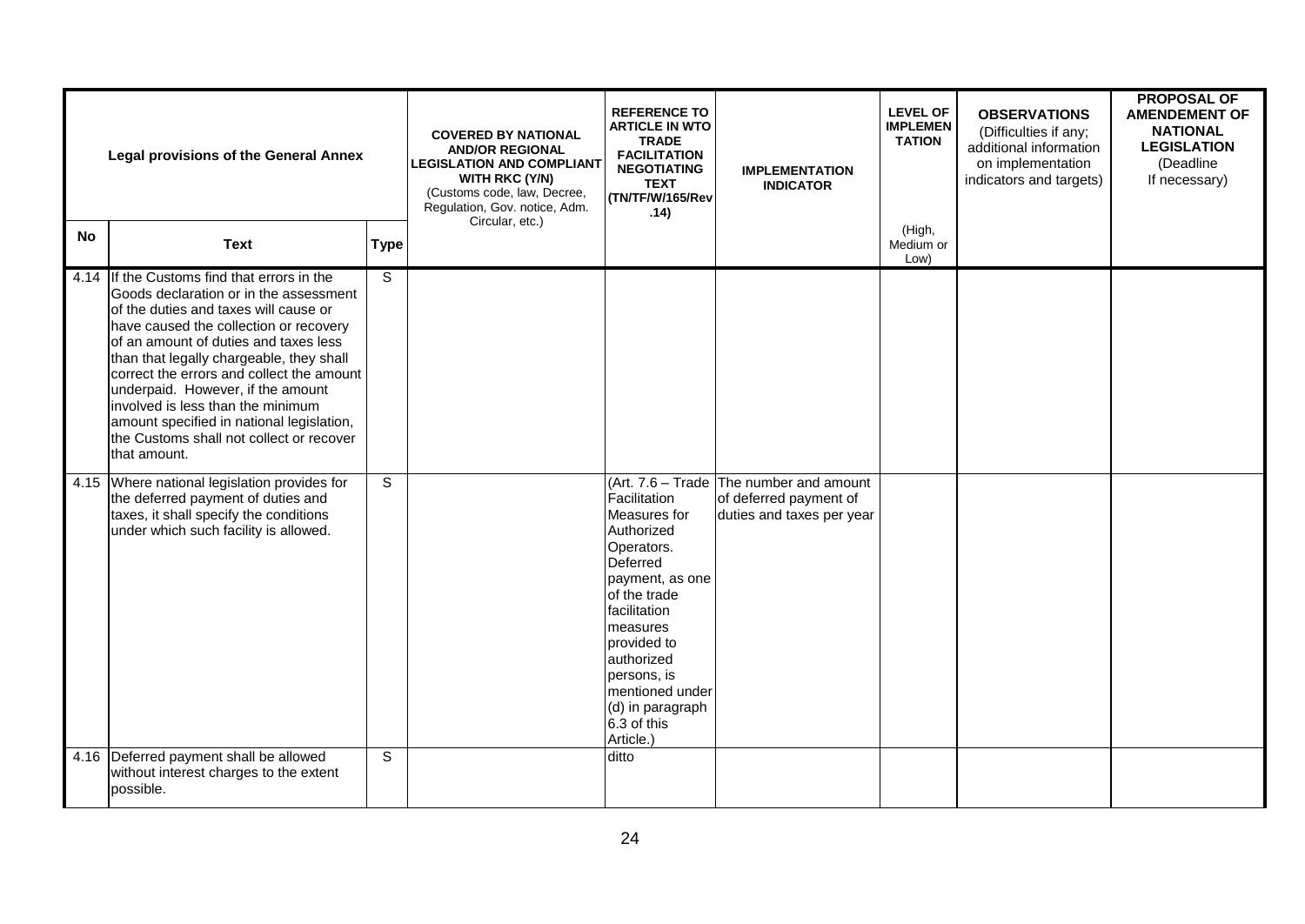|           | <b>Legal provisions of the General Annex</b>                                                                                                                                                                                                                                                                                                                                                                                                                                                  | <b>COVERED BY NATIONAL</b><br><b>AND/OR REGIONAL</b><br><b>LEGISLATION AND COMPLIANT</b><br><b>WITH RKC (Y/N)</b><br>(Customs code, law, Decree,<br>Regulation, Gov. notice, Adm.<br>Circular, etc.) | <b>REFERENCE TO</b><br><b>ARTICLE IN WTO</b><br><b>TRADE</b><br><b>FACILITATION</b><br><b>NEGOTIATING</b><br><b>TEXT</b><br>(TN/TF/W/165/Rev<br>.14) | <b>IMPLEMENTATION</b><br><b>INDICATOR</b>                                                                                                                                                                                                          | <b>LEVEL OF</b><br><b>IMPLEMEN</b><br><b>TATION</b>                                               | <b>OBSERVATIONS</b><br>(Difficulties if any;<br>additional information<br>on implementation<br>indicators and targets) | <b>PROPOSAL OF</b><br><b>AMENDEMENT OF</b><br><b>NATIONAL</b><br><b>LEGISLATION</b><br>(Deadline<br>If necessary) |  |
|-----------|-----------------------------------------------------------------------------------------------------------------------------------------------------------------------------------------------------------------------------------------------------------------------------------------------------------------------------------------------------------------------------------------------------------------------------------------------------------------------------------------------|------------------------------------------------------------------------------------------------------------------------------------------------------------------------------------------------------|------------------------------------------------------------------------------------------------------------------------------------------------------|----------------------------------------------------------------------------------------------------------------------------------------------------------------------------------------------------------------------------------------------------|---------------------------------------------------------------------------------------------------|------------------------------------------------------------------------------------------------------------------------|-------------------------------------------------------------------------------------------------------------------|--|
| <b>No</b> | <b>Text</b>                                                                                                                                                                                                                                                                                                                                                                                                                                                                                   | <b>Type</b>                                                                                                                                                                                          |                                                                                                                                                      |                                                                                                                                                                                                                                                    |                                                                                                   | (High,<br>Medium or<br>Low)                                                                                            |                                                                                                                   |  |
|           | 4.14 If the Customs find that errors in the<br>Goods declaration or in the assessment<br>of the duties and taxes will cause or<br>have caused the collection or recovery<br>of an amount of duties and taxes less<br>than that legally chargeable, they shall<br>correct the errors and collect the amount<br>underpaid. However, if the amount<br>involved is less than the minimum<br>amount specified in national legislation,<br>the Customs shall not collect or recover<br>that amount. | S                                                                                                                                                                                                    |                                                                                                                                                      |                                                                                                                                                                                                                                                    |                                                                                                   |                                                                                                                        |                                                                                                                   |  |
|           | 4.15 Where national legislation provides for<br>the deferred payment of duties and<br>taxes, it shall specify the conditions<br>under which such facility is allowed.                                                                                                                                                                                                                                                                                                                         | S                                                                                                                                                                                                    |                                                                                                                                                      | Facilitation<br>Measures for<br>Authorized<br>Operators.<br>Deferred<br>payment, as one<br>of the trade<br>facilitation<br>measures<br>provided to<br>authorized<br>persons, is<br>mentioned under<br>(d) in paragraph<br>6.3 of this<br>Article.) | $(Art. 7.6 - Trade)$ The number and amount<br>of deferred payment of<br>duties and taxes per year |                                                                                                                        |                                                                                                                   |  |
|           | 4.16 Deferred payment shall be allowed<br>without interest charges to the extent<br>possible.                                                                                                                                                                                                                                                                                                                                                                                                 | S                                                                                                                                                                                                    |                                                                                                                                                      | ditto                                                                                                                                                                                                                                              |                                                                                                   |                                                                                                                        |                                                                                                                   |  |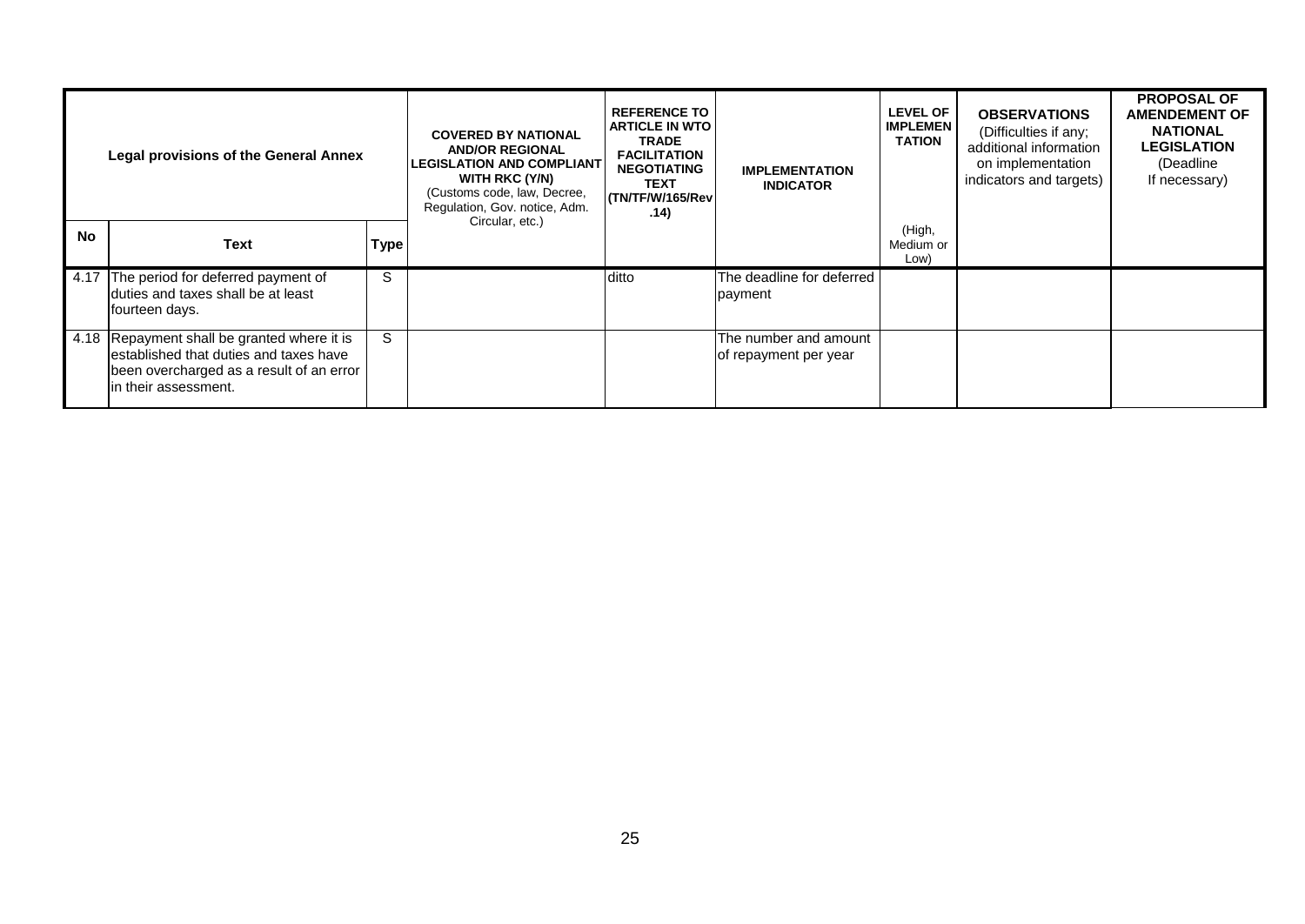|           | <b>Legal provisions of the General Annex</b>                                                                                                                |             | <b>COVERED BY NATIONAL</b><br><b>AND/OR REGIONAL</b><br><b>LEGISLATION AND COMPLIANT</b><br>WITH RKC (Y/N)<br>(Customs code, law, Decree,<br>Regulation, Gov. notice, Adm. | <b>REFERENCE TO</b><br><b>ARTICLE IN WTO</b><br><b>TRADE</b><br><b>FACILITATION</b><br><b>NEGOTIATING</b><br><b>TEXT</b><br>(TN/TF/W/165/Rev)<br>.14) | <b>IMPLEMENTATION</b><br><b>INDICATOR</b>      | <b>LEVEL OF</b><br><b>IMPLEMEN</b><br><b>TATION</b> | <b>OBSERVATIONS</b><br>(Difficulties if any;<br>additional information<br>on implementation<br>indicators and targets) | <b>PROPOSAL OF</b><br><b>AMENDEMENT OF</b><br><b>NATIONAL</b><br><b>LEGISLATION</b><br>(Deadline<br>If necessary) |
|-----------|-------------------------------------------------------------------------------------------------------------------------------------------------------------|-------------|----------------------------------------------------------------------------------------------------------------------------------------------------------------------------|-------------------------------------------------------------------------------------------------------------------------------------------------------|------------------------------------------------|-----------------------------------------------------|------------------------------------------------------------------------------------------------------------------------|-------------------------------------------------------------------------------------------------------------------|
| <b>No</b> | <b>Text</b>                                                                                                                                                 | <b>Type</b> | Circular, etc.)                                                                                                                                                            |                                                                                                                                                       |                                                | (High,<br>Medium or<br>Low)                         |                                                                                                                        |                                                                                                                   |
|           | 4.17 The period for deferred payment of<br>Iduties and taxes shall be at least<br>fourteen days.                                                            | S           |                                                                                                                                                                            | ditto                                                                                                                                                 | The deadline for deferred<br>payment           |                                                     |                                                                                                                        |                                                                                                                   |
|           | 4.18 Repayment shall be granted where it is<br>lestablished that duties and taxes have<br>been overcharged as a result of an error<br>lin their assessment. | S           |                                                                                                                                                                            |                                                                                                                                                       | The number and amount<br>of repayment per year |                                                     |                                                                                                                        |                                                                                                                   |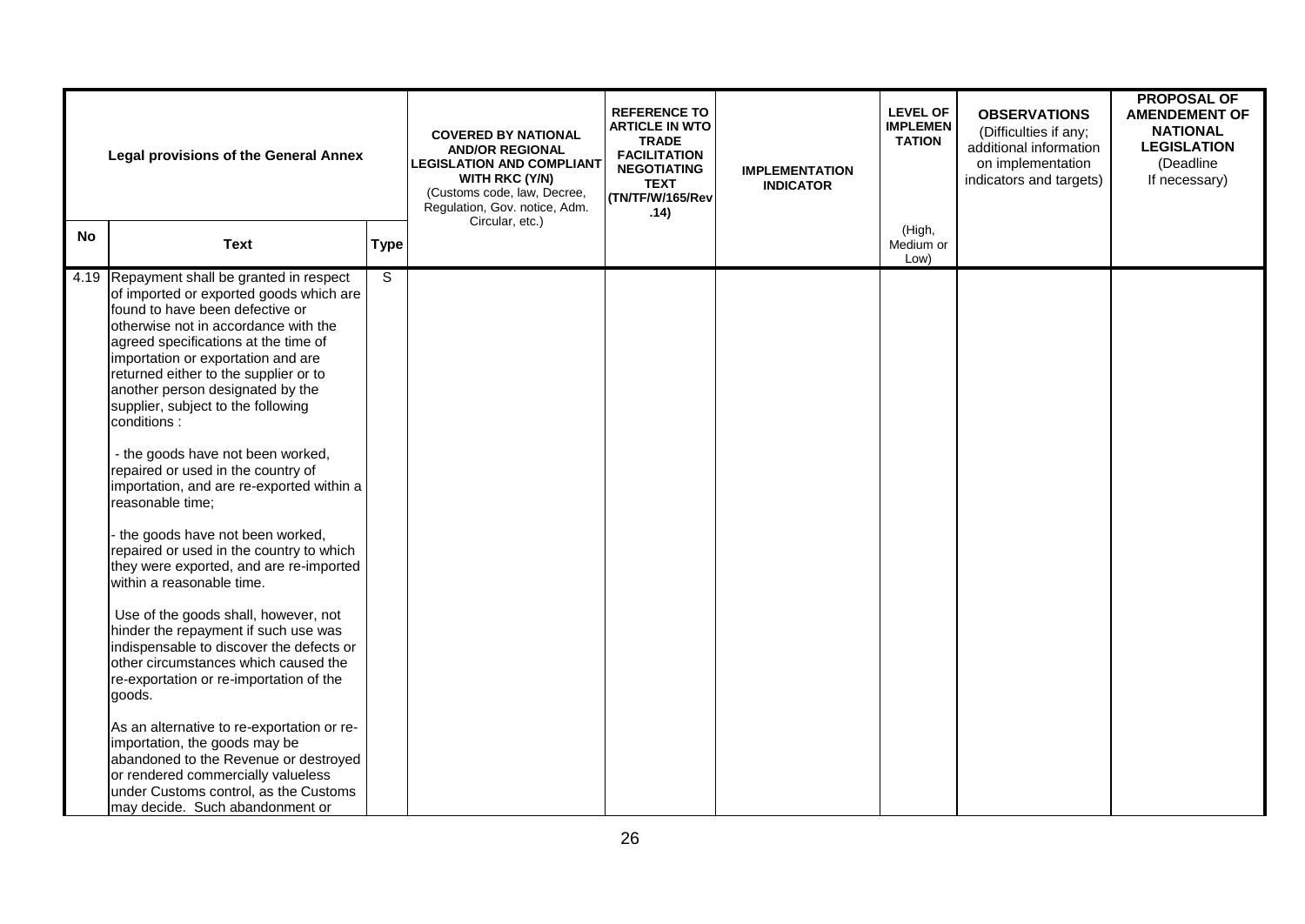|           | <b>Legal provisions of the General Annex</b>                                                                                                                                                                                                                                                                                                                                                                                                                                                                                                                                                                                                                                                                                                                                                                                                                                                                                                                                                                                                                                                                                                           |                | <b>COVERED BY NATIONAL</b><br><b>AND/OR REGIONAL</b><br><b>LEGISLATION AND COMPLIANT</b><br>WITH RKC (Y/N)<br>(Customs code, law, Decree,<br>Regulation, Gov. notice, Adm.<br>Circular, etc.) | <b>REFERENCE TO</b><br><b>ARTICLE IN WTO</b><br><b>TRADE</b><br><b>FACILITATION</b><br><b>NEGOTIATING</b><br><b>TEXT</b><br>(TN/TF/W/165/Rev<br>.14) | <b>IMPLEMENTATION</b><br><b>INDICATOR</b> | <b>LEVEL OF</b><br><b>IMPLEMEN</b><br><b>TATION</b> | <b>OBSERVATIONS</b><br>(Difficulties if any;<br>additional information<br>on implementation<br>indicators and targets) | <b>PROPOSAL OF</b><br><b>AMENDEMENT OF</b><br><b>NATIONAL</b><br><b>LEGISLATION</b><br>(Deadline<br>If necessary) |
|-----------|--------------------------------------------------------------------------------------------------------------------------------------------------------------------------------------------------------------------------------------------------------------------------------------------------------------------------------------------------------------------------------------------------------------------------------------------------------------------------------------------------------------------------------------------------------------------------------------------------------------------------------------------------------------------------------------------------------------------------------------------------------------------------------------------------------------------------------------------------------------------------------------------------------------------------------------------------------------------------------------------------------------------------------------------------------------------------------------------------------------------------------------------------------|----------------|-----------------------------------------------------------------------------------------------------------------------------------------------------------------------------------------------|------------------------------------------------------------------------------------------------------------------------------------------------------|-------------------------------------------|-----------------------------------------------------|------------------------------------------------------------------------------------------------------------------------|-------------------------------------------------------------------------------------------------------------------|
| <b>No</b> | <b>Text</b>                                                                                                                                                                                                                                                                                                                                                                                                                                                                                                                                                                                                                                                                                                                                                                                                                                                                                                                                                                                                                                                                                                                                            | <b>Type</b>    |                                                                                                                                                                                               |                                                                                                                                                      |                                           | (High,<br>Medium or<br>Low)                         |                                                                                                                        |                                                                                                                   |
|           | 4.19 Repayment shall be granted in respect<br>of imported or exported goods which are<br>found to have been defective or<br>otherwise not in accordance with the<br>agreed specifications at the time of<br>importation or exportation and are<br>returned either to the supplier or to<br>another person designated by the<br>supplier, subject to the following<br>conditions:<br>- the goods have not been worked,<br>repaired or used in the country of<br>importation, and are re-exported within a<br>reasonable time;<br>the goods have not been worked,<br>repaired or used in the country to which<br>they were exported, and are re-imported<br>within a reasonable time.<br>Use of the goods shall, however, not<br>hinder the repayment if such use was<br>indispensable to discover the defects or<br>other circumstances which caused the<br>re-exportation or re-importation of the<br>goods.<br>As an alternative to re-exportation or re-<br>importation, the goods may be<br>abandoned to the Revenue or destroyed<br>or rendered commercially valueless<br>under Customs control, as the Customs<br>may decide. Such abandonment or | $\overline{s}$ |                                                                                                                                                                                               |                                                                                                                                                      |                                           |                                                     |                                                                                                                        |                                                                                                                   |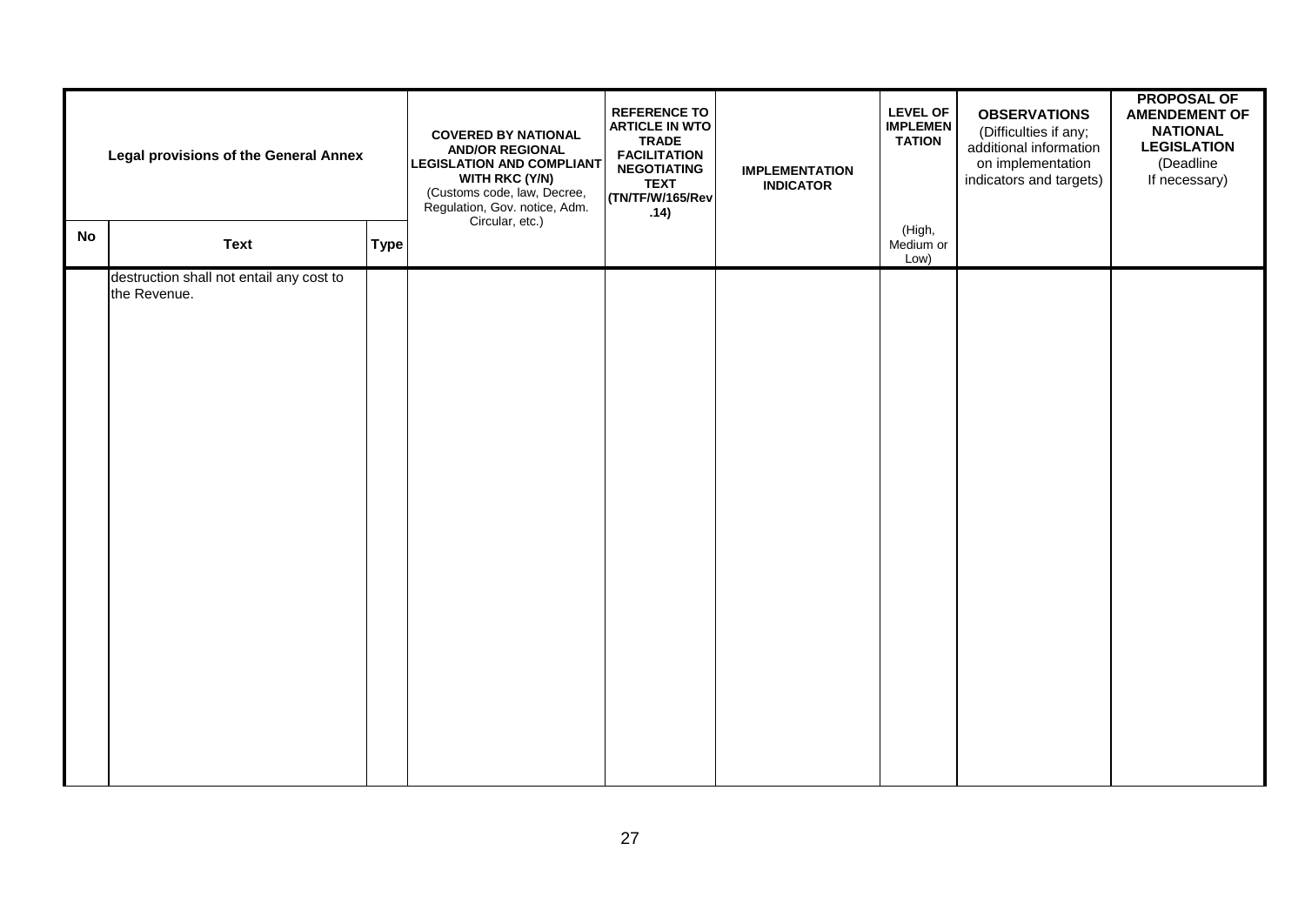|           | <b>Legal provisions of the General Annex</b>             | <b>COVERED BY NATIONAL</b><br><b>AND/OR REGIONAL</b><br><b>LEGISLATION AND COMPLIANT</b><br><b>WITH RKC (Y/N)</b><br>(Customs code, law, Decree,<br>Regulation, Gov. notice, Adm.<br>Circular, etc.) | <b>REFERENCE TO</b><br><b>ARTICLE IN WTO</b><br><b>TRADE</b><br><b>FACILITATION</b><br><b>NEGOTIATING</b><br><b>TEXT</b><br>(TN/TF/W/165/Rev<br>.14) | <b>IMPLEMENTATION</b><br><b>INDICATOR</b> | <b>LEVEL OF</b><br><b>IMPLEMEN</b><br><b>TATION</b> | <b>OBSERVATIONS</b><br>(Difficulties if any;<br>additional information<br>on implementation<br>indicators and targets) | <b>PROPOSAL OF</b><br><b>AMENDEMENT OF</b><br><b>NATIONAL</b><br><b>LEGISLATION</b><br>(Deadline<br>If necessary) |  |
|-----------|----------------------------------------------------------|------------------------------------------------------------------------------------------------------------------------------------------------------------------------------------------------------|------------------------------------------------------------------------------------------------------------------------------------------------------|-------------------------------------------|-----------------------------------------------------|------------------------------------------------------------------------------------------------------------------------|-------------------------------------------------------------------------------------------------------------------|--|
| <b>No</b> | <b>Text</b>                                              | <b>Type</b>                                                                                                                                                                                          |                                                                                                                                                      |                                           |                                                     | (High,<br>Medium or<br>Low)                                                                                            |                                                                                                                   |  |
|           | destruction shall not entail any cost to<br>the Revenue. |                                                                                                                                                                                                      |                                                                                                                                                      |                                           |                                                     |                                                                                                                        |                                                                                                                   |  |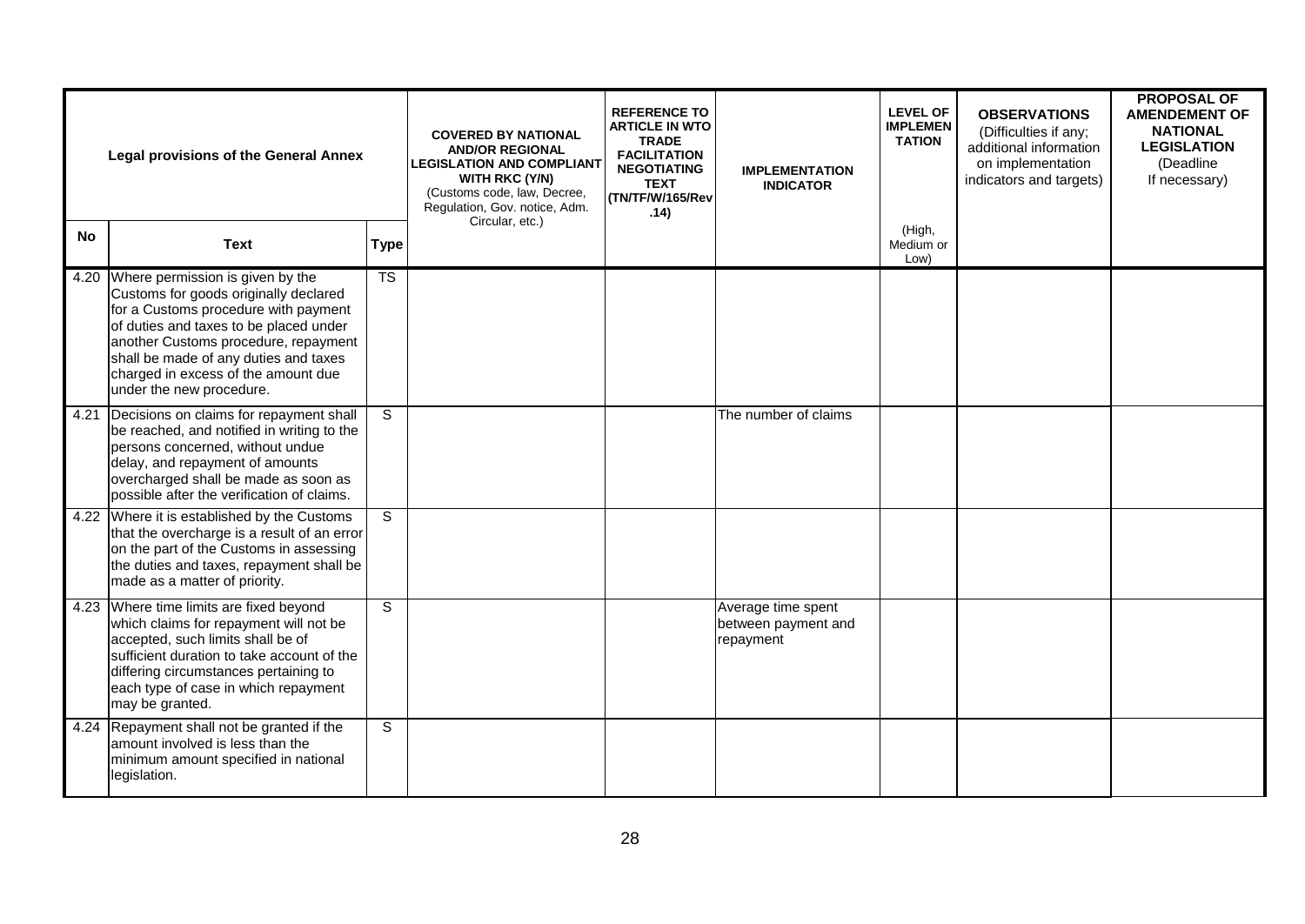| <b>Legal provisions of the General Annex</b> |                                                                                                                                                                                                                                                                                                                 |                        | <b>COVERED BY NATIONAL</b><br><b>AND/OR REGIONAL</b><br><b>LEGISLATION AND COMPLIANT</b><br><b>WITH RKC (Y/N)</b><br>(Customs code, law, Decree,<br>Regulation, Gov. notice, Adm.<br>Circular, etc.) | <b>REFERENCE TO</b><br><b>ARTICLE IN WTO</b><br><b>TRADE</b><br><b>FACILITATION</b><br><b>NEGOTIATING</b><br><b>TEXT</b><br>(TN/TF/W/165/Rev<br>.14) | <b>IMPLEMENTATION</b><br><b>INDICATOR</b>              | <b>LEVEL OF</b><br><b>IMPLEMEN</b><br><b>TATION</b> | <b>OBSERVATIONS</b><br>(Difficulties if any;<br>additional information<br>on implementation<br>indicators and targets) | <b>PROPOSAL OF</b><br><b>AMENDEMENT OF</b><br><b>NATIONAL</b><br><b>LEGISLATION</b><br>(Deadline<br>If necessary) |
|----------------------------------------------|-----------------------------------------------------------------------------------------------------------------------------------------------------------------------------------------------------------------------------------------------------------------------------------------------------------------|------------------------|------------------------------------------------------------------------------------------------------------------------------------------------------------------------------------------------------|------------------------------------------------------------------------------------------------------------------------------------------------------|--------------------------------------------------------|-----------------------------------------------------|------------------------------------------------------------------------------------------------------------------------|-------------------------------------------------------------------------------------------------------------------|
| No.                                          | <b>Text</b>                                                                                                                                                                                                                                                                                                     | <b>Type</b>            |                                                                                                                                                                                                      |                                                                                                                                                      |                                                        | (High,<br>Medium or<br>Low)                         |                                                                                                                        |                                                                                                                   |
| 4.20                                         | Where permission is given by the<br>Customs for goods originally declared<br>for a Customs procedure with payment<br>of duties and taxes to be placed under<br>another Customs procedure, repayment<br>shall be made of any duties and taxes<br>charged in excess of the amount due<br>under the new procedure. | $\overline{\text{TS}}$ |                                                                                                                                                                                                      |                                                                                                                                                      |                                                        |                                                     |                                                                                                                        |                                                                                                                   |
| 4.21                                         | Decisions on claims for repayment shall<br>be reached, and notified in writing to the<br>persons concerned, without undue<br>delay, and repayment of amounts<br>overcharged shall be made as soon as<br>possible after the verification of claims.                                                              | S                      |                                                                                                                                                                                                      |                                                                                                                                                      | The number of claims                                   |                                                     |                                                                                                                        |                                                                                                                   |
| 4.22                                         | Where it is established by the Customs<br>that the overcharge is a result of an error<br>on the part of the Customs in assessing<br>the duties and taxes, repayment shall be<br>made as a matter of priority.                                                                                                   | S                      |                                                                                                                                                                                                      |                                                                                                                                                      |                                                        |                                                     |                                                                                                                        |                                                                                                                   |
|                                              | 4.23 Where time limits are fixed beyond<br>which claims for repayment will not be<br>accepted, such limits shall be of<br>sufficient duration to take account of the<br>differing circumstances pertaining to<br>each type of case in which repayment<br>may be granted.                                        | $\overline{s}$         |                                                                                                                                                                                                      |                                                                                                                                                      | Average time spent<br>between payment and<br>repayment |                                                     |                                                                                                                        |                                                                                                                   |
|                                              | 4.24 Repayment shall not be granted if the<br>amount involved is less than the<br>minimum amount specified in national<br>legislation.                                                                                                                                                                          | S                      |                                                                                                                                                                                                      |                                                                                                                                                      |                                                        |                                                     |                                                                                                                        |                                                                                                                   |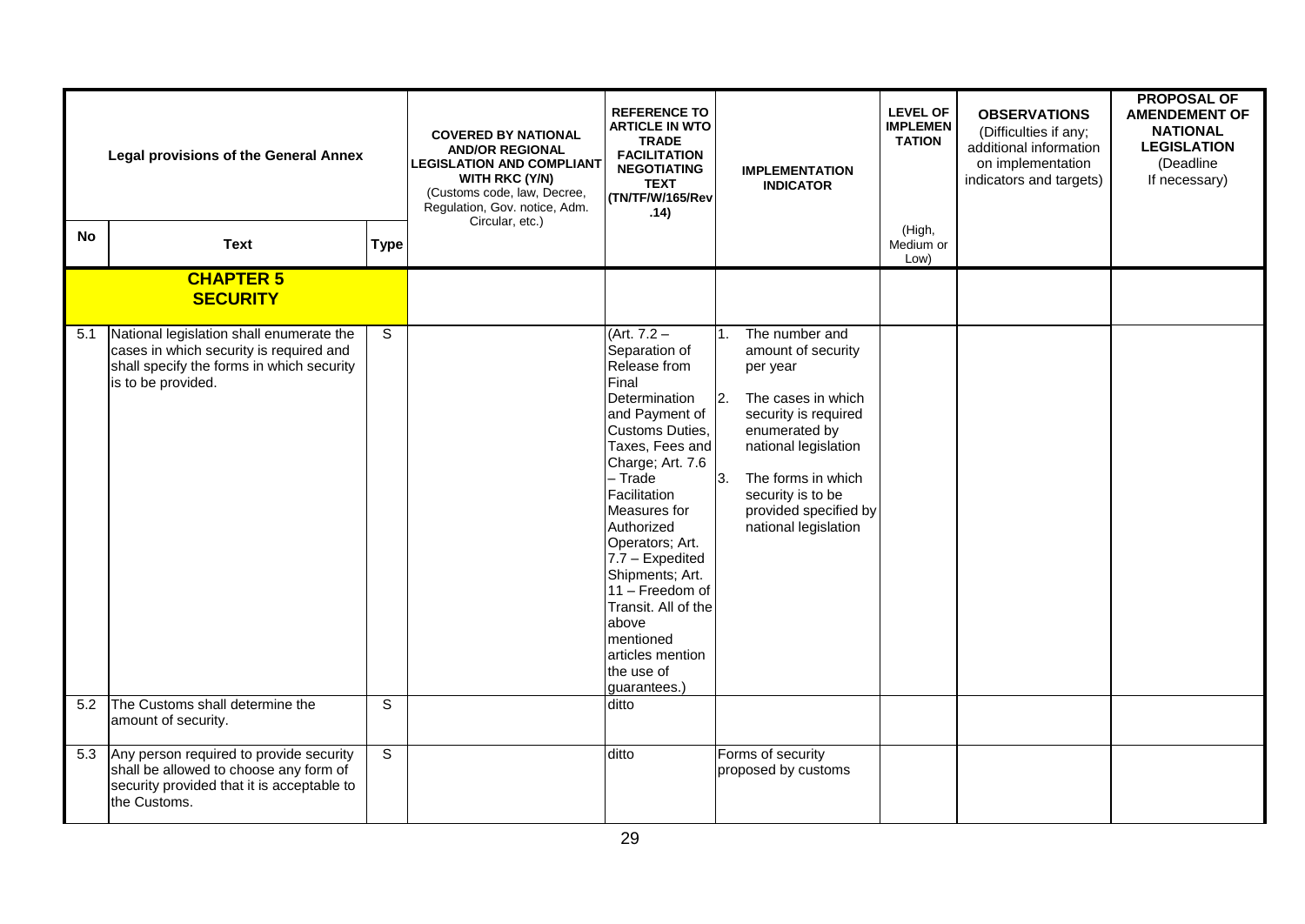| <b>Legal provisions of the General Annex</b> |                                                                                                                                                        | <b>COVERED BY NATIONAL</b><br><b>AND/OR REGIONAL</b><br><b>LEGISLATION AND COMPLIANT</b><br><b>WITH RKC (Y/N)</b><br>(Customs code, law, Decree,<br>Regulation, Gov. notice, Adm.<br>Circular, etc.) | <b>REFERENCE TO</b><br><b>ARTICLE IN WTO</b><br><b>TRADE</b><br><b>FACILITATION</b><br><b>NEGOTIATING</b><br><b>TEXT</b><br>(TN/TF/W/165/Rev<br>.14) | <b>IMPLEMENTATION</b><br><b>INDICATOR</b>                                                                                                                                                                                                                                                                                                                                                | <b>LEVEL OF</b><br><b>IMPLEMEN</b><br><b>TATION</b>                                                                                                                                                                                                                             | <b>OBSERVATIONS</b><br>(Difficulties if any;<br>additional information<br>on implementation<br>indicators and targets) | <b>PROPOSAL OF</b><br><b>AMENDEMENT OF</b><br><b>NATIONAL</b><br><b>LEGISLATION</b><br>(Deadline<br>If necessary) |  |
|----------------------------------------------|--------------------------------------------------------------------------------------------------------------------------------------------------------|------------------------------------------------------------------------------------------------------------------------------------------------------------------------------------------------------|------------------------------------------------------------------------------------------------------------------------------------------------------|------------------------------------------------------------------------------------------------------------------------------------------------------------------------------------------------------------------------------------------------------------------------------------------------------------------------------------------------------------------------------------------|---------------------------------------------------------------------------------------------------------------------------------------------------------------------------------------------------------------------------------------------------------------------------------|------------------------------------------------------------------------------------------------------------------------|-------------------------------------------------------------------------------------------------------------------|--|
| <b>No</b>                                    | <b>Text</b>                                                                                                                                            | <b>Type</b>                                                                                                                                                                                          |                                                                                                                                                      |                                                                                                                                                                                                                                                                                                                                                                                          |                                                                                                                                                                                                                                                                                 | (High,<br>Medium or<br>Low)                                                                                            |                                                                                                                   |  |
|                                              | <b>CHAPTER 5</b><br><b>SECURITY</b>                                                                                                                    |                                                                                                                                                                                                      |                                                                                                                                                      |                                                                                                                                                                                                                                                                                                                                                                                          |                                                                                                                                                                                                                                                                                 |                                                                                                                        |                                                                                                                   |  |
| 5.1                                          | National legislation shall enumerate the<br>cases in which security is required and<br>shall specify the forms in which security<br>is to be provided. | S                                                                                                                                                                                                    |                                                                                                                                                      | $(Art. 7.2 -$<br>Separation of<br>Release from<br>Final<br>Determination<br>and Payment of<br>Customs Duties,<br>Taxes, Fees and<br>Charge; Art. 7.6<br>- Trade<br>Facilitation<br>Measures for<br>Authorized<br>Operators; Art.<br>7.7 - Expedited<br>Shipments; Art.<br>11 - Freedom of<br>Transit. All of the<br>above<br>mentioned<br>articles mention<br>the use of<br>guarantees.) | The number and<br>$\mathbf{1}$ .<br>amount of security<br>per year<br>The cases in which<br>$\overline{2}$ .<br>security is required<br>enumerated by<br>national legislation<br>3.<br>The forms in which<br>security is to be<br>provided specified by<br>national legislation |                                                                                                                        |                                                                                                                   |  |
| 5.2                                          | The Customs shall determine the<br>amount of security.                                                                                                 | S                                                                                                                                                                                                    |                                                                                                                                                      | ditto                                                                                                                                                                                                                                                                                                                                                                                    |                                                                                                                                                                                                                                                                                 |                                                                                                                        |                                                                                                                   |  |
| 5.3                                          | Any person required to provide security<br>shall be allowed to choose any form of<br>security provided that it is acceptable to<br>the Customs.        | S                                                                                                                                                                                                    |                                                                                                                                                      | ditto                                                                                                                                                                                                                                                                                                                                                                                    | Forms of security<br>proposed by customs                                                                                                                                                                                                                                        |                                                                                                                        |                                                                                                                   |  |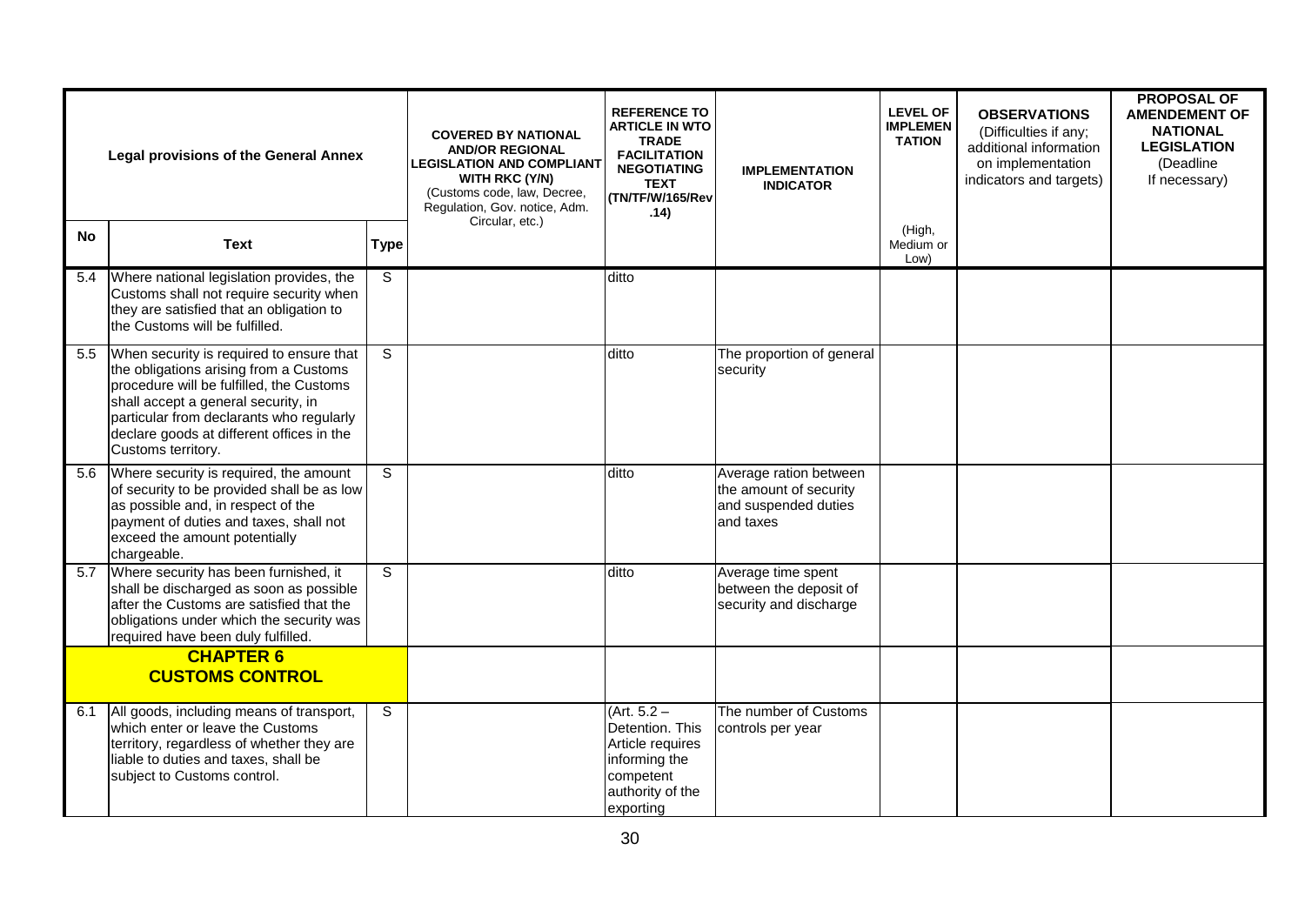| <b>Legal provisions of the General Annex</b> |                                                                                                                                                                                                                                                                                      | <b>COVERED BY NATIONAL</b><br><b>AND/OR REGIONAL</b><br><b>LEGISLATION AND COMPLIANT</b><br><b>WITH RKC (Y/N)</b><br>(Customs code, law, Decree,<br>Regulation, Gov. notice, Adm.<br>Circular, etc.) | <b>REFERENCE TO</b><br><b>ARTICLE IN WTO</b><br><b>TRADE</b><br><b>FACILITATION</b><br><b>NEGOTIATING</b><br><b>TEXT</b><br>(TN/TF/W/165/Rev<br>.14) | <b>IMPLEMENTATION</b><br><b>INDICATOR</b>                                                                           | <b>LEVEL OF</b><br><b>IMPLEMEN</b><br><b>TATION</b>                                   | <b>OBSERVATIONS</b><br>(Difficulties if any;<br>additional information<br>on implementation<br>indicators and targets) | <b>PROPOSAL OF</b><br><b>AMENDEMENT OF</b><br><b>NATIONAL</b><br><b>LEGISLATION</b><br>(Deadline<br>If necessary) |  |
|----------------------------------------------|--------------------------------------------------------------------------------------------------------------------------------------------------------------------------------------------------------------------------------------------------------------------------------------|------------------------------------------------------------------------------------------------------------------------------------------------------------------------------------------------------|------------------------------------------------------------------------------------------------------------------------------------------------------|---------------------------------------------------------------------------------------------------------------------|---------------------------------------------------------------------------------------|------------------------------------------------------------------------------------------------------------------------|-------------------------------------------------------------------------------------------------------------------|--|
| <b>No</b>                                    | <b>Text</b>                                                                                                                                                                                                                                                                          | <b>Type</b>                                                                                                                                                                                          |                                                                                                                                                      |                                                                                                                     |                                                                                       | (High,<br>Medium or<br>Low)                                                                                            |                                                                                                                   |  |
| 5.4                                          | Where national legislation provides, the<br>Customs shall not require security when<br>they are satisfied that an obligation to<br>the Customs will be fulfilled.                                                                                                                    | S                                                                                                                                                                                                    |                                                                                                                                                      | ditto                                                                                                               |                                                                                       |                                                                                                                        |                                                                                                                   |  |
| 5.5                                          | When security is required to ensure that<br>the obligations arising from a Customs<br>procedure will be fulfilled, the Customs<br>shall accept a general security, in<br>particular from declarants who regularly<br>declare goods at different offices in the<br>Customs territory. | S                                                                                                                                                                                                    |                                                                                                                                                      | ditto                                                                                                               | The proportion of general<br>security                                                 |                                                                                                                        |                                                                                                                   |  |
| 5.6                                          | Where security is required, the amount<br>of security to be provided shall be as low<br>as possible and, in respect of the<br>payment of duties and taxes, shall not<br>exceed the amount potentially<br>chargeable.                                                                 | S                                                                                                                                                                                                    |                                                                                                                                                      | ditto                                                                                                               | Average ration between<br>the amount of security<br>and suspended duties<br>and taxes |                                                                                                                        |                                                                                                                   |  |
| 5.7                                          | Where security has been furnished, it<br>shall be discharged as soon as possible<br>after the Customs are satisfied that the<br>obligations under which the security was<br>required have been duly fulfilled.                                                                       | S                                                                                                                                                                                                    |                                                                                                                                                      | ditto                                                                                                               | Average time spent<br>between the deposit of<br>security and discharge                |                                                                                                                        |                                                                                                                   |  |
|                                              | <b>CHAPTER 6</b><br><b>CUSTOMS CONTROL</b>                                                                                                                                                                                                                                           |                                                                                                                                                                                                      |                                                                                                                                                      |                                                                                                                     |                                                                                       |                                                                                                                        |                                                                                                                   |  |
| 6.1                                          | All goods, including means of transport,<br>which enter or leave the Customs<br>territory, regardless of whether they are<br>liable to duties and taxes, shall be<br>subject to Customs control.                                                                                     | S                                                                                                                                                                                                    |                                                                                                                                                      | $(Art. 5.2 -$<br>Detention. This<br>Article requires<br>informing the<br>competent<br>authority of the<br>exporting | The number of Customs<br>controls per year                                            |                                                                                                                        |                                                                                                                   |  |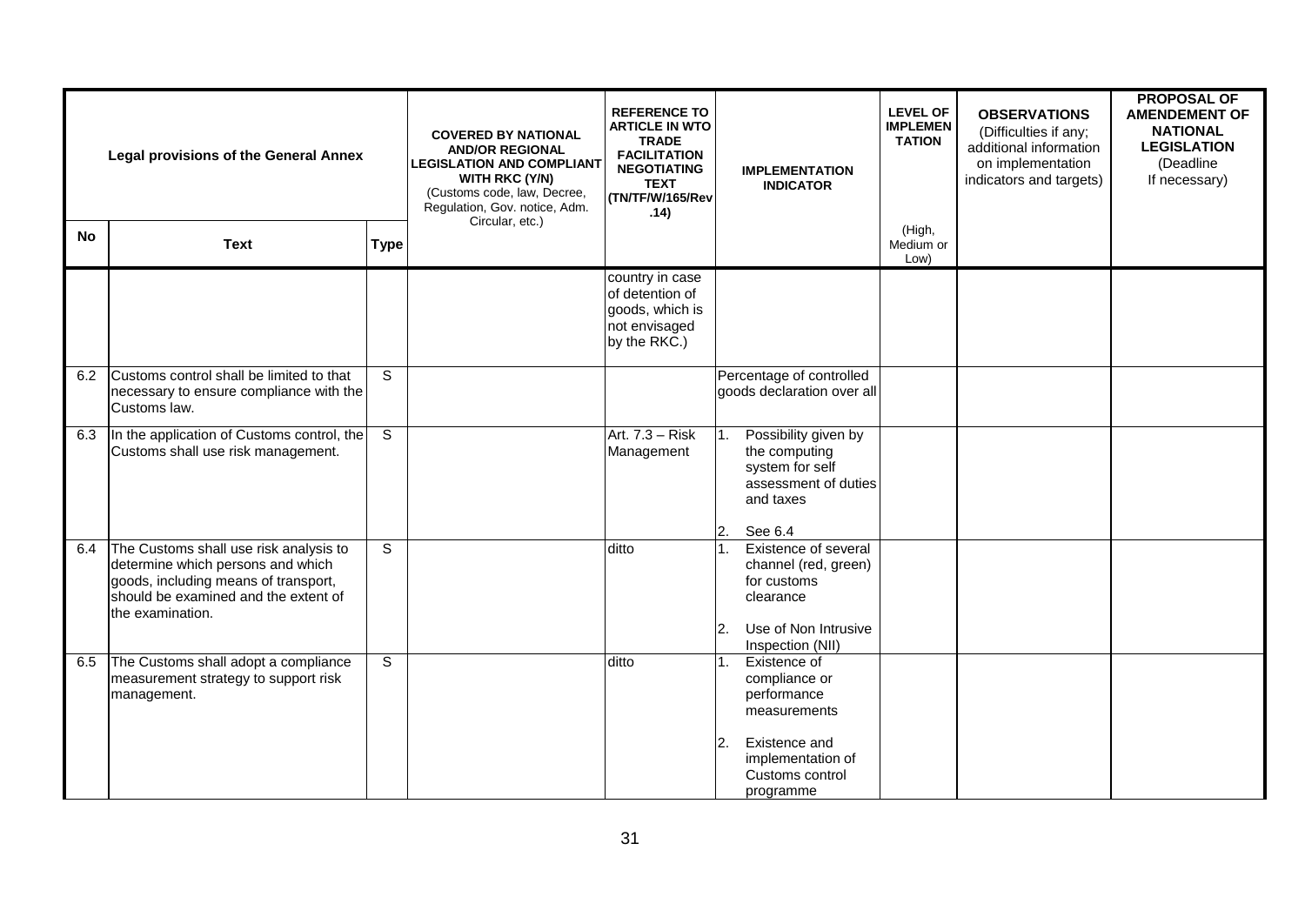|           | <b>Legal provisions of the General Annex</b>                                                                                                                                    |                | <b>COVERED BY NATIONAL</b><br><b>AND/OR REGIONAL</b><br><b>LEGISLATION AND COMPLIANT</b><br><b>WITH RKC (Y/N)</b><br>(Customs code, law, Decree,<br>Regulation, Gov. notice, Adm.<br>Circular, etc.) | <b>REFERENCE TO</b><br><b>ARTICLE IN WTO</b><br><b>TRADE</b><br><b>FACILITATION</b><br><b>NEGOTIATING</b><br><b>TEXT</b><br>(TN/TF/W/165/Rev<br>.14) | <b>IMPLEMENTATION</b><br><b>INDICATOR</b>                                                                                                | <b>LEVEL OF</b><br><b>IMPLEMEN</b><br><b>TATION</b> | <b>OBSERVATIONS</b><br>(Difficulties if any;<br>additional information<br>on implementation<br>indicators and targets) | <b>PROPOSAL OF</b><br><b>AMENDEMENT OF</b><br><b>NATIONAL</b><br><b>LEGISLATION</b><br>(Deadline<br>If necessary) |
|-----------|---------------------------------------------------------------------------------------------------------------------------------------------------------------------------------|----------------|------------------------------------------------------------------------------------------------------------------------------------------------------------------------------------------------------|------------------------------------------------------------------------------------------------------------------------------------------------------|------------------------------------------------------------------------------------------------------------------------------------------|-----------------------------------------------------|------------------------------------------------------------------------------------------------------------------------|-------------------------------------------------------------------------------------------------------------------|
| <b>No</b> | <b>Text</b>                                                                                                                                                                     | <b>Type</b>    |                                                                                                                                                                                                      |                                                                                                                                                      |                                                                                                                                          | (High,<br>Medium or<br>Low)                         |                                                                                                                        |                                                                                                                   |
|           |                                                                                                                                                                                 |                |                                                                                                                                                                                                      | country in case<br>of detention of<br>goods, which is<br>not envisaged<br>by the RKC.)                                                               |                                                                                                                                          |                                                     |                                                                                                                        |                                                                                                                   |
| 6.2       | Customs control shall be limited to that<br>necessary to ensure compliance with the<br>Customs law.                                                                             | S              |                                                                                                                                                                                                      |                                                                                                                                                      | Percentage of controlled<br>goods declaration over all                                                                                   |                                                     |                                                                                                                        |                                                                                                                   |
| 6.3       | In the application of Customs control, the<br>Customs shall use risk management.                                                                                                | $\overline{s}$ |                                                                                                                                                                                                      | Art. 7.3 - Risk<br>Management                                                                                                                        | Possibility given by<br>1.<br>the computing<br>system for self<br>assessment of duties<br>and taxes<br>2.<br>See 6.4                     |                                                     |                                                                                                                        |                                                                                                                   |
| 6.4       | The Customs shall use risk analysis to<br>determine which persons and which<br>goods, including means of transport,<br>should be examined and the extent of<br>the examination. | $\overline{s}$ |                                                                                                                                                                                                      | ditto                                                                                                                                                | Existence of several<br>channel (red, green)<br>for customs<br>clearance<br>Use of Non Intrusive<br>2.<br>Inspection (NII)               |                                                     |                                                                                                                        |                                                                                                                   |
| 6.5       | The Customs shall adopt a compliance<br>measurement strategy to support risk<br>management.                                                                                     | $\mathbf S$    |                                                                                                                                                                                                      | ditto                                                                                                                                                | Existence of<br>compliance or<br>performance<br>measurements<br>2.<br>Existence and<br>implementation of<br>Customs control<br>programme |                                                     |                                                                                                                        |                                                                                                                   |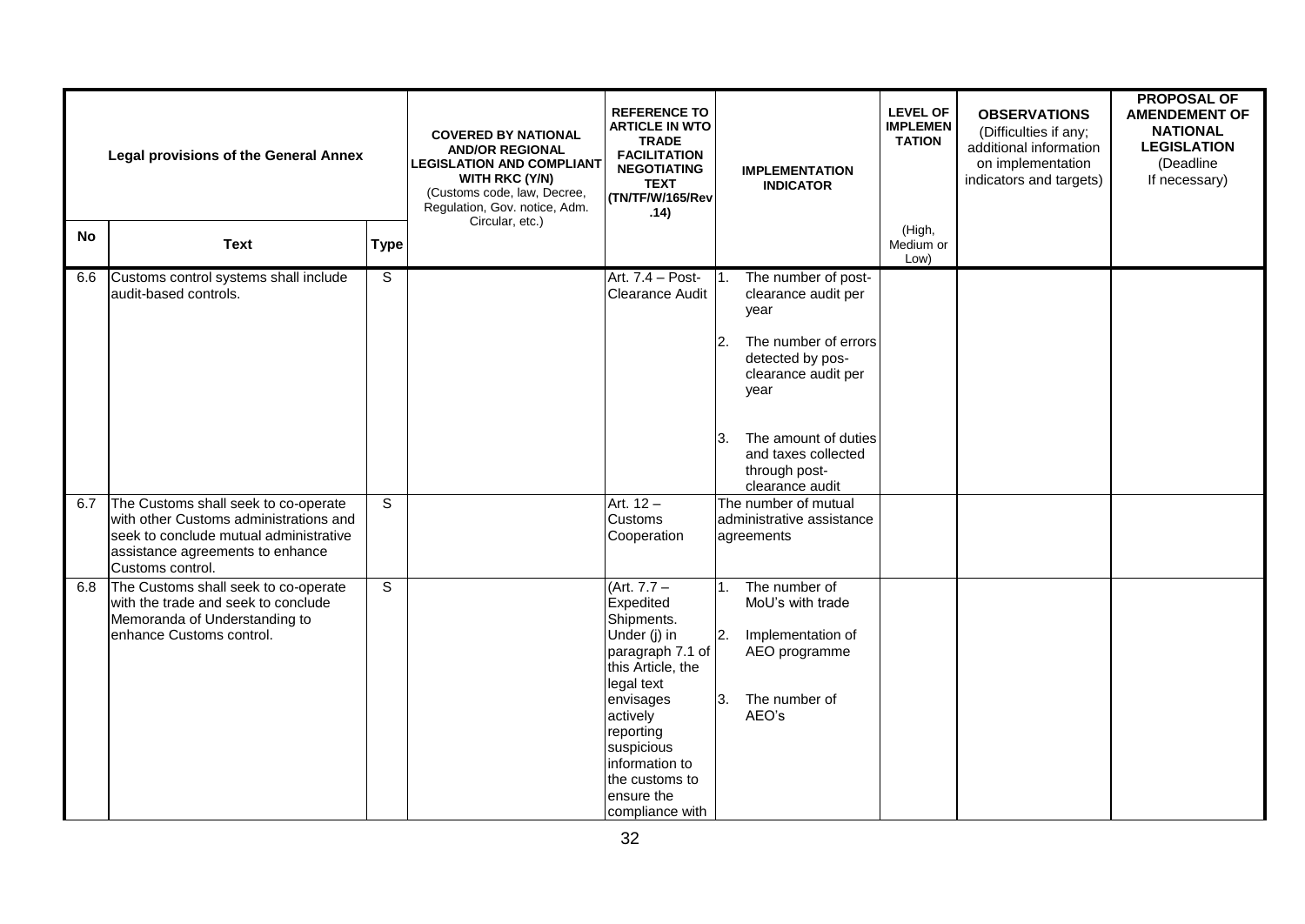|           | <b>Legal provisions of the General Annex</b>                                                                                                                                     |                | <b>COVERED BY NATIONAL</b><br><b>AND/OR REGIONAL</b><br><b>LEGISLATION AND COMPLIANT</b><br><b>WITH RKC (Y/N)</b><br>(Customs code, law, Decree,<br>Regulation, Gov. notice, Adm.<br>Circular, etc.) | <b>REFERENCE TO</b><br><b>ARTICLE IN WTO</b><br><b>TRADE</b><br><b>FACILITATION</b><br><b>NEGOTIATING</b><br><b>TEXT</b><br>(TN/TF/W/165/Rev<br>.14)                                                                                     |                     | <b>IMPLEMENTATION</b><br><b>INDICATOR</b>                                                                                                                                                                        | <b>LEVEL OF</b><br><b>IMPLEMEN</b><br><b>TATION</b> | <b>OBSERVATIONS</b><br>(Difficulties if any;<br>additional information<br>on implementation<br>indicators and targets) | <b>PROPOSAL OF</b><br><b>AMENDEMENT OF</b><br><b>NATIONAL</b><br><b>LEGISLATION</b><br>(Deadline<br>If necessary) |
|-----------|----------------------------------------------------------------------------------------------------------------------------------------------------------------------------------|----------------|------------------------------------------------------------------------------------------------------------------------------------------------------------------------------------------------------|------------------------------------------------------------------------------------------------------------------------------------------------------------------------------------------------------------------------------------------|---------------------|------------------------------------------------------------------------------------------------------------------------------------------------------------------------------------------------------------------|-----------------------------------------------------|------------------------------------------------------------------------------------------------------------------------|-------------------------------------------------------------------------------------------------------------------|
| <b>No</b> | <b>Text</b>                                                                                                                                                                      | <b>Type</b>    |                                                                                                                                                                                                      |                                                                                                                                                                                                                                          |                     |                                                                                                                                                                                                                  | (High,<br>Medium or<br>Low)                         |                                                                                                                        |                                                                                                                   |
| 6.6       | Customs control systems shall include<br>audit-based controls.                                                                                                                   | $\overline{s}$ |                                                                                                                                                                                                      | Art. 7.4 - Post-<br>Clearance Audit                                                                                                                                                                                                      | <sup>2.</sup><br>3. | The number of post-<br>clearance audit per<br>vear<br>The number of errors<br>detected by pos-<br>clearance audit per<br>year<br>The amount of duties<br>and taxes collected<br>through post-<br>clearance audit |                                                     |                                                                                                                        |                                                                                                                   |
| 6.7       | The Customs shall seek to co-operate<br>with other Customs administrations and<br>seek to conclude mutual administrative<br>assistance agreements to enhance<br>Customs control. | S              |                                                                                                                                                                                                      | Art. $12 -$<br>Customs<br>Cooperation                                                                                                                                                                                                    |                     | The number of mutual<br>administrative assistance<br>agreements                                                                                                                                                  |                                                     |                                                                                                                        |                                                                                                                   |
| 6.8       | The Customs shall seek to co-operate<br>with the trade and seek to conclude<br>Memoranda of Understanding to<br>enhance Customs control.                                         | $\overline{s}$ |                                                                                                                                                                                                      | $(Art. 7.7 -$<br>Expedited<br>Shipments.<br>Under (j) in<br>paragraph 7.1 of<br>this Article, the<br>legal text<br>envisages<br>actively<br>reporting<br>suspicious<br>information to<br>the customs to<br>ensure the<br>compliance with | $1_{-}$<br>2.<br>3. | The number of<br>MoU's with trade<br>Implementation of<br>AEO programme<br>The number of<br>AEO's                                                                                                                |                                                     |                                                                                                                        |                                                                                                                   |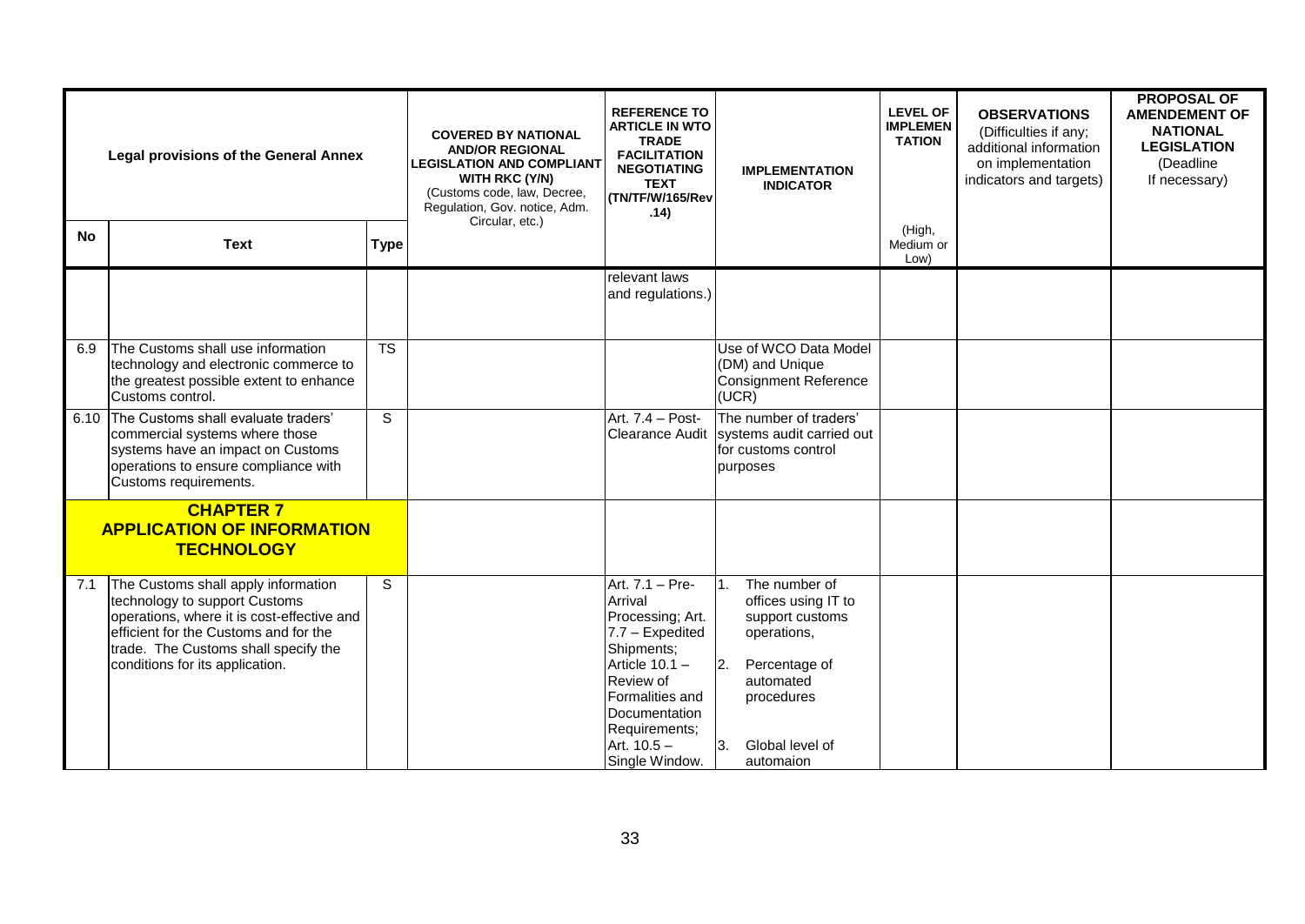| <b>Legal provisions of the General Annex</b> |                                                                                                                                                                                                                                        | <b>COVERED BY NATIONAL</b><br><b>AND/OR REGIONAL</b><br><b>LEGISLATION AND COMPLIANT</b><br><b>WITH RKC (Y/N)</b><br>(Customs code, law, Decree,<br>Regulation, Gov. notice, Adm.<br>Circular, etc.) | <b>REFERENCE TO</b><br><b>ARTICLE IN WTO</b><br><b>TRADE</b><br><b>FACILITATION</b><br><b>NEGOTIATING</b><br><b>TEXT</b><br>(TN/TF/W/165/Rev<br>.14) | <b>IMPLEMENTATION</b><br><b>INDICATOR</b>                                                                                                                                                              | <b>LEVEL OF</b><br><b>IMPLEMEN</b><br><b>TATION</b>                                                                                                             | <b>OBSERVATIONS</b><br>(Difficulties if any;<br>additional information<br>on implementation<br>indicators and targets) | <b>PROPOSAL OF</b><br><b>AMENDEMENT OF</b><br><b>NATIONAL</b><br><b>LEGISLATION</b><br>(Deadline<br>If necessary) |  |
|----------------------------------------------|----------------------------------------------------------------------------------------------------------------------------------------------------------------------------------------------------------------------------------------|------------------------------------------------------------------------------------------------------------------------------------------------------------------------------------------------------|------------------------------------------------------------------------------------------------------------------------------------------------------|--------------------------------------------------------------------------------------------------------------------------------------------------------------------------------------------------------|-----------------------------------------------------------------------------------------------------------------------------------------------------------------|------------------------------------------------------------------------------------------------------------------------|-------------------------------------------------------------------------------------------------------------------|--|
| <b>No</b>                                    | <b>Text</b>                                                                                                                                                                                                                            | <b>Type</b>                                                                                                                                                                                          |                                                                                                                                                      |                                                                                                                                                                                                        |                                                                                                                                                                 | (High,<br>Medium or<br>Low)                                                                                            |                                                                                                                   |  |
|                                              |                                                                                                                                                                                                                                        |                                                                                                                                                                                                      |                                                                                                                                                      | relevant laws<br>and regulations.)                                                                                                                                                                     |                                                                                                                                                                 |                                                                                                                        |                                                                                                                   |  |
| 6.9                                          | The Customs shall use information<br>technology and electronic commerce to<br>the greatest possible extent to enhance<br>Customs control.                                                                                              | $\overline{\text{TS}}$                                                                                                                                                                               |                                                                                                                                                      |                                                                                                                                                                                                        | Use of WCO Data Model<br>(DM) and Unique<br><b>Consignment Reference</b><br>(UCR)                                                                               |                                                                                                                        |                                                                                                                   |  |
| 6.10                                         | The Customs shall evaluate traders'<br>commercial systems where those<br>systems have an impact on Customs<br>operations to ensure compliance with<br>Customs requirements.                                                            | S                                                                                                                                                                                                    |                                                                                                                                                      | Art. 7.4 - Post-<br><b>Clearance Audit</b>                                                                                                                                                             | The number of traders'<br>systems audit carried out<br>for customs control<br>purposes                                                                          |                                                                                                                        |                                                                                                                   |  |
|                                              | <b>CHAPTER 7</b><br><b>APPLICATION OF INFORMATION</b><br><b>TECHNOLOGY</b>                                                                                                                                                             |                                                                                                                                                                                                      |                                                                                                                                                      |                                                                                                                                                                                                        |                                                                                                                                                                 |                                                                                                                        |                                                                                                                   |  |
| 7.1                                          | The Customs shall apply information<br>technology to support Customs<br>operations, where it is cost-effective and<br>efficient for the Customs and for the<br>trade. The Customs shall specify the<br>conditions for its application. | S                                                                                                                                                                                                    |                                                                                                                                                      | Art. 7.1 - Pre-<br>Arrival<br>Processing; Art.<br>7.7 - Expedited<br>Shipments;<br>Article $10.1 -$<br>Review of<br>Formalities and<br>Documentation<br>Requirements;<br>Art. 10.5 -<br>Single Window. | The number of<br>offices using IT to<br>support customs<br>operations,<br>Percentage of<br>12.<br>automated<br>procedures<br>3.<br>Global level of<br>automaion |                                                                                                                        |                                                                                                                   |  |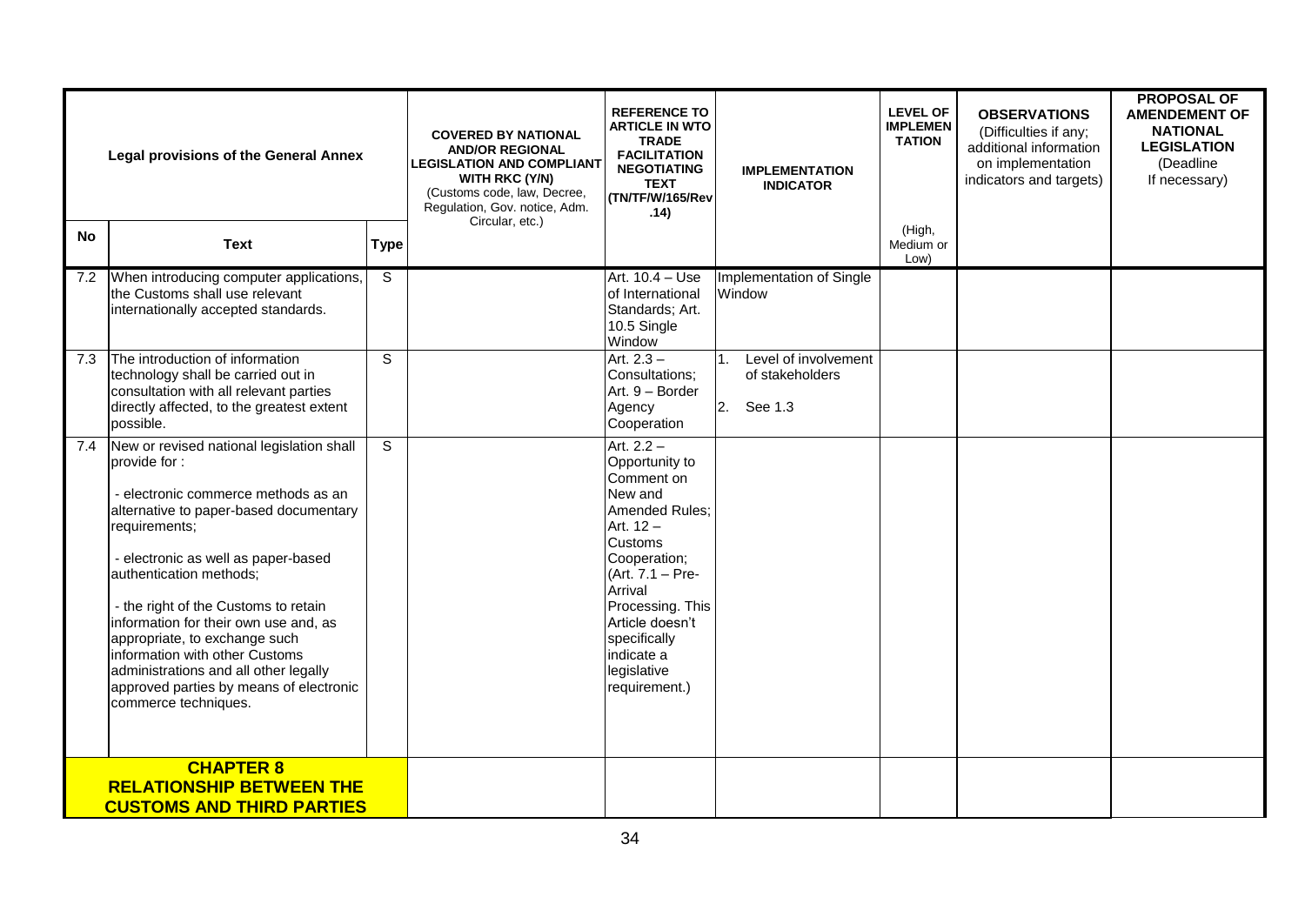|     | <b>Legal provisions of the General Annex</b>                                                                                                                                                                                                                                                                                                                                                                                                                                                  |                | <b>COVERED BY NATIONAL</b><br><b>AND/OR REGIONAL</b><br><b>LEGISLATION AND COMPLIANT</b><br>WITH RKC (Y/N)<br>(Customs code, law, Decree,<br>Regulation, Gov. notice, Adm.<br>Circular, etc.) | <b>REFERENCE TO</b><br><b>ARTICLE IN WTO</b><br><b>TRADE</b><br><b>FACILITATION</b><br><b>NEGOTIATING</b><br><b>TEXT</b><br>(TN/TF/W/165/Rev<br>.14)                                                                                                    | <b>IMPLEMENTATION</b><br><b>INDICATOR</b>                            | <b>LEVEL OF</b><br><b>IMPLEMEN</b><br><b>TATION</b> | <b>OBSERVATIONS</b><br>(Difficulties if any;<br>additional information<br>on implementation<br>indicators and targets) | <b>PROPOSAL OF</b><br><b>AMENDEMENT OF</b><br><b>NATIONAL</b><br><b>LEGISLATION</b><br>(Deadline<br>If necessary) |
|-----|-----------------------------------------------------------------------------------------------------------------------------------------------------------------------------------------------------------------------------------------------------------------------------------------------------------------------------------------------------------------------------------------------------------------------------------------------------------------------------------------------|----------------|-----------------------------------------------------------------------------------------------------------------------------------------------------------------------------------------------|---------------------------------------------------------------------------------------------------------------------------------------------------------------------------------------------------------------------------------------------------------|----------------------------------------------------------------------|-----------------------------------------------------|------------------------------------------------------------------------------------------------------------------------|-------------------------------------------------------------------------------------------------------------------|
| No  | <b>Text</b>                                                                                                                                                                                                                                                                                                                                                                                                                                                                                   | <b>Type</b>    |                                                                                                                                                                                               |                                                                                                                                                                                                                                                         |                                                                      | (High,<br>Medium or<br>Low)                         |                                                                                                                        |                                                                                                                   |
| 7.2 | When introducing computer applications,<br>the Customs shall use relevant<br>internationally accepted standards.                                                                                                                                                                                                                                                                                                                                                                              | $\overline{s}$ |                                                                                                                                                                                               | Art. 10.4 - Use<br>of International<br>Standards; Art.<br>10.5 Single<br>Window                                                                                                                                                                         | Implementation of Single<br>Window                                   |                                                     |                                                                                                                        |                                                                                                                   |
| 7.3 | The introduction of information<br>technology shall be carried out in<br>consultation with all relevant parties<br>directly affected, to the greatest extent<br>possible.                                                                                                                                                                                                                                                                                                                     | $\overline{s}$ |                                                                                                                                                                                               | Art. $2.3 -$<br>Consultations;<br>Art. 9 - Border<br>Agency<br>Cooperation                                                                                                                                                                              | Level of involvement<br>$1_{\cdot}$<br>of stakeholders<br>2. See 1.3 |                                                     |                                                                                                                        |                                                                                                                   |
| 7.4 | New or revised national legislation shall<br>provide for:<br>- electronic commerce methods as an<br>alternative to paper-based documentary<br>requirements;<br>- electronic as well as paper-based<br>authentication methods;<br>- the right of the Customs to retain<br>information for their own use and, as<br>appropriate, to exchange such<br>information with other Customs<br>administrations and all other legally<br>approved parties by means of electronic<br>commerce techniques. | $\mathsf{S}$   |                                                                                                                                                                                               | Art. $2.2 -$<br>Opportunity to<br>Comment on<br>New and<br>Amended Rules;<br>Art. $12 -$<br>Customs<br>Cooperation;<br>(Art. 7.1 - Pre-<br>Arrival<br>Processing. This<br>Article doesn't<br>specifically<br>indicate a<br>legislative<br>requirement.) |                                                                      |                                                     |                                                                                                                        |                                                                                                                   |
|     | <b>CHAPTER 8</b><br><b>RELATIONSHIP BETWEEN THE</b><br><b>CUSTOMS AND THIRD PARTIES</b>                                                                                                                                                                                                                                                                                                                                                                                                       |                |                                                                                                                                                                                               |                                                                                                                                                                                                                                                         |                                                                      |                                                     |                                                                                                                        |                                                                                                                   |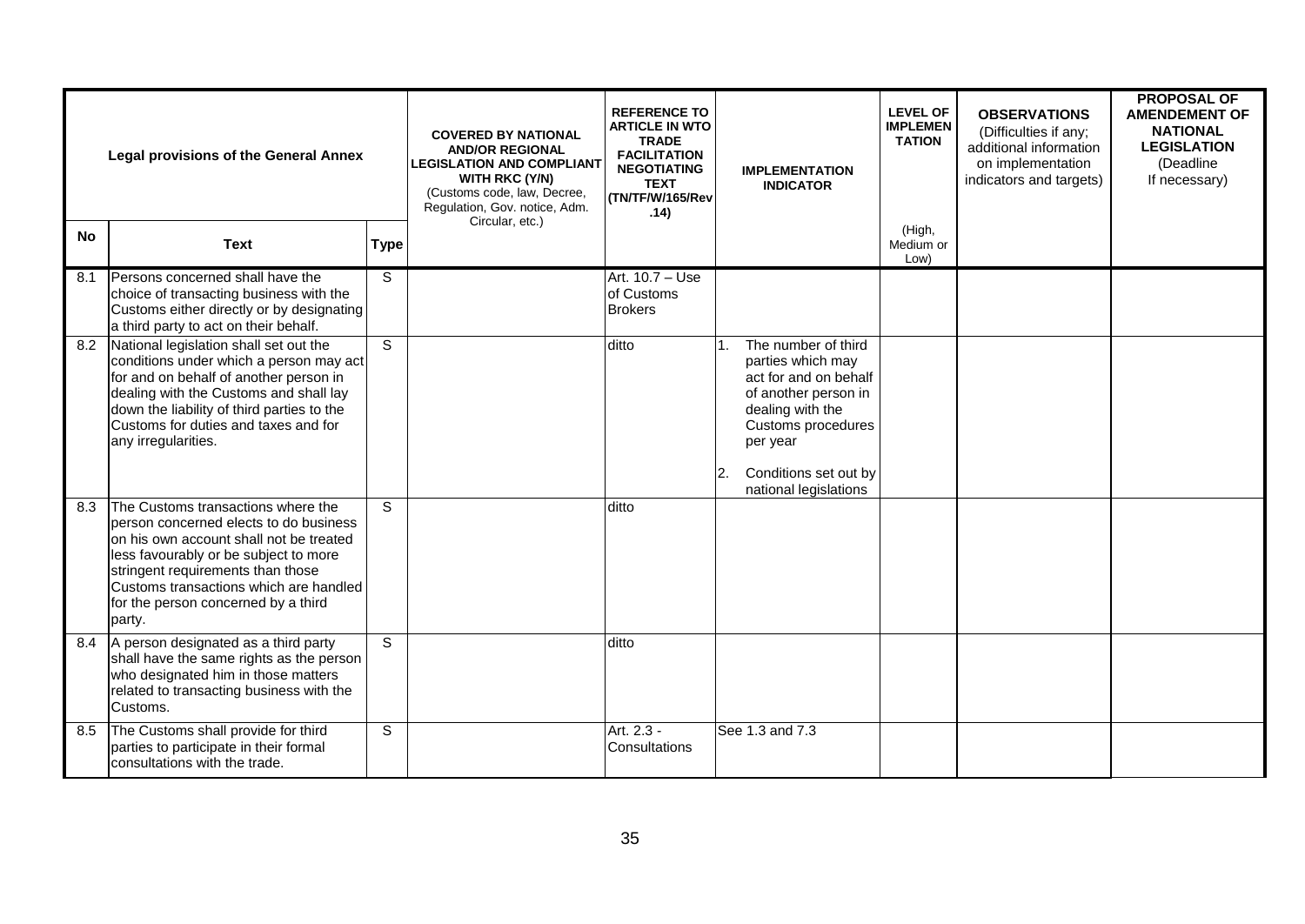| <b>Legal provisions of the General Annex</b> |                                                                                                                                                                                                                                                                                                  | <b>COVERED BY NATIONAL</b><br><b>AND/OR REGIONAL</b><br><b>LEGISLATION AND COMPLIANT</b><br><b>WITH RKC (Y/N)</b><br>(Customs code, law, Decree,<br>Regulation, Gov. notice, Adm. | <b>REFERENCE TO</b><br><b>ARTICLE IN WTO</b><br><b>TRADE</b><br><b>FACILITATION</b><br><b>NEGOTIATING</b><br><b>TEXT</b><br>(TN/TF/W/165/Rev<br>.14) |                                                 | <b>IMPLEMENTATION</b><br><b>INDICATOR</b> | <b>LEVEL OF</b><br><b>IMPLEMEN</b><br><b>TATION</b>                                                                                                                                               | <b>OBSERVATIONS</b><br>(Difficulties if any;<br>additional information<br>on implementation<br>indicators and targets) | <b>PROPOSAL OF</b><br><b>AMENDEMENT OF</b><br><b>NATIONAL</b><br><b>LEGISLATION</b><br>(Deadline<br>If necessary) |  |
|----------------------------------------------|--------------------------------------------------------------------------------------------------------------------------------------------------------------------------------------------------------------------------------------------------------------------------------------------------|-----------------------------------------------------------------------------------------------------------------------------------------------------------------------------------|------------------------------------------------------------------------------------------------------------------------------------------------------|-------------------------------------------------|-------------------------------------------|---------------------------------------------------------------------------------------------------------------------------------------------------------------------------------------------------|------------------------------------------------------------------------------------------------------------------------|-------------------------------------------------------------------------------------------------------------------|--|
| <b>No</b>                                    | <b>Text</b>                                                                                                                                                                                                                                                                                      | <b>Type</b>                                                                                                                                                                       | Circular, etc.)                                                                                                                                      |                                                 |                                           |                                                                                                                                                                                                   | (High,<br>Medium or<br>Low)                                                                                            |                                                                                                                   |  |
| 8.1                                          | Persons concerned shall have the<br>choice of transacting business with the<br>Customs either directly or by designating<br>a third party to act on their behalf.                                                                                                                                | S                                                                                                                                                                                 |                                                                                                                                                      | Art. 10.7 - Use<br>of Customs<br><b>Brokers</b> |                                           |                                                                                                                                                                                                   |                                                                                                                        |                                                                                                                   |  |
| 8.2                                          | National legislation shall set out the<br>conditions under which a person may act<br>for and on behalf of another person in<br>dealing with the Customs and shall lay<br>down the liability of third parties to the<br>Customs for duties and taxes and for<br>any irregularities.               | S                                                                                                                                                                                 |                                                                                                                                                      | ditto                                           | 2.                                        | The number of third<br>parties which may<br>act for and on behalf<br>of another person in<br>dealing with the<br>Customs procedures<br>per year<br>Conditions set out by<br>national legislations |                                                                                                                        |                                                                                                                   |  |
| 8.3                                          | The Customs transactions where the<br>person concerned elects to do business<br>on his own account shall not be treated<br>less favourably or be subject to more<br>stringent requirements than those<br>Customs transactions which are handled<br>for the person concerned by a third<br>party. | S                                                                                                                                                                                 |                                                                                                                                                      | ditto                                           |                                           |                                                                                                                                                                                                   |                                                                                                                        |                                                                                                                   |  |
| 8.4                                          | A person designated as a third party<br>shall have the same rights as the person<br>who designated him in those matters<br>related to transacting business with the<br>Customs.                                                                                                                  | S                                                                                                                                                                                 |                                                                                                                                                      | ditto                                           |                                           |                                                                                                                                                                                                   |                                                                                                                        |                                                                                                                   |  |
| 8.5                                          | The Customs shall provide for third<br>parties to participate in their formal<br>consultations with the trade.                                                                                                                                                                                   | S                                                                                                                                                                                 |                                                                                                                                                      | Art. 2.3 -<br>Consultations                     |                                           | See 1.3 and 7.3                                                                                                                                                                                   |                                                                                                                        |                                                                                                                   |  |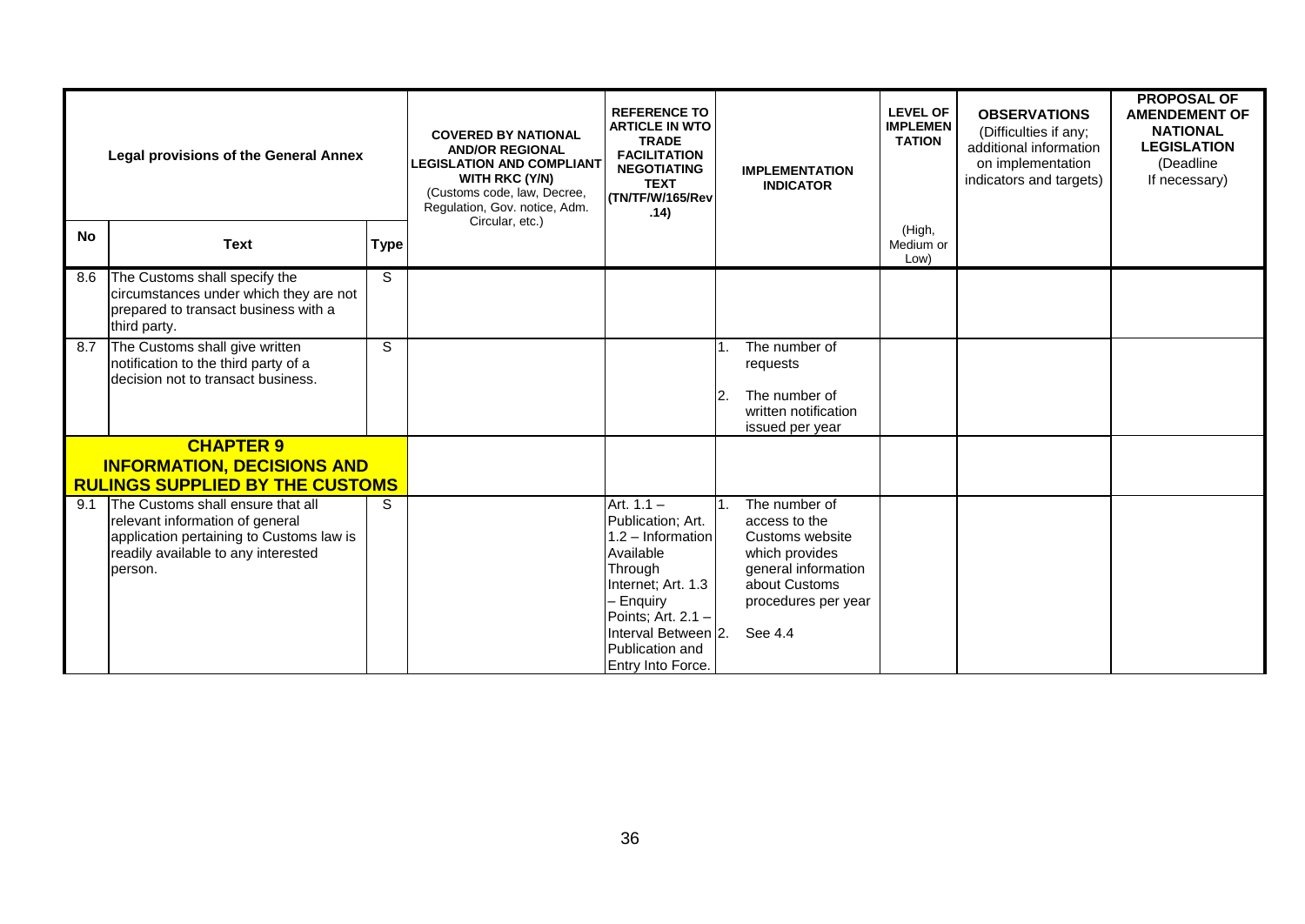|           | <b>Legal provisions of the General Annex</b>                                                                                                                       |             | <b>COVERED BY NATIONAL</b><br><b>AND/OR REGIONAL</b><br><b>LEGISLATION AND COMPLIANT</b><br><b>WITH RKC (Y/N)</b><br>(Customs code, law, Decree,<br>Regulation, Gov. notice, Adm.<br>Circular, etc.) | <b>REFERENCE TO</b><br><b>ARTICLE IN WTO</b><br><b>TRADE</b><br><b>FACILITATION</b><br><b>NEGOTIATING</b><br><b>TEXT</b><br>(TN/TF/W/165/Rev<br>.14)                                                     |    | <b>IMPLEMENTATION</b><br><b>INDICATOR</b>                                                                                                     | <b>LEVEL OF</b><br><b>IMPLEMEN</b><br><b>TATION</b> | <b>OBSERVATIONS</b><br>(Difficulties if any;<br>additional information<br>on implementation<br>indicators and targets) | <b>PROPOSAL OF</b><br><b>AMENDEMENT OF</b><br><b>NATIONAL</b><br><b>LEGISLATION</b><br>(Deadline<br>If necessary) |
|-----------|--------------------------------------------------------------------------------------------------------------------------------------------------------------------|-------------|------------------------------------------------------------------------------------------------------------------------------------------------------------------------------------------------------|----------------------------------------------------------------------------------------------------------------------------------------------------------------------------------------------------------|----|-----------------------------------------------------------------------------------------------------------------------------------------------|-----------------------------------------------------|------------------------------------------------------------------------------------------------------------------------|-------------------------------------------------------------------------------------------------------------------|
| <b>No</b> | <b>Text</b>                                                                                                                                                        | <b>Type</b> |                                                                                                                                                                                                      |                                                                                                                                                                                                          |    |                                                                                                                                               | (High,<br>Medium or<br>Low)                         |                                                                                                                        |                                                                                                                   |
| 8.6       | The Customs shall specify the<br>circumstances under which they are not<br>prepared to transact business with a<br>third party.                                    | S.          |                                                                                                                                                                                                      |                                                                                                                                                                                                          |    |                                                                                                                                               |                                                     |                                                                                                                        |                                                                                                                   |
| 8.7       | The Customs shall give written<br>notification to the third party of a<br>decision not to transact business.                                                       | S           |                                                                                                                                                                                                      |                                                                                                                                                                                                          | 2. | The number of<br>requests<br>The number of<br>written notification<br>issued per year                                                         |                                                     |                                                                                                                        |                                                                                                                   |
|           | <b>CHAPTER 9</b><br><b>INFORMATION, DECISIONS AND</b><br><b>RULINGS SUPPLIED BY THE CUSTOMS</b>                                                                    |             |                                                                                                                                                                                                      |                                                                                                                                                                                                          |    |                                                                                                                                               |                                                     |                                                                                                                        |                                                                                                                   |
| 9.1       | The Customs shall ensure that all<br>relevant information of general<br>application pertaining to Customs law is<br>readily available to any interested<br>person. | S           |                                                                                                                                                                                                      | Art. $1.1 -$<br>Publication; Art.<br>1.2 - Information<br>Available<br>Through<br>Internet; Art. 1.3<br>- Enquiry<br>Points; Art. $2.1 -$<br>Interval Between 2.<br>Publication and<br>Entry Into Force. |    | The number of<br>access to the<br>Customs website<br>which provides<br>general information<br>about Customs<br>procedures per year<br>See 4.4 |                                                     |                                                                                                                        |                                                                                                                   |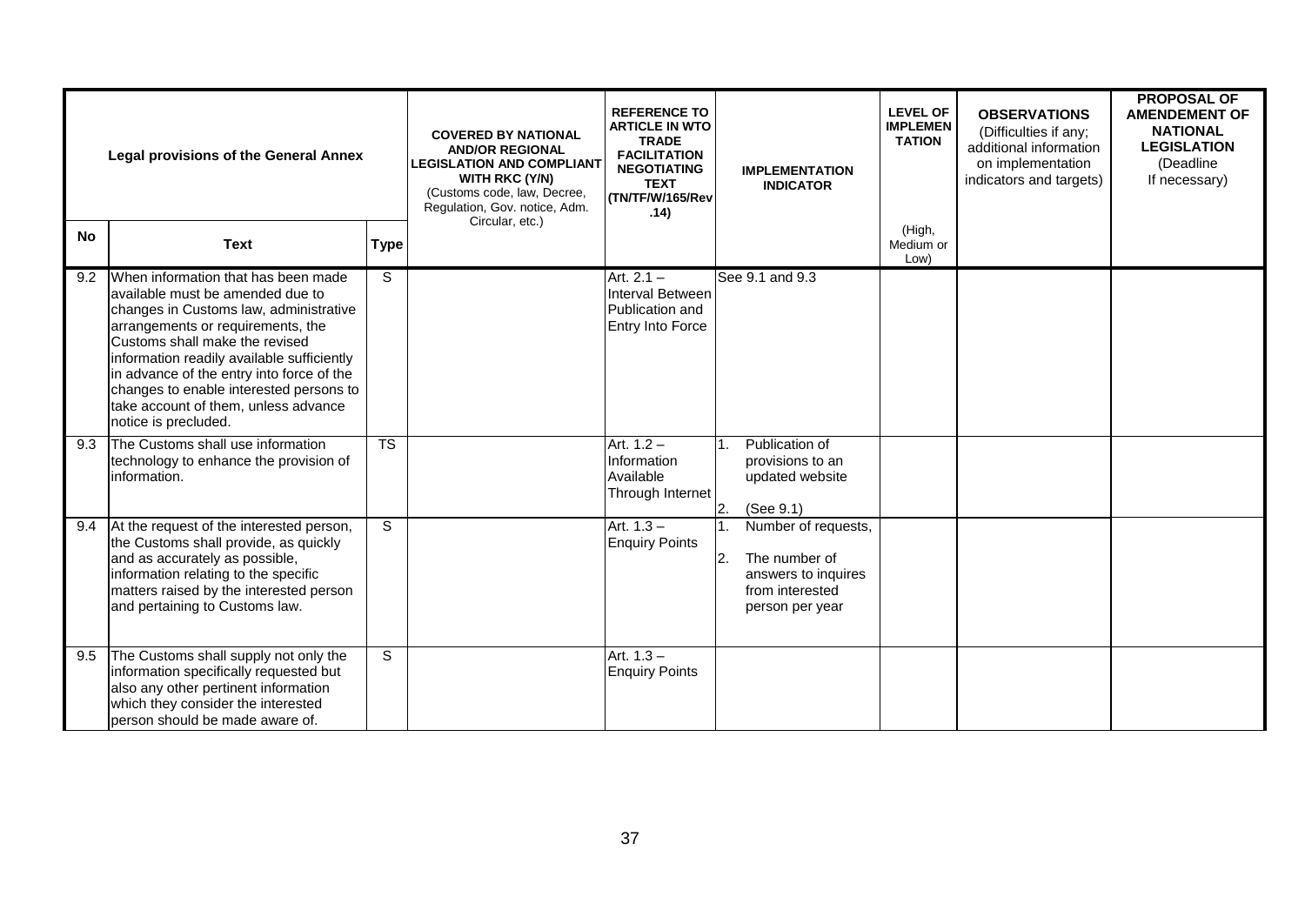| <b>Legal provisions of the General Annex</b> |                                                                                                                                                                                                                                                                                                                                                                                                |                        | <b>COVERED BY NATIONAL</b><br><b>AND/OR REGIONAL</b><br><b>LEGISLATION AND COMPLIANT</b><br><b>WITH RKC (Y/N)</b><br>(Customs code, law, Decree,<br>Regulation, Gov. notice, Adm. | <b>REFERENCE TO</b><br><b>ARTICLE IN WTO</b><br><b>TRADE</b><br><b>FACILITATION</b><br><b>NEGOTIATING</b><br><b>TEXT</b><br>(TN/TF/W/165/Rev<br>.14) | <b>IMPLEMENTATION</b><br><b>INDICATOR</b>                                                               | <b>LEVEL OF</b><br><b>IMPLEMEN</b><br><b>TATION</b> | <b>OBSERVATIONS</b><br>(Difficulties if any;<br>additional information<br>on implementation<br>indicators and targets) | <b>PROPOSAL OF</b><br><b>AMENDEMENT OF</b><br><b>NATIONAL</b><br><b>LEGISLATION</b><br>(Deadline)<br>If necessary) |
|----------------------------------------------|------------------------------------------------------------------------------------------------------------------------------------------------------------------------------------------------------------------------------------------------------------------------------------------------------------------------------------------------------------------------------------------------|------------------------|-----------------------------------------------------------------------------------------------------------------------------------------------------------------------------------|------------------------------------------------------------------------------------------------------------------------------------------------------|---------------------------------------------------------------------------------------------------------|-----------------------------------------------------|------------------------------------------------------------------------------------------------------------------------|--------------------------------------------------------------------------------------------------------------------|
| <b>No</b>                                    | <b>Text</b>                                                                                                                                                                                                                                                                                                                                                                                    | <b>Type</b>            | Circular, etc.)                                                                                                                                                                   |                                                                                                                                                      |                                                                                                         | (High,<br>Medium or<br>Low)                         |                                                                                                                        |                                                                                                                    |
| 9.2                                          | When information that has been made<br>available must be amended due to<br>changes in Customs law, administrative<br>arrangements or requirements, the<br>Customs shall make the revised<br>information readily available sufficiently<br>in advance of the entry into force of the<br>changes to enable interested persons to<br>take account of them, unless advance<br>notice is precluded. | S                      |                                                                                                                                                                                   | Art. $2.1 -$<br>Interval Between<br>Publication and<br>Entry Into Force                                                                              | See 9.1 and 9.3                                                                                         |                                                     |                                                                                                                        |                                                                                                                    |
| 9.3                                          | The Customs shall use information<br>technology to enhance the provision of<br>linformation.                                                                                                                                                                                                                                                                                                   | $\overline{\text{TS}}$ |                                                                                                                                                                                   | Art. $1.2 -$<br>Information<br>Available<br>Through Internet                                                                                         | Publication of<br>provisions to an<br>updated website<br>2.<br>(See 9.1)                                |                                                     |                                                                                                                        |                                                                                                                    |
| 9.4                                          | At the request of the interested person,<br>the Customs shall provide, as quickly<br>and as accurately as possible,<br>information relating to the specific<br>matters raised by the interested person<br>and pertaining to Customs law.                                                                                                                                                       | S.                     |                                                                                                                                                                                   | Art. $1.3 -$<br><b>Enquiry Points</b>                                                                                                                | Number of requests,<br>The number of<br>2.<br>answers to inquires<br>from interested<br>person per year |                                                     |                                                                                                                        |                                                                                                                    |
| 9.5                                          | The Customs shall supply not only the<br>information specifically requested but<br>also any other pertinent information<br>which they consider the interested<br>person should be made aware of.                                                                                                                                                                                               | S.                     |                                                                                                                                                                                   | Art. $1.3 -$<br><b>Enquiry Points</b>                                                                                                                |                                                                                                         |                                                     |                                                                                                                        |                                                                                                                    |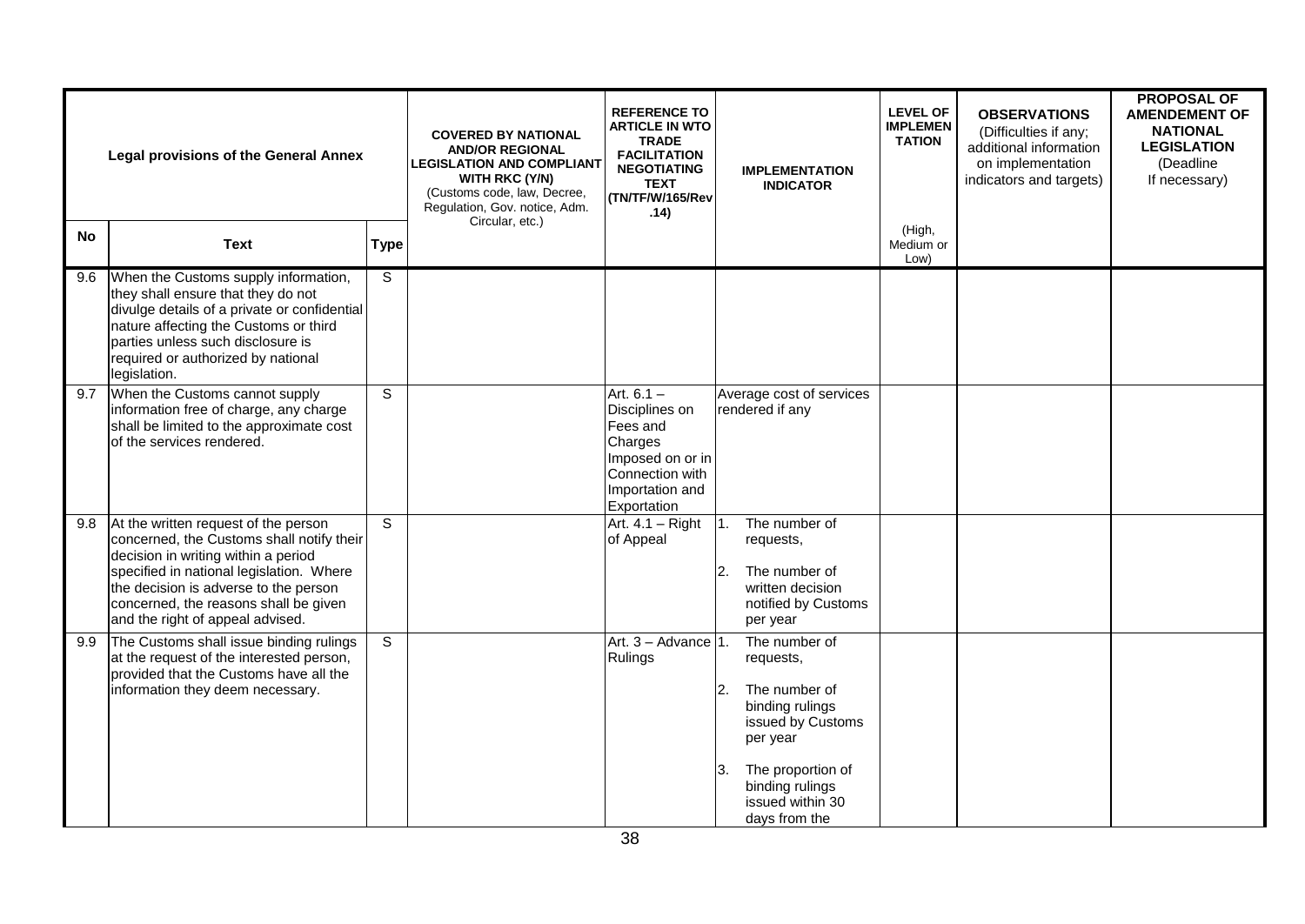|           | <b>Legal provisions of the General Annex</b>                                                                                                                                                                                                                                               |                | <b>COVERED BY NATIONAL</b><br><b>AND/OR REGIONAL</b><br><b>LEGISLATION AND COMPLIANT</b><br>WITH RKC (Y/N)<br>(Customs code, law, Decree,<br>Regulation, Gov. notice, Adm.<br>Circular, etc.) | <b>REFERENCE TO</b><br><b>ARTICLE IN WTO</b><br><b>TRADE</b><br><b>FACILITATION</b><br><b>NEGOTIATING</b><br><b>TEXT</b><br>(TN/TF/W/165/Rev<br>.14) | <b>IMPLEMENTATION</b><br><b>INDICATOR</b>                                                                                                                                                              | <b>LEVEL OF</b><br><b>IMPLEMEN</b><br><b>TATION</b> | <b>OBSERVATIONS</b><br>(Difficulties if any;<br>additional information<br>on implementation<br>indicators and targets) | <b>PROPOSAL OF</b><br><b>AMENDEMENT OF</b><br><b>NATIONAL</b><br><b>LEGISLATION</b><br>(Deadline<br>If necessary) |
|-----------|--------------------------------------------------------------------------------------------------------------------------------------------------------------------------------------------------------------------------------------------------------------------------------------------|----------------|-----------------------------------------------------------------------------------------------------------------------------------------------------------------------------------------------|------------------------------------------------------------------------------------------------------------------------------------------------------|--------------------------------------------------------------------------------------------------------------------------------------------------------------------------------------------------------|-----------------------------------------------------|------------------------------------------------------------------------------------------------------------------------|-------------------------------------------------------------------------------------------------------------------|
| <b>No</b> | <b>Text</b>                                                                                                                                                                                                                                                                                | <b>Type</b>    |                                                                                                                                                                                               |                                                                                                                                                      |                                                                                                                                                                                                        | (High,<br>Medium or<br>Low)                         |                                                                                                                        |                                                                                                                   |
| 9.6       | When the Customs supply information,<br>they shall ensure that they do not<br>divulge details of a private or confidential<br>nature affecting the Customs or third<br>parties unless such disclosure is<br>required or authorized by national<br>legislation.                             | S              |                                                                                                                                                                                               |                                                                                                                                                      |                                                                                                                                                                                                        |                                                     |                                                                                                                        |                                                                                                                   |
| 9.7       | When the Customs cannot supply<br>information free of charge, any charge<br>shall be limited to the approximate cost<br>of the services rendered.                                                                                                                                          | $\overline{s}$ |                                                                                                                                                                                               | Art. $6.1 -$<br>Disciplines on<br>Fees and<br>Charges<br>Imposed on or in<br>Connection with<br>Importation and<br>Exportation                       | Average cost of services<br>rendered if any                                                                                                                                                            |                                                     |                                                                                                                        |                                                                                                                   |
| 9.8       | At the written request of the person<br>concerned, the Customs shall notify their<br>decision in writing within a period<br>specified in national legislation. Where<br>the decision is adverse to the person<br>concerned, the reasons shall be given<br>and the right of appeal advised. | S              |                                                                                                                                                                                               | Art. $4.1 -$ Right<br>of Appeal                                                                                                                      | The number of<br>1 <sup>1</sup><br>requests,<br>$\overline{2}$ .<br>The number of<br>written decision<br>notified by Customs<br>per year                                                               |                                                     |                                                                                                                        |                                                                                                                   |
| 9.9       | The Customs shall issue binding rulings<br>at the request of the interested person,<br>provided that the Customs have all the<br>information they deem necessary.                                                                                                                          | $\overline{s}$ |                                                                                                                                                                                               | Art. 3 - Advance 1.<br>Rulings                                                                                                                       | The number of<br>requests,<br>The number of<br>$\overline{2}$ .<br>binding rulings<br>issued by Customs<br>per year<br>The proportion of<br>3.<br>binding rulings<br>issued within 30<br>days from the |                                                     |                                                                                                                        |                                                                                                                   |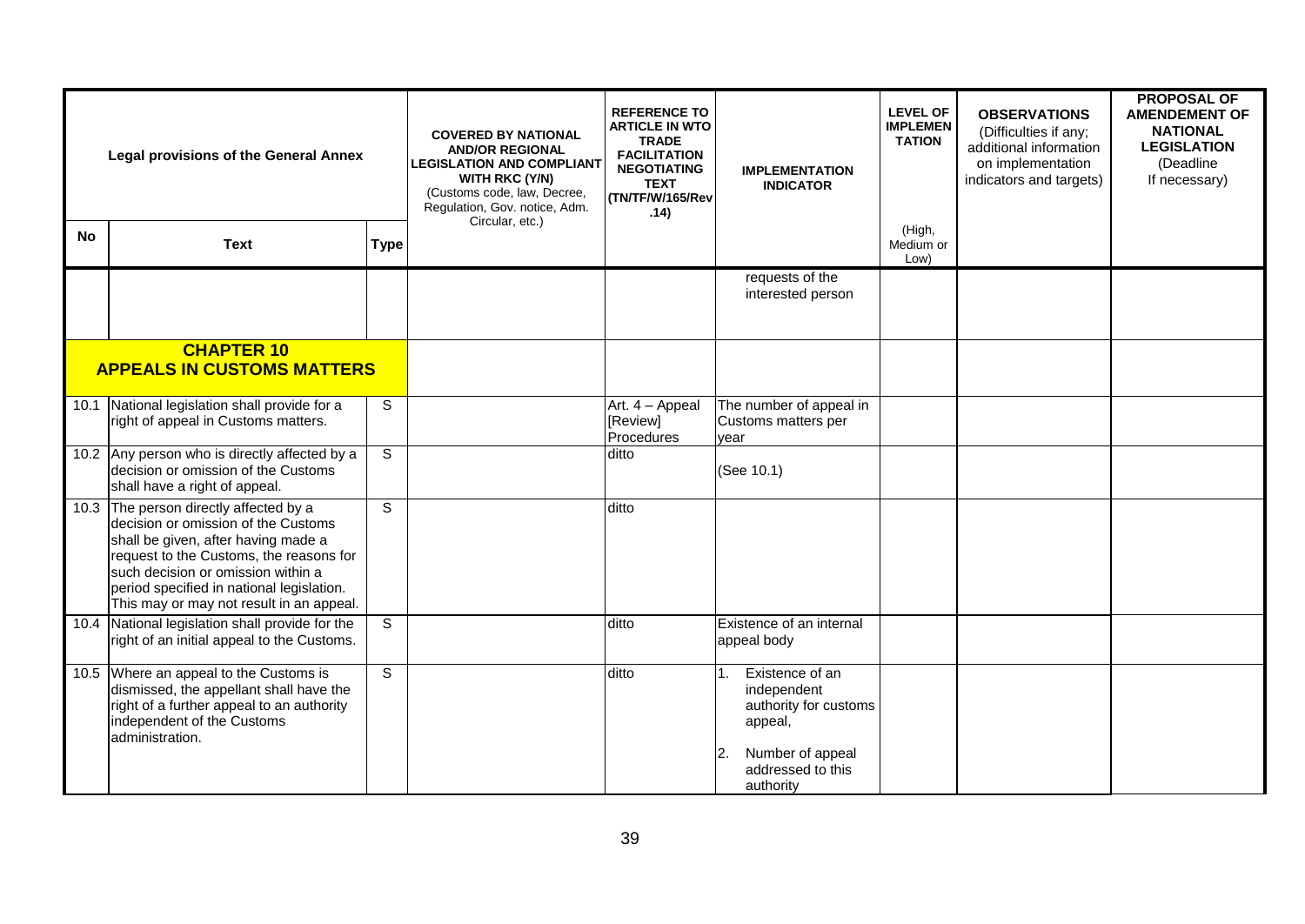| <b>Legal provisions of the General Annex</b> |                                                                                                                                                                                                                                                                                                | <b>COVERED BY NATIONAL</b><br><b>AND/OR REGIONAL</b><br><b>LEGISLATION AND COMPLIANT</b><br><b>WITH RKC (Y/N)</b><br>(Customs code, law, Decree,<br>Regulation, Gov. notice, Adm.<br>Circular, etc.) | <b>REFERENCE TO</b><br><b>ARTICLE IN WTO</b><br><b>TRADE</b><br><b>FACILITATION</b><br><b>NEGOTIATING</b><br><b>TEXT</b><br>(TN/TF/W/165/Rev<br>.14) | <b>IMPLEMENTATION</b><br><b>INDICATOR</b> | <b>LEVEL OF</b><br><b>IMPLEMEN</b><br><b>TATION</b>                                                                                    | <b>OBSERVATIONS</b><br>(Difficulties if any;<br>additional information<br>on implementation<br>indicators and targets) | <b>PROPOSAL OF</b><br><b>AMENDEMENT OF</b><br><b>NATIONAL</b><br><b>LEGISLATION</b><br>(Deadline<br>If necessary) |  |
|----------------------------------------------|------------------------------------------------------------------------------------------------------------------------------------------------------------------------------------------------------------------------------------------------------------------------------------------------|------------------------------------------------------------------------------------------------------------------------------------------------------------------------------------------------------|------------------------------------------------------------------------------------------------------------------------------------------------------|-------------------------------------------|----------------------------------------------------------------------------------------------------------------------------------------|------------------------------------------------------------------------------------------------------------------------|-------------------------------------------------------------------------------------------------------------------|--|
| <b>No</b>                                    | <b>Text</b>                                                                                                                                                                                                                                                                                    | <b>Type</b>                                                                                                                                                                                          |                                                                                                                                                      |                                           |                                                                                                                                        | (High,<br>Medium or<br>Low)                                                                                            |                                                                                                                   |  |
|                                              |                                                                                                                                                                                                                                                                                                |                                                                                                                                                                                                      |                                                                                                                                                      |                                           | requests of the<br>interested person                                                                                                   |                                                                                                                        |                                                                                                                   |  |
|                                              | <b>CHAPTER 10</b><br><b>APPEALS IN CUSTOMS MATTERS</b>                                                                                                                                                                                                                                         |                                                                                                                                                                                                      |                                                                                                                                                      |                                           |                                                                                                                                        |                                                                                                                        |                                                                                                                   |  |
|                                              | 10.1 National legislation shall provide for a<br>right of appeal in Customs matters.                                                                                                                                                                                                           | $\overline{s}$                                                                                                                                                                                       |                                                                                                                                                      | Art. 4 - Appeal<br>[Review]<br>Procedures | The number of appeal in<br>Customs matters per<br>vear                                                                                 |                                                                                                                        |                                                                                                                   |  |
|                                              | 10.2 Any person who is directly affected by a<br>decision or omission of the Customs<br>shall have a right of appeal.                                                                                                                                                                          | $\overline{s}$                                                                                                                                                                                       |                                                                                                                                                      | ditto                                     | (See 10.1)                                                                                                                             |                                                                                                                        |                                                                                                                   |  |
|                                              | 10.3 The person directly affected by a<br>decision or omission of the Customs<br>shall be given, after having made a<br>request to the Customs, the reasons for<br>such decision or omission within a<br>period specified in national legislation.<br>This may or may not result in an appeal. | $\overline{s}$                                                                                                                                                                                       |                                                                                                                                                      | ditto                                     |                                                                                                                                        |                                                                                                                        |                                                                                                                   |  |
|                                              | 10.4 National legislation shall provide for the<br>right of an initial appeal to the Customs.                                                                                                                                                                                                  | S                                                                                                                                                                                                    |                                                                                                                                                      | ditto                                     | Existence of an internal<br>appeal body                                                                                                |                                                                                                                        |                                                                                                                   |  |
|                                              | 10.5 Where an appeal to the Customs is<br>dismissed, the appellant shall have the<br>right of a further appeal to an authority<br>independent of the Customs<br>administration.                                                                                                                | $\overline{s}$                                                                                                                                                                                       |                                                                                                                                                      | ditto                                     | Existence of an<br>11.<br>independent<br>authority for customs<br>appeal,<br>Number of appeal<br>12.<br>addressed to this<br>authority |                                                                                                                        |                                                                                                                   |  |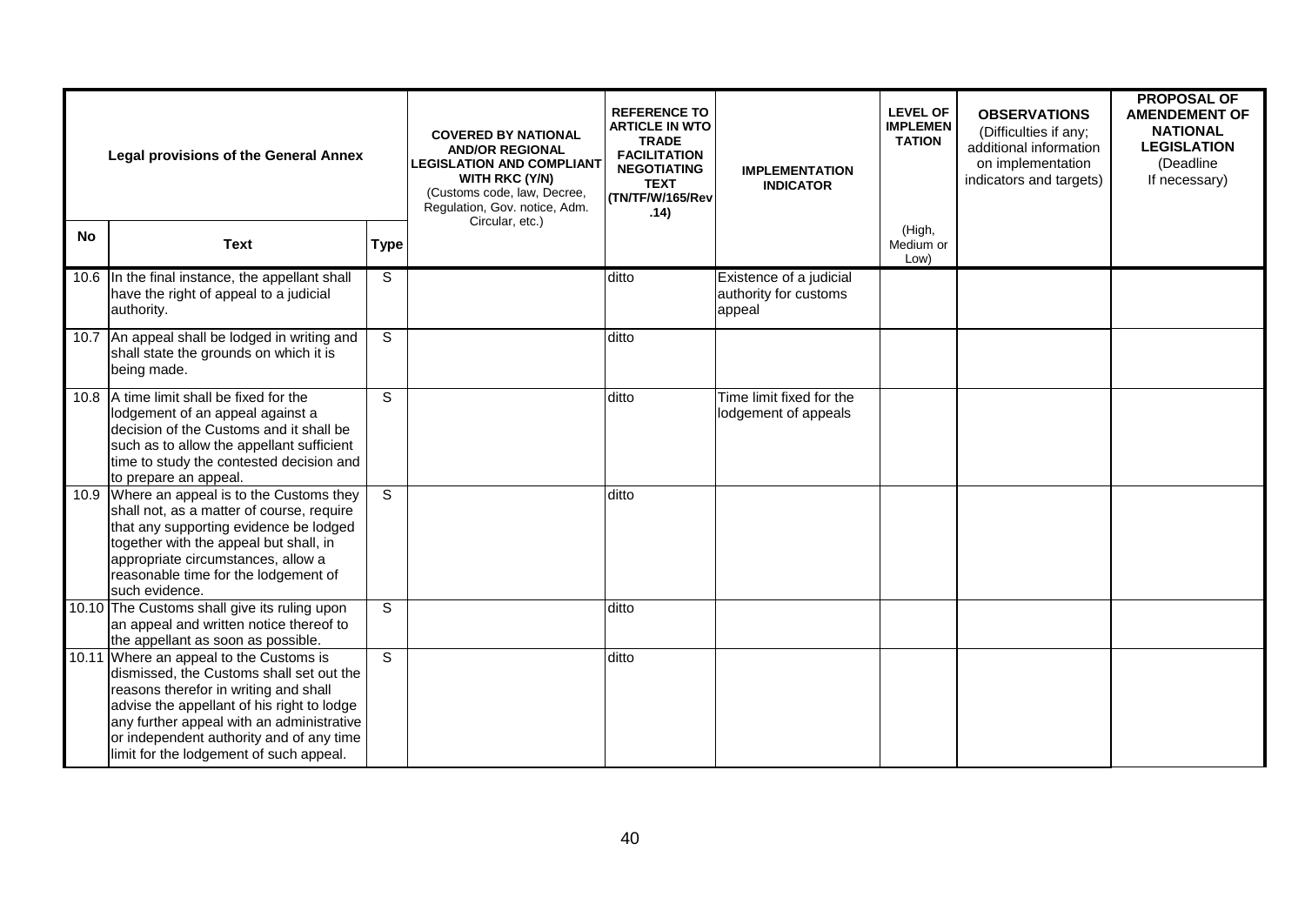|           | <b>Legal provisions of the General Annex</b>                                                                                                                                                                                                                                                                   | <b>COVERED BY NATIONAL</b><br><b>AND/OR REGIONAL</b><br><b>LEGISLATION AND COMPLIANT</b><br><b>WITH RKC (Y/N)</b><br>(Customs code, law, Decree,<br>Regulation, Gov. notice, Adm. | <b>REFERENCE TO</b><br><b>ARTICLE IN WTO</b><br><b>TRADE</b><br><b>FACILITATION</b><br><b>NEGOTIATING</b><br><b>TEXT</b><br>(TN/TF/W/165/Rev<br>.14) | <b>IMPLEMENTATION</b><br><b>INDICATOR</b> | <b>LEVEL OF</b><br><b>IMPLEMEN</b><br><b>TATION</b>        | <b>OBSERVATIONS</b><br>(Difficulties if any;<br>additional information<br>on implementation<br>indicators and targets) | <b>PROPOSAL OF</b><br><b>AMENDEMENT OF</b><br><b>NATIONAL</b><br><b>LEGISLATION</b><br>(Deadline<br>If necessary) |  |
|-----------|----------------------------------------------------------------------------------------------------------------------------------------------------------------------------------------------------------------------------------------------------------------------------------------------------------------|-----------------------------------------------------------------------------------------------------------------------------------------------------------------------------------|------------------------------------------------------------------------------------------------------------------------------------------------------|-------------------------------------------|------------------------------------------------------------|------------------------------------------------------------------------------------------------------------------------|-------------------------------------------------------------------------------------------------------------------|--|
| <b>No</b> | <b>Text</b>                                                                                                                                                                                                                                                                                                    | <b>Type</b>                                                                                                                                                                       | Circular, etc.)                                                                                                                                      |                                           |                                                            | (High,<br>Medium or<br>Low)                                                                                            |                                                                                                                   |  |
|           | 10.6 In the final instance, the appellant shall<br>have the right of appeal to a judicial<br>authority.                                                                                                                                                                                                        | S                                                                                                                                                                                 |                                                                                                                                                      | ditto                                     | Existence of a judicial<br>authority for customs<br>appeal |                                                                                                                        |                                                                                                                   |  |
|           | 10.7 An appeal shall be lodged in writing and<br>shall state the grounds on which it is<br>being made.                                                                                                                                                                                                         | S                                                                                                                                                                                 |                                                                                                                                                      | ditto                                     |                                                            |                                                                                                                        |                                                                                                                   |  |
|           | 10.8   A time limit shall be fixed for the<br>lodgement of an appeal against a<br>decision of the Customs and it shall be<br>such as to allow the appellant sufficient<br>time to study the contested decision and<br>to prepare an appeal.                                                                    | S                                                                                                                                                                                 |                                                                                                                                                      | ditto                                     | Time limit fixed for the<br>lodgement of appeals           |                                                                                                                        |                                                                                                                   |  |
|           | 10.9 Where an appeal is to the Customs they<br>shall not, as a matter of course, require<br>that any supporting evidence be lodged<br>together with the appeal but shall, in<br>appropriate circumstances, allow a<br>reasonable time for the lodgement of<br>such evidence.                                   | S                                                                                                                                                                                 |                                                                                                                                                      | ditto                                     |                                                            |                                                                                                                        |                                                                                                                   |  |
|           | 10.10 The Customs shall give its ruling upon<br>an appeal and written notice thereof to<br>the appellant as soon as possible.                                                                                                                                                                                  | S                                                                                                                                                                                 |                                                                                                                                                      | ditto                                     |                                                            |                                                                                                                        |                                                                                                                   |  |
|           | 10.11 Where an appeal to the Customs is<br>dismissed, the Customs shall set out the<br>reasons therefor in writing and shall<br>advise the appellant of his right to lodge<br>any further appeal with an administrative<br>or independent authority and of any time<br>limit for the lodgement of such appeal. | S                                                                                                                                                                                 |                                                                                                                                                      | ditto                                     |                                                            |                                                                                                                        |                                                                                                                   |  |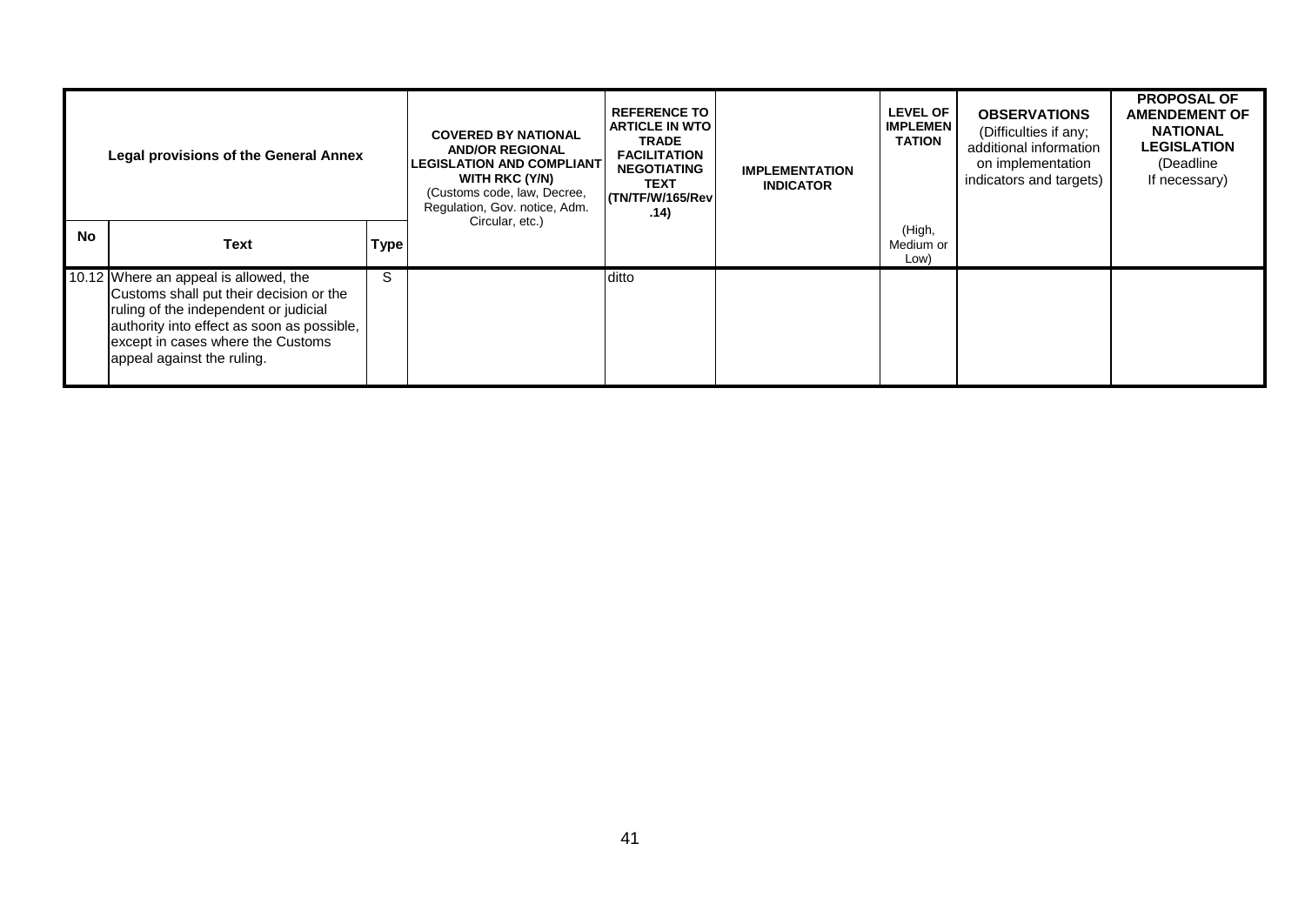| <b>Legal provisions of the General Annex</b> |                                                                                                                                                                                                                                            | <b>COVERED BY NATIONAL</b><br><b>AND/OR REGIONAL</b><br><b>LEGISLATION AND COMPLIANT</b><br><b>WITH RKC (Y/N)</b><br>(Customs code, law, Decree,<br>Regulation, Gov. notice, Adm. | <b>REFERENCE TO</b><br><b>ARTICLE IN WTO</b><br><b>TRADE</b><br><b>FACILITATION</b><br><b>NEGOTIATING</b><br><b>TEXT</b><br>ITN/TF/W/165/Rev<br>.14) | <b>IMPLEMENTATION</b><br><b>INDICATOR</b> | <b>LEVEL OF</b><br><b>IMPLEMEN</b><br><b>TATION</b> | <b>OBSERVATIONS</b><br>(Difficulties if any;<br>additional information<br>on implementation<br>indicators and targets) | <b>PROPOSAL OF</b><br><b>AMENDEMENT OF</b><br><b>NATIONAL</b><br><b>LEGISLATION</b><br>(Deadline<br>If necessary) |  |
|----------------------------------------------|--------------------------------------------------------------------------------------------------------------------------------------------------------------------------------------------------------------------------------------------|-----------------------------------------------------------------------------------------------------------------------------------------------------------------------------------|------------------------------------------------------------------------------------------------------------------------------------------------------|-------------------------------------------|-----------------------------------------------------|------------------------------------------------------------------------------------------------------------------------|-------------------------------------------------------------------------------------------------------------------|--|
| <b>No</b>                                    | <b>Text</b>                                                                                                                                                                                                                                | <b>Type</b>                                                                                                                                                                       | Circular, etc.)                                                                                                                                      |                                           |                                                     | (High,<br>Medium or<br>Low)                                                                                            |                                                                                                                   |  |
|                                              | 10.12 Where an appeal is allowed, the<br>Customs shall put their decision or the<br>ruling of the independent or judicial<br>authority into effect as soon as possible,<br>except in cases where the Customs<br>appeal against the ruling. | S                                                                                                                                                                                 |                                                                                                                                                      | ditto                                     |                                                     |                                                                                                                        |                                                                                                                   |  |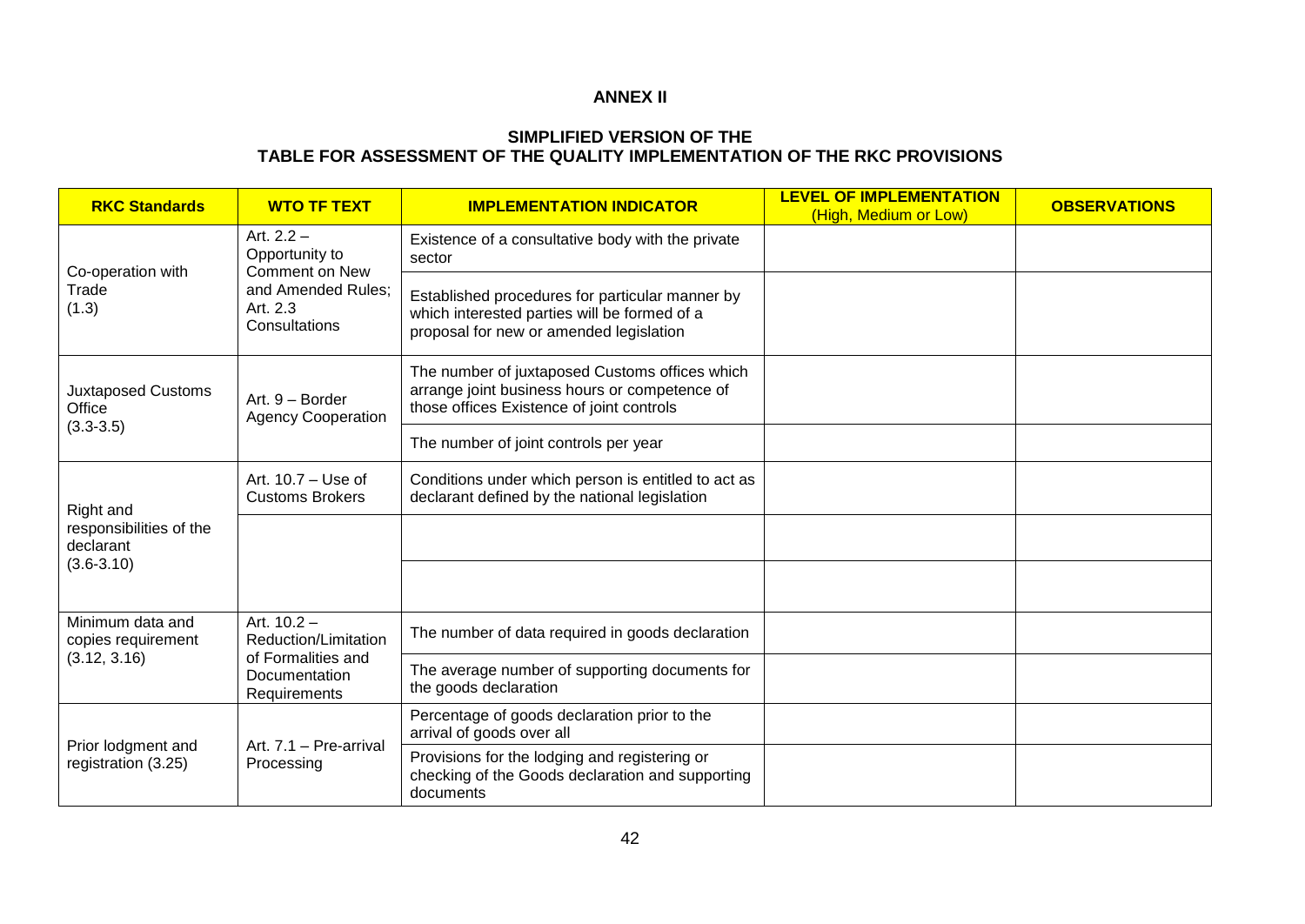#### **ANNEX II**

#### **SIMPLIFIED VERSION OF THE TABLE FOR ASSESSMENT OF THE QUALITY IMPLEMENTATION OF THE RKC PROVISIONS**

| <b>RKC Standards</b>                      | <b>WTO TF TEXT</b>                                                                                  | <b>IMPLEMENTATION INDICATOR</b>                                                                                                              | <b>LEVEL OF IMPLEMENTATION</b><br>(High, Medium or Low) | <b>OBSERVATIONS</b> |
|-------------------------------------------|-----------------------------------------------------------------------------------------------------|----------------------------------------------------------------------------------------------------------------------------------------------|---------------------------------------------------------|---------------------|
| Co-operation with                         | Art. $2.2 -$<br>Opportunity to<br>Comment on New<br>and Amended Rules;<br>Art. 2.3<br>Consultations | Existence of a consultative body with the private<br>sector                                                                                  |                                                         |                     |
| Trade<br>(1.3)                            |                                                                                                     | Established procedures for particular manner by<br>which interested parties will be formed of a<br>proposal for new or amended legislation   |                                                         |                     |
| <b>Juxtaposed Customs</b><br>Office       | Art. 9 - Border<br><b>Agency Cooperation</b>                                                        | The number of juxtaposed Customs offices which<br>arrange joint business hours or competence of<br>those offices Existence of joint controls |                                                         |                     |
| $(3.3 - 3.5)$                             |                                                                                                     | The number of joint controls per year                                                                                                        |                                                         |                     |
| Right and                                 | Art. $10.7 -$ Use of<br><b>Customs Brokers</b>                                                      | Conditions under which person is entitled to act as<br>declarant defined by the national legislation                                         |                                                         |                     |
| responsibilities of the<br>declarant      |                                                                                                     |                                                                                                                                              |                                                         |                     |
| $(3.6 - 3.10)$                            |                                                                                                     |                                                                                                                                              |                                                         |                     |
| Minimum data and<br>copies requirement    | Art. 10.2 -<br>Reduction/Limitation<br>of Formalities and<br>Documentation<br>Requirements          | The number of data required in goods declaration                                                                                             |                                                         |                     |
| (3.12, 3.16)                              |                                                                                                     | The average number of supporting documents for<br>the goods declaration                                                                      |                                                         |                     |
|                                           | Art. 7.1 - Pre-arrival<br>Processing                                                                | Percentage of goods declaration prior to the<br>arrival of goods over all                                                                    |                                                         |                     |
| Prior lodgment and<br>registration (3.25) |                                                                                                     | Provisions for the lodging and registering or<br>checking of the Goods declaration and supporting<br>documents                               |                                                         |                     |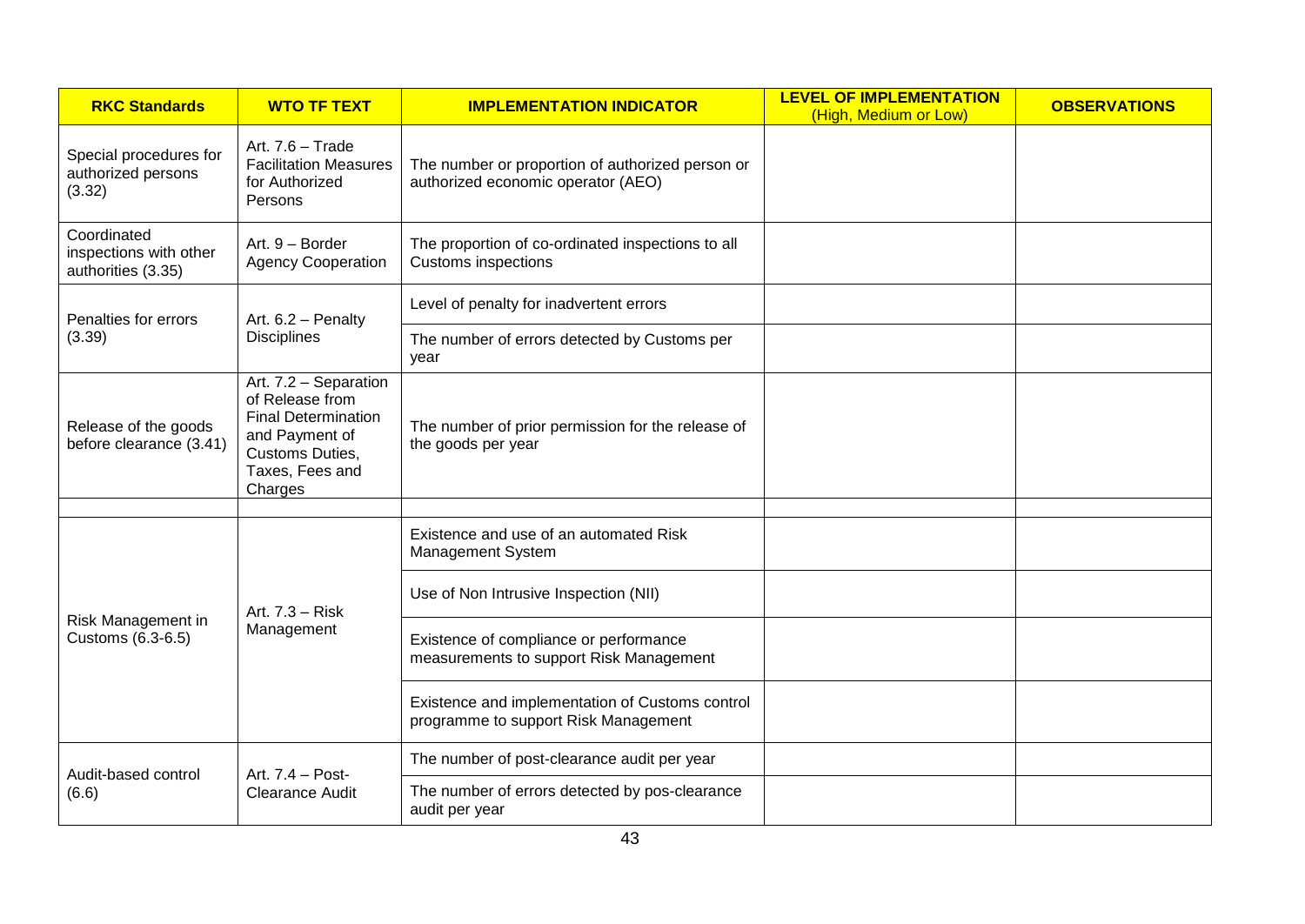| <b>RKC Standards</b><br><b>WTO TF TEXT</b>                  |                                                                                                                                           | <b>IMPLEMENTATION INDICATOR</b>                                                         | <b>LEVEL OF IMPLEMENTATION</b><br>(High, Medium or Low) | <b>OBSERVATIONS</b> |
|-------------------------------------------------------------|-------------------------------------------------------------------------------------------------------------------------------------------|-----------------------------------------------------------------------------------------|---------------------------------------------------------|---------------------|
| Special procedures for<br>authorized persons<br>(3.32)      | Art. 7.6 - Trade<br><b>Facilitation Measures</b><br>for Authorized<br>Persons                                                             | The number or proportion of authorized person or<br>authorized economic operator (AEO)  |                                                         |                     |
| Coordinated<br>inspections with other<br>authorities (3.35) | Art. 9 - Border<br><b>Agency Cooperation</b>                                                                                              | The proportion of co-ordinated inspections to all<br>Customs inspections                |                                                         |                     |
| Penalties for errors                                        | Art. 6.2 - Penalty<br><b>Disciplines</b>                                                                                                  | Level of penalty for inadvertent errors                                                 |                                                         |                     |
| (3.39)                                                      |                                                                                                                                           | The number of errors detected by Customs per<br>vear                                    |                                                         |                     |
| Release of the goods<br>before clearance (3.41)             | Art. 7.2 - Separation<br>of Release from<br><b>Final Determination</b><br>and Payment of<br>Customs Duties,<br>Taxes, Fees and<br>Charges | The number of prior permission for the release of<br>the goods per year                 |                                                         |                     |
|                                                             | Art. 7.3 - Risk<br>Management                                                                                                             | Existence and use of an automated Risk<br>Management System                             |                                                         |                     |
|                                                             |                                                                                                                                           | Use of Non Intrusive Inspection (NII)                                                   |                                                         |                     |
| Risk Management in<br>Customs (6.3-6.5)                     |                                                                                                                                           | Existence of compliance or performance<br>measurements to support Risk Management       |                                                         |                     |
|                                                             |                                                                                                                                           | Existence and implementation of Customs control<br>programme to support Risk Management |                                                         |                     |
| Audit-based control                                         | Art. 7.4 - Post-<br><b>Clearance Audit</b>                                                                                                | The number of post-clearance audit per year                                             |                                                         |                     |
| (6.6)                                                       |                                                                                                                                           | The number of errors detected by pos-clearance<br>audit per year                        |                                                         |                     |